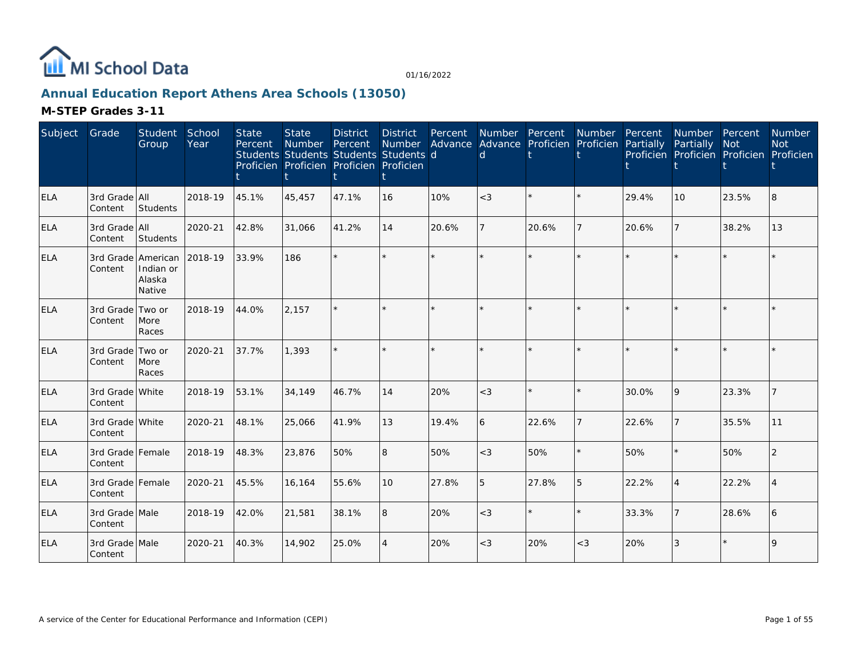

# **Annual Education Report Athens Area Schools (13050)**

| Subject    | Grade                       | Student<br>Group                                    | School<br>Year | <b>State</b><br>Percent | <b>State</b><br><b>Number</b><br>Students Students Students Students d<br>Proficien Proficien Proficien Proficien | <b>District</b><br>Percent | <b>District</b><br><b>Number</b> | Percent | <b>Number</b><br>Advance Advance Proficien Proficien<br>d | Percent | <b>Number</b>  | Percent<br>Partially | Number Percent<br>Partially<br>Proficien Proficien Proficien Proficien | <b>Not</b> | Number<br><b>Not</b> |
|------------|-----------------------------|-----------------------------------------------------|----------------|-------------------------|-------------------------------------------------------------------------------------------------------------------|----------------------------|----------------------------------|---------|-----------------------------------------------------------|---------|----------------|----------------------|------------------------------------------------------------------------|------------|----------------------|
| <b>ELA</b> | 3rd Grade All<br>Content    | Students                                            | 2018-19        | 45.1%                   | 45,457                                                                                                            | 47.1%                      | 16                               | 10%     | $<$ 3                                                     | $\star$ | $\star$        | 29.4%                | 10                                                                     | 23.5%      | 8                    |
| <b>ELA</b> | 3rd Grade All<br>Content    | Students                                            | 2020-21        | 42.8%                   | 31,066                                                                                                            | 41.2%                      | 14                               | 20.6%   |                                                           | 20.6%   | 7              | 20.6%                | $\overline{7}$                                                         | 38.2%      | 13                   |
| <b>ELA</b> | Content                     | 3rd Grade American<br>Indian or<br>Alaska<br>Native | 2018-19        | 33.9%                   | 186                                                                                                               |                            | $\star$                          | $\star$ |                                                           | $\star$ | $\star$        |                      | $\star$                                                                | $\star$    |                      |
| <b>ELA</b> | 3rd Grade Two or<br>Content | More<br>Races                                       | 2018-19        | 44.0%                   | 2,157                                                                                                             |                            | $\star$                          |         |                                                           | $\star$ | $\star$        |                      |                                                                        | $\star$    |                      |
| <b>ELA</b> | 3rd Grade Two or<br>Content | More<br>Races                                       | 2020-21        | 37.7%                   | 1,393                                                                                                             |                            | $\star$                          |         |                                                           | $\star$ | $\star$        |                      | $\star$                                                                | $\star$    |                      |
| <b>ELA</b> | 3rd Grade White<br>Content  |                                                     | 2018-19        | 53.1%                   | 34,149                                                                                                            | 46.7%                      | 14                               | 20%     | $<$ 3                                                     | $\star$ | $\star$        | 30.0%                | 9                                                                      | 23.3%      |                      |
| <b>ELA</b> | 3rd Grade White<br>Content  |                                                     | 2020-21        | 48.1%                   | 25,066                                                                                                            | 41.9%                      | 13                               | 19.4%   | 6                                                         | 22.6%   | $\overline{7}$ | 22.6%                | $\overline{7}$                                                         | 35.5%      | 11                   |
| <b>ELA</b> | 3rd Grade Female<br>Content |                                                     | 2018-19        | 48.3%                   | 23,876                                                                                                            | 50%                        | 8                                | 50%     | $<$ 3                                                     | 50%     | $\star$        | 50%                  | $\star$                                                                | 50%        | 2                    |
| <b>ELA</b> | 3rd Grade Female<br>Content |                                                     | 2020-21        | 45.5%                   | 16,164                                                                                                            | 55.6%                      | 10                               | 27.8%   | 5                                                         | 27.8%   | 5              | 22.2%                | 4                                                                      | 22.2%      |                      |
| <b>ELA</b> | 3rd Grade Male<br>Content   |                                                     | 2018-19        | 42.0%                   | 21,581                                                                                                            | 38.1%                      | 8                                | 20%     | $<$ 3                                                     | $\star$ | $\star$        | 33.3%                | $\overline{7}$                                                         | 28.6%      | 6                    |
| <b>ELA</b> | 3rd Grade Male<br>Content   |                                                     | 2020-21        | 40.3%                   | 14,902                                                                                                            | 25.0%                      | $\overline{4}$                   | 20%     | $<$ 3                                                     | 20%     | $<$ 3          | 20%                  | 3                                                                      | $\star$    | 9                    |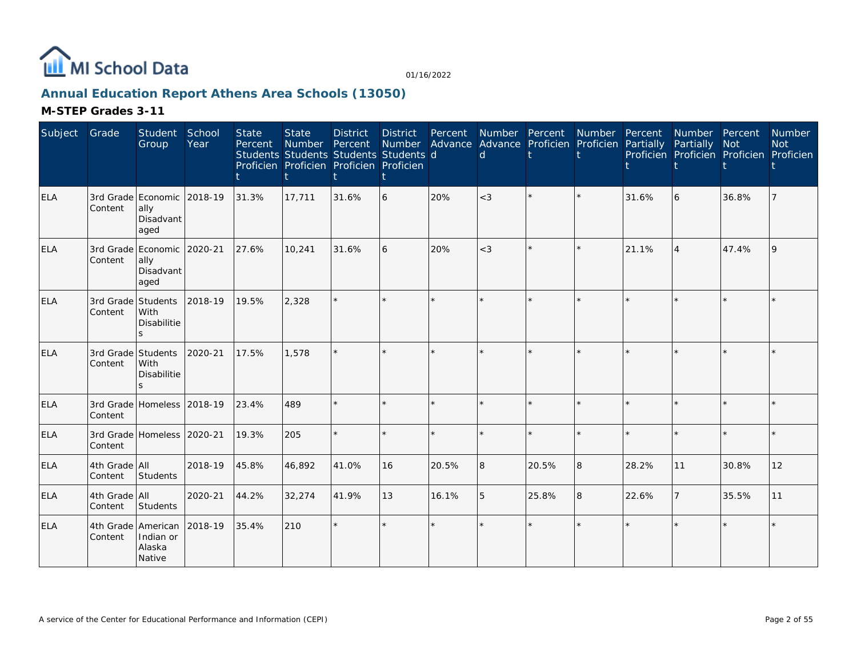

# **Annual Education Report Athens Area Schools (13050)**

| Subject    | Grade                    | Student<br>Group                                          | School<br>Year | <b>State</b><br>Percent | <b>State</b><br>Number Percent<br>Students Students Students Students d<br>Proficien Proficien Proficien Proficien | <b>District</b> | <b>District</b><br>Number | Percent | Number Percent<br>d. | Advance Advance Proficien Proficien Partially Partially | Number Percent |       | Number Percent<br>Proficien Proficien Proficien Proficien | <b>Not</b> | Number<br><b>Not</b> |
|------------|--------------------------|-----------------------------------------------------------|----------------|-------------------------|--------------------------------------------------------------------------------------------------------------------|-----------------|---------------------------|---------|----------------------|---------------------------------------------------------|----------------|-------|-----------------------------------------------------------|------------|----------------------|
| <b>ELA</b> | Content                  | 3rd Grade Economic 2018-19<br>ally<br>Disadvant<br>aged   |                | 31.3%                   | 17,711                                                                                                             | 31.6%           | 6                         | 20%     | $<$ 3                |                                                         | $\star$        | 31.6% | 6                                                         | 36.8%      |                      |
| <b>ELA</b> | Content                  | 3rd Grade Economic 2020-21<br>ally<br>Disadvant<br>aged   |                | 27.6%                   | 10,241                                                                                                             | 31.6%           | 6                         | 20%     | $<$ 3                |                                                         | $\star$        | 21.1% | $\overline{4}$                                            | 47.4%      |                      |
| <b>ELA</b> | Content                  | 3rd Grade Students<br>With<br>Disabilitie<br>S.           | 2018-19        | 19.5%                   | 2.328                                                                                                              |                 |                           |         |                      |                                                         |                |       |                                                           |            |                      |
| <b>ELA</b> | Content                  | 3rd Grade Students<br>With<br>Disabilitie<br>$\mathbf{S}$ | 2020-21        | 17.5%                   | 1,578                                                                                                              |                 | ×.                        |         |                      |                                                         |                |       |                                                           |            |                      |
| ELA        | Content                  | 3rd Grade Homeless 2018-19                                |                | 23.4%                   | 489                                                                                                                |                 | ×.                        | $\star$ |                      |                                                         | $\star$        |       |                                                           |            |                      |
| <b>ELA</b> | Content                  | 3rd Grade Homeless 2020-21                                |                | 19.3%                   | 205                                                                                                                |                 |                           | $\star$ |                      |                                                         | $\star$        |       |                                                           | $\star$    |                      |
| <b>ELA</b> | 4th Grade All<br>Content | Students                                                  | 2018-19        | 45.8%                   | 46,892                                                                                                             | 41.0%           | 16                        | 20.5%   | 8                    | 20.5%                                                   | 8              | 28.2% | 11                                                        | 30.8%      | 12                   |
| <b>ELA</b> | 4th Grade All<br>Content | Students                                                  | 2020-21        | 44.2%                   | 32,274                                                                                                             | 41.9%           | 13                        | 16.1%   | 5                    | 25.8%                                                   | 8              | 22.6% |                                                           | 35.5%      | 11                   |
| <b>ELA</b> | Content                  | 4th Grade American<br>Indian or<br>Alaska<br>Native       | 2018-19        | 35.4%                   | 210                                                                                                                |                 | $\star$                   |         |                      | ÷.                                                      |                |       |                                                           |            |                      |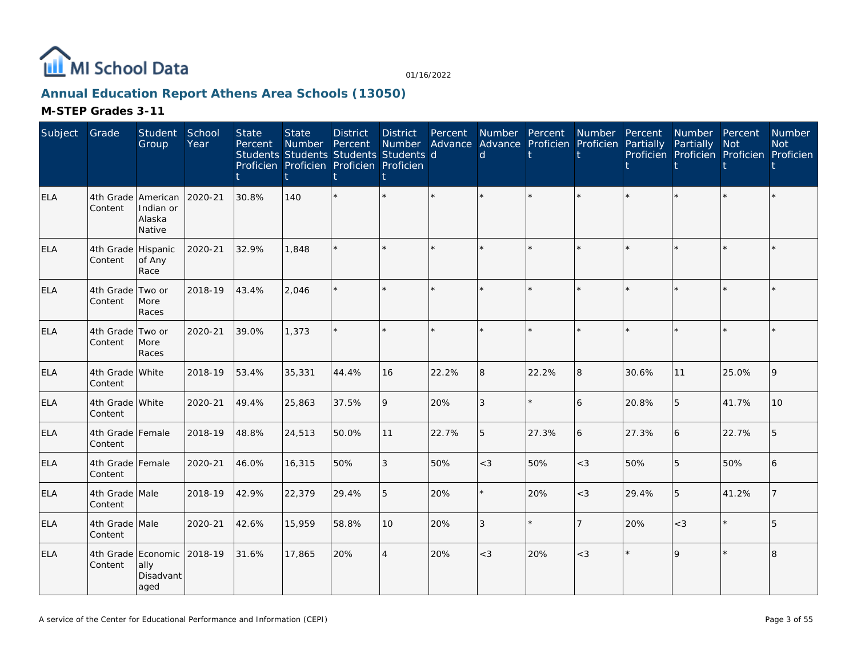

# **Annual Education Report Athens Area Schools (13050)**

| Subject    | Grade                         | Student<br>Group                      | School<br>Year | <b>State</b><br>Percent | <b>State</b><br>Number | <b>District</b><br>Percent<br>Students Students Students Students d<br>Proficien Proficien Proficien Proficien | <b>District</b><br><b>Number</b> | Percent | d     | Number Percent<br>Advance Advance Proficien Proficien | Number         | Percent<br>Partially | Number Percent<br>Partially<br>Proficien Proficien Proficien Proficien | <b>Not</b> | <b>Number</b><br><b>Not</b> |
|------------|-------------------------------|---------------------------------------|----------------|-------------------------|------------------------|----------------------------------------------------------------------------------------------------------------|----------------------------------|---------|-------|-------------------------------------------------------|----------------|----------------------|------------------------------------------------------------------------|------------|-----------------------------|
| <b>ELA</b> | 4th Grade American<br>Content | Indian or<br>Alaska<br>Native         | 2020-21        | 30.8%                   | 140                    |                                                                                                                | $\star$                          |         |       |                                                       |                |                      |                                                                        |            |                             |
| <b>ELA</b> | 4th Grade Hispanic<br>Content | of Any<br>Race                        | 2020-21        | 32.9%                   | 1,848                  |                                                                                                                | ÷.                               |         |       |                                                       |                |                      |                                                                        |            |                             |
| <b>ELA</b> | 4th Grade<br>Content          | Two or<br>More<br>Races               | 2018-19        | 43.4%                   | 2,046                  |                                                                                                                | $\star$                          | $\star$ |       | $\star$                                               |                |                      |                                                                        | $\star$    |                             |
| <b>ELA</b> | 4th Grade Two or<br>Content   | More<br>Races                         | 2020-21        | 39.0%                   | 1,373                  |                                                                                                                | $\star$                          | ÷.      |       | $\star$                                               | ÷.             |                      |                                                                        | $\star$    |                             |
| ELA        | 4th Grade White<br>Content    |                                       | 2018-19        | 53.4%                   | 35,331                 | 44.4%                                                                                                          | 16                               | 22.2%   | 8     | 22.2%                                                 | 8              | 30.6%                | 11                                                                     | 25.0%      | 9                           |
| <b>ELA</b> | 4th Grade White<br>Content    |                                       | 2020-21        | 49.4%                   | 25,863                 | 37.5%                                                                                                          | 9                                | 20%     | 3     | $\star$                                               | 6              | 20.8%                | 5                                                                      | 41.7%      | 10 <sup>1</sup>             |
| <b>ELA</b> | 4th Grade Female<br>Content   |                                       | 2018-19        | 48.8%                   | 24,513                 | 50.0%                                                                                                          | 11                               | 22.7%   | 5     | 27.3%                                                 | 6              | 27.3%                | 6                                                                      | 22.7%      |                             |
| ELA        | 4th Grade Female<br>Content   |                                       | 2020-21        | 46.0%                   | 16,315                 | 50%                                                                                                            | 3                                | 50%     | $<$ 3 | 50%                                                   | $<$ 3          | 50%                  | 5                                                                      | 50%        | 6                           |
| <b>ELA</b> | 4th Grade Male<br>Content     |                                       | 2018-19        | 42.9%                   | 22,379                 | 29.4%                                                                                                          | 5                                | 20%     |       | 20%                                                   | $<$ 3          | 29.4%                | 5                                                                      | 41.2%      |                             |
| <b>ELA</b> | 4th Grade Male<br>Content     |                                       | 2020-21        | 42.6%                   | 15,959                 | 58.8%                                                                                                          | 10                               | 20%     | 3     | $\star$                                               | $\overline{7}$ | 20%                  | $<$ 3                                                                  | $\star$    | 5                           |
| <b>ELA</b> | 4th Grade<br>Content          | Economic<br>ally<br>Disadvant<br>aged | 2018-19        | 31.6%                   | 17,865                 | 20%                                                                                                            | $\overline{4}$                   | 20%     | $<$ 3 | 20%                                                   | $\lt3$         |                      | $\mathsf Q$                                                            | $\star$    | 8                           |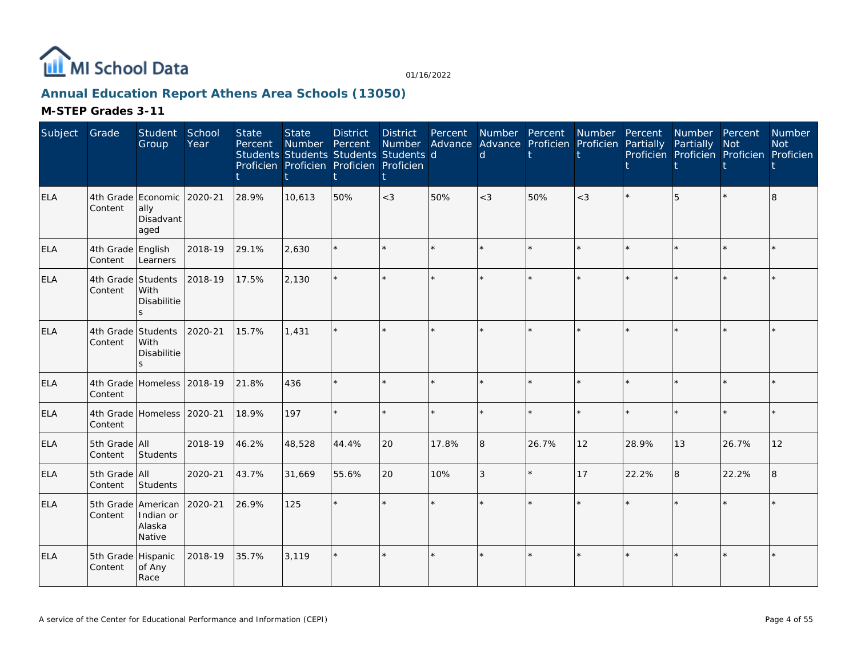

# **Annual Education Report Athens Area Schools (13050)**

| Subject    | Grade                                 | Student<br>Group                                        | School<br>Year | <b>State</b><br>Percent | <b>State</b><br>Number Percent<br>Students Students Students Students d<br>Proficien Proficien Proficien Proficien | <b>District</b> | District<br>Number | Percent | Number Percent<br>$\mathsf{d}$ | Advance Advance Proficien Proficien | Number  | Percent<br>Partially | Number Percent<br>Partially | <b>Not</b><br>Proficien Proficien Proficien Proficien | Number<br><b>Not</b> |
|------------|---------------------------------------|---------------------------------------------------------|----------------|-------------------------|--------------------------------------------------------------------------------------------------------------------|-----------------|--------------------|---------|--------------------------------|-------------------------------------|---------|----------------------|-----------------------------|-------------------------------------------------------|----------------------|
| <b>ELA</b> | Content                               | 4th Grade Economic 2020-21<br>ally<br>Disadvant<br>aged |                | 28.9%                   | 10,613                                                                                                             | 50%             | $<$ 3              | 50%     | $<$ 3                          | 50%                                 | $<$ 3   |                      | 5                           |                                                       | 8                    |
| <b>ELA</b> | 4th Grade English<br>Content          | Learners                                                | 2018-19        | 29.1%                   | 2,630                                                                                                              |                 | $\star$            |         |                                | $\star$                             | $\star$ |                      |                             | $\star$                                               |                      |
| <b>ELA</b> | 4th Grade Students<br>Content         | With<br>Disabilitie<br>$\mathcal{L}$                    | 2018-19        | 17.5%                   | 2,130                                                                                                              |                 | ×.                 |         |                                | $\star$                             | $\Phi$  |                      |                             | $\star$                                               |                      |
| <b>ELA</b> | 4th Grade Students<br>Content         | With<br>Disabilitie<br>$\leq$                           | 2020-21        | 15.7%                   | 1,431                                                                                                              |                 | ×.                 |         |                                | ÷.                                  |         |                      |                             |                                                       |                      |
| <b>ELA</b> | 4th Grade Homeless 2018-19<br>Content |                                                         |                | 21.8%                   | 436                                                                                                                |                 | $\star$            |         |                                | $\star$                             | $\star$ |                      |                             | $\star$                                               |                      |
| <b>ELA</b> | Content                               | 4th Grade Homeless 2020-21                              |                | 18.9%                   | 197                                                                                                                |                 | $\star$            |         |                                | $\star$                             | $\star$ |                      |                             | $\ddot{\psi}$                                         |                      |
| <b>ELA</b> | 5th Grade All<br>Content              | Students                                                | 2018-19        | 46.2%                   | 48,528                                                                                                             | 44.4%           | 20                 | 17.8%   | $\overline{8}$                 | 26.7%                               | 12      | 28.9%                | 13                          | 26.7%                                                 | 12                   |
| <b>ELA</b> | 5th Grade All<br>Content              | Students                                                | 2020-21        | 43.7%                   | 31,669                                                                                                             | 55.6%           | 20                 | 10%     | 3                              | $\star$                             | 17      | 22.2%                | 8                           | 22.2%                                                 | 8                    |
| <b>ELA</b> | 5th Grade American<br>Content         | Indian or<br>Alaska<br>Native                           | 2020-21        | 26.9%                   | 125                                                                                                                |                 | ÷.                 |         |                                | ÷.                                  | $\star$ |                      |                             | $\star$                                               |                      |
| <b>ELA</b> | 5th Grade Hispanic<br>Content         | of Any<br>Race                                          | 2018-19        | 35.7%                   | 3,119                                                                                                              |                 | $\star$            |         |                                | $\star$                             |         |                      |                             |                                                       |                      |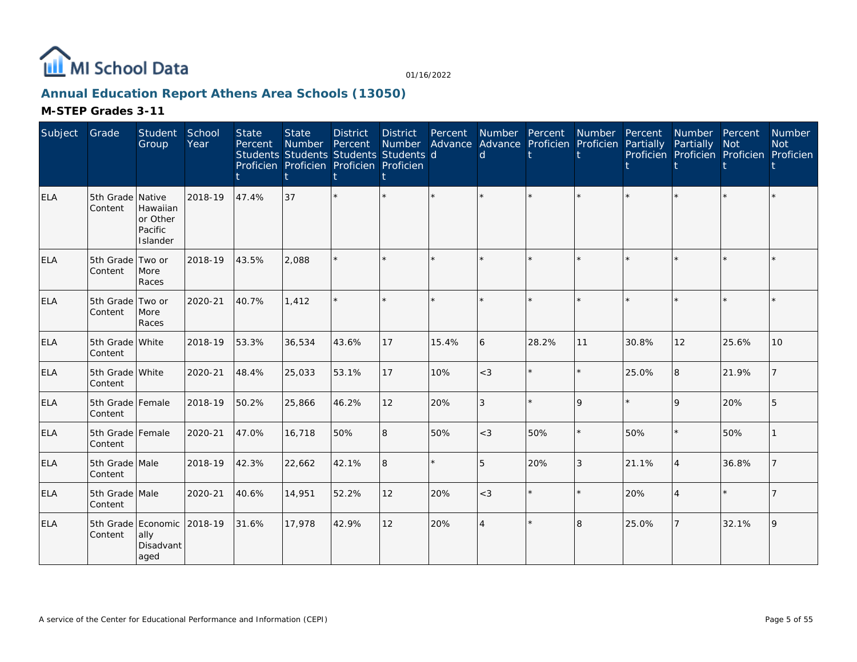

# **Annual Education Report Athens Area Schools (13050)**

| Subject    | Grade                       | Student<br>Group                                        | School<br>Year | <b>State</b><br>Percent | <b>State</b><br>Number<br>Students Students Students Students d<br>Proficien Proficien Proficien Proficien | <b>District</b><br>Percent | <b>District</b><br>Number | Percent | Number Percent<br>Advance Advance Proficien Proficien<br>d |         | Number  | Percent<br>Partially | Number Percent<br>Partially<br>Proficien Proficien Proficien Proficien | Not     | Number<br><b>Not</b> |
|------------|-----------------------------|---------------------------------------------------------|----------------|-------------------------|------------------------------------------------------------------------------------------------------------|----------------------------|---------------------------|---------|------------------------------------------------------------|---------|---------|----------------------|------------------------------------------------------------------------|---------|----------------------|
| <b>ELA</b> | 5th Grade Native<br>Content | Hawaiian<br>or Other<br>Pacific<br>Islander             | 2018-19        | 47.4%                   | 37                                                                                                         |                            | $\star$                   | $\star$ |                                                            | $\star$ | $\star$ |                      | $\star$                                                                | $\star$ |                      |
| <b>ELA</b> | 5th Grade Two or<br>Content | More<br>Races                                           | 2018-19        | 43.5%                   | 2,088                                                                                                      |                            | $\star$                   | $\star$ |                                                            | $\star$ | ÷.      |                      | $\star$                                                                | ÷.      |                      |
| <b>ELA</b> | 5th Grade Two or<br>Content | More<br>Races                                           | 2020-21        | 40.7%                   | 1,412                                                                                                      |                            | $\star$                   | ÷.      |                                                            | $\star$ | $\star$ |                      | $\star$                                                                | $\star$ |                      |
| <b>ELA</b> | 5th Grade White<br>Content  |                                                         | 2018-19        | 53.3%                   | 36,534                                                                                                     | 43.6%                      | 17                        | 15.4%   | 6                                                          | 28.2%   | 11      | 30.8%                | 12                                                                     | 25.6%   | 10                   |
| <b>ELA</b> | 5th Grade White<br>Content  |                                                         | 2020-21        | 48.4%                   | 25,033                                                                                                     | 53.1%                      | 17                        | 10%     | $<$ 3                                                      | $\star$ | $\star$ | 25.0%                | 8                                                                      | 21.9%   |                      |
| <b>ELA</b> | 5th Grade Female<br>Content |                                                         | 2018-19        | 50.2%                   | 25,866                                                                                                     | 46.2%                      | 12                        | 20%     | 3                                                          | $\star$ | 9       |                      | 9                                                                      | 20%     | 5                    |
| <b>ELA</b> | 5th Grade Female<br>Content |                                                         | 2020-21        | 47.0%                   | 16,718                                                                                                     | 50%                        | 8                         | 50%     | $<$ 3                                                      | 50%     | $\star$ | 50%                  | $\star$                                                                | 50%     |                      |
| <b>ELA</b> | 5th Grade Male<br>Content   |                                                         | 2018-19        | 42.3%                   | 22,662                                                                                                     | 42.1%                      | 8                         | $\star$ | 5                                                          | 20%     | 3       | 21.1%                | $\overline{4}$                                                         | 36.8%   |                      |
| <b>ELA</b> | 5th Grade Male<br>Content   |                                                         | 2020-21        | 40.6%                   | 14,951                                                                                                     | 52.2%                      | 12                        | 20%     | $<$ 3                                                      | $\star$ | $\star$ | 20%                  | $\overline{4}$                                                         | $\star$ |                      |
| <b>ELA</b> | Content                     | 5th Grade Economic 2018-19<br>ally<br>Disadvant<br>aged |                | 31.6%                   | 17,978                                                                                                     | 42.9%                      | 12                        | 20%     | $\overline{4}$                                             | $\star$ | 8       | 25.0%                | $\overline{7}$                                                         | 32.1%   | $\overline{Q}$       |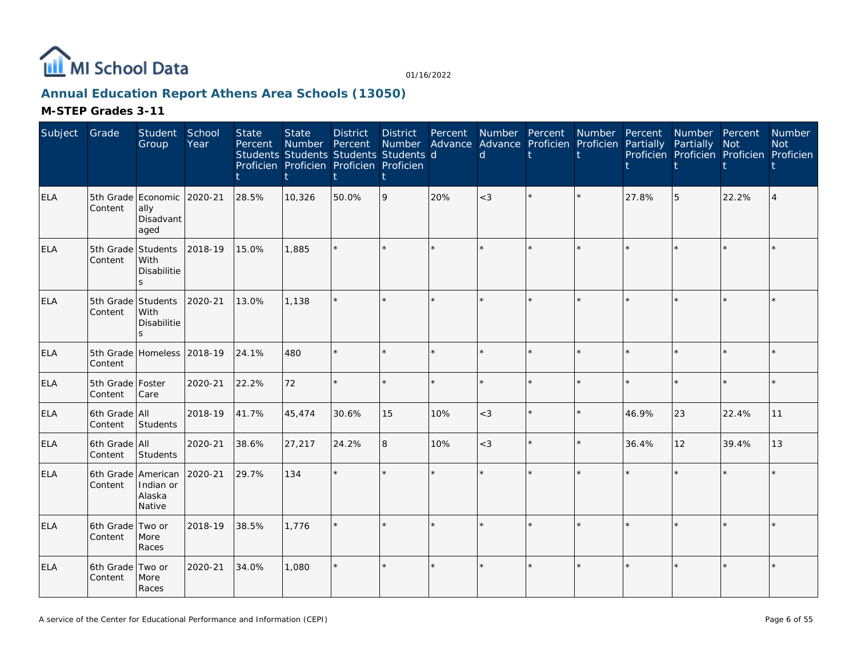

# **Annual Education Report Athens Area Schools (13050)**

| Subject    | Grade                       | Student<br>Group                                          | School<br>Year | <b>State</b><br>Percent | <b>State</b><br>Number | <b>District</b><br>Percent<br>Students Students Students Students d<br>Proficien Proficien Proficien Proficien | <b>District</b><br>Number<br>t | Percent | $\mathsf{d}$ | Number Percent Number<br>Advance Advance Proficien Proficien |         | Percent<br>Partially | Number Percent<br>Partially | Not<br>Proficien Proficien Proficien Proficien | <b>Number</b><br><b>Not</b> |
|------------|-----------------------------|-----------------------------------------------------------|----------------|-------------------------|------------------------|----------------------------------------------------------------------------------------------------------------|--------------------------------|---------|--------------|--------------------------------------------------------------|---------|----------------------|-----------------------------|------------------------------------------------|-----------------------------|
| <b>ELA</b> | Content                     | 5th Grade Economic 2020-21<br>ally<br>Disadvant<br>aged   |                | 28.5%                   | 10,326                 | 50.0%                                                                                                          | 9                              | 20%     | $<$ 3        |                                                              |         | 27.8%                | 5                           | 22.2%                                          |                             |
| ELA        | Content                     | 5th Grade Students<br>With<br>Disabilitie<br>S.           | 2018-19        | 15.0%                   | 1,885                  |                                                                                                                | $\star$                        |         |              |                                                              |         |                      |                             | $\star$                                        |                             |
| ELA        | Content                     | 5th Grade Students<br>With<br>Disabilitie<br>$\mathsf{S}$ | 2020-21        | 13.0%                   | 1.138                  |                                                                                                                | $\star$                        |         |              |                                                              |         |                      |                             |                                                |                             |
| <b>ELA</b> | Content                     | 5th Grade Homeless                                        | 2018-19        | 24.1%                   | 480                    |                                                                                                                | $\star$                        |         |              |                                                              | $\star$ |                      |                             | $\star$                                        |                             |
| <b>ELA</b> | 5th Grade Foster<br>Content | Care                                                      | 2020-21        | 22.2%                   | 72                     |                                                                                                                | $\star$                        |         |              |                                                              |         |                      |                             | $\star$                                        |                             |
| <b>ELA</b> | 6th Grade All<br>Content    | Students                                                  | 2018-19        | 41.7%                   | 45,474                 | 30.6%                                                                                                          | 15                             | 10%     | $<$ 3        |                                                              |         | 46.9%                | 23                          | 22.4%                                          | 11                          |
| <b>ELA</b> | 6th Grade All<br>Content    | Students                                                  | 2020-21        | 38.6%                   | 27,217                 | 24.2%                                                                                                          | 8                              | 10%     | $<$ 3        |                                                              |         | 36.4%                | 12                          | 39.4%                                          | 13                          |
| <b>ELA</b> | Content                     | 6th Grade American<br>Indian or<br>Alaska<br>Native       | 2020-21        | 29.7%                   | 134                    |                                                                                                                |                                |         |              |                                                              |         |                      |                             | $\star$                                        |                             |
| ELA        | 6th Grade Two or<br>Content | More<br>Races                                             | 2018-19        | 38.5%                   | 1,776                  |                                                                                                                | $\star$                        |         |              |                                                              |         |                      |                             | $\star$                                        |                             |
| <b>ELA</b> | 6th Grade Two or<br>Content | More<br>Races                                             | 2020-21        | 34.0%                   | 1.080                  |                                                                                                                | $\star$                        |         |              |                                                              |         |                      |                             |                                                |                             |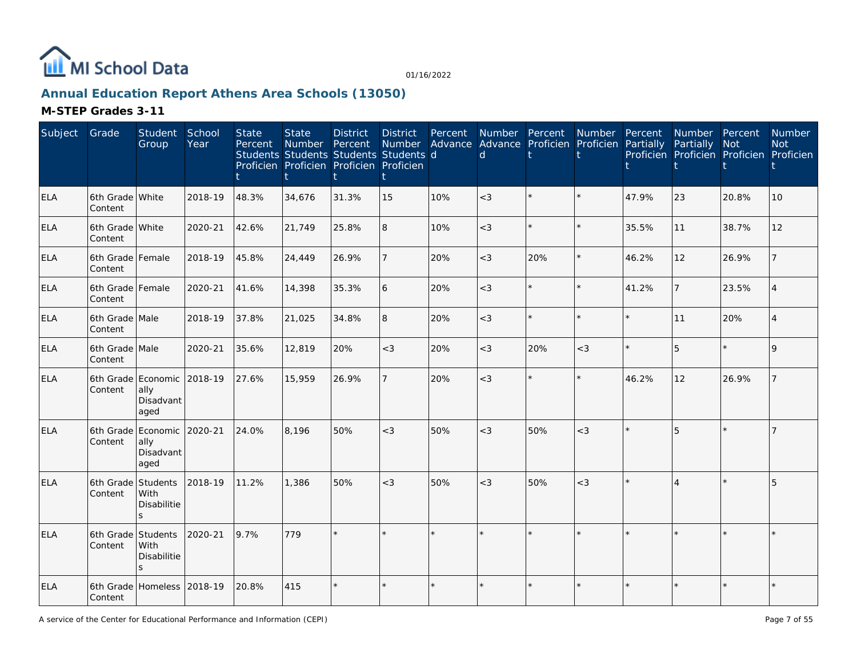

# **Annual Education Report Athens Area Schools (13050)**

| Subject    | Grade                         | Student<br>Group                                        | School<br>Year | <b>State</b><br>Percent | <b>State</b><br><b>Number</b> | <b>District</b><br>Percent<br>Students Students Students Students d<br>Proficien Proficien Proficien Proficien | <b>District</b><br>Number | Percent<br>Advance | Number Percent<br>$\mathsf{d}$ |         | Number Percent<br>Advance Proficien Proficien Partially |       | Number Percent<br>Partially | <b>Not</b><br>Proficien Proficien Proficien Proficien | Number<br><b>Not</b>        |
|------------|-------------------------------|---------------------------------------------------------|----------------|-------------------------|-------------------------------|----------------------------------------------------------------------------------------------------------------|---------------------------|--------------------|--------------------------------|---------|---------------------------------------------------------|-------|-----------------------------|-------------------------------------------------------|-----------------------------|
| <b>ELA</b> | 6th Grade White<br>Content    |                                                         | 2018-19        | 48.3%                   | 34,676                        | 31.3%                                                                                                          | 15                        | 10%                | $<$ 3                          | $\star$ |                                                         | 47.9% | 23                          | 20.8%                                                 | 10                          |
| <b>ELA</b> | 6th Grade White<br>Content    |                                                         | 2020-21        | 42.6%                   | 21,749                        | 25.8%                                                                                                          | 8                         | 10%                | $<$ 3                          | $\star$ |                                                         | 35.5% | 11                          | 38.7%                                                 | 12                          |
| <b>ELA</b> | 6th Grade Female<br>Content   |                                                         | 2018-19        | 45.8%                   | 24,449                        | 26.9%                                                                                                          |                           | 20%                | $<$ 3                          | 20%     | $\star$                                                 | 46.2% | 12                          | 26.9%                                                 |                             |
| <b>ELA</b> | 6th Grade Female<br>Content   |                                                         | 2020-21        | 41.6%                   | 14,398                        | 35.3%                                                                                                          | 6                         | 20%                | $<$ 3                          | $\star$ | $\star$                                                 | 41.2% | 7                           | 23.5%                                                 |                             |
| <b>ELA</b> | 6th Grade Male<br>Content     |                                                         | 2018-19        | 37.8%                   | 21,025                        | 34.8%                                                                                                          | 8                         | 20%                | $<$ 3                          | $\star$ | $\star$                                                 |       | 11                          | 20%                                                   | $\boldsymbol{\vartriangle}$ |
| <b>ELA</b> | 6th Grade Male<br>Content     |                                                         | 2020-21        | 35.6%                   | 12,819                        | 20%                                                                                                            | $<$ 3                     | 20%                | $<$ 3                          | 20%     | $<$ 3                                                   |       | 5                           | $\star$                                               |                             |
| <b>ELA</b> | Content                       | 6th Grade Economic<br>ally<br>Disadvant<br>aged         | 2018-19        | 27.6%                   | 15,959                        | 26.9%                                                                                                          |                           | 20%                | $<$ 3                          | $\star$ | $\star$                                                 | 46.2% | 12                          | 26.9%                                                 |                             |
| <b>ELA</b> | Content                       | 6th Grade Economic 2020-21<br>ally<br>Disadvant<br>aged |                | 24.0%                   | 8,196                         | 50%                                                                                                            | $<$ 3                     | 50%                | $<$ 3                          | 50%     | $<$ 3                                                   |       | 5                           |                                                       |                             |
| <b>ELA</b> | Content                       | 6th Grade Students<br>With<br>Disabilitie<br>S.         | 2018-19        | 11.2%                   | 1,386                         | 50%                                                                                                            | $<$ 3                     | 50%                | $<$ 3                          | 50%     | $<$ 3                                                   |       | $\Delta$                    |                                                       | 5                           |
| <b>ELA</b> | 6th Grade Students<br>Content | With<br><b>Disabilitie</b><br>S.                        | 2020-21        | 9.7%                    | 779                           |                                                                                                                |                           |                    |                                | $\star$ |                                                         |       |                             |                                                       |                             |
| <b>ELA</b> | 6th Grade<br>Content          | Homeless                                                | 2018-19        | 20.8%                   | 415                           |                                                                                                                |                           |                    |                                | $\star$ |                                                         |       | $\star$                     |                                                       |                             |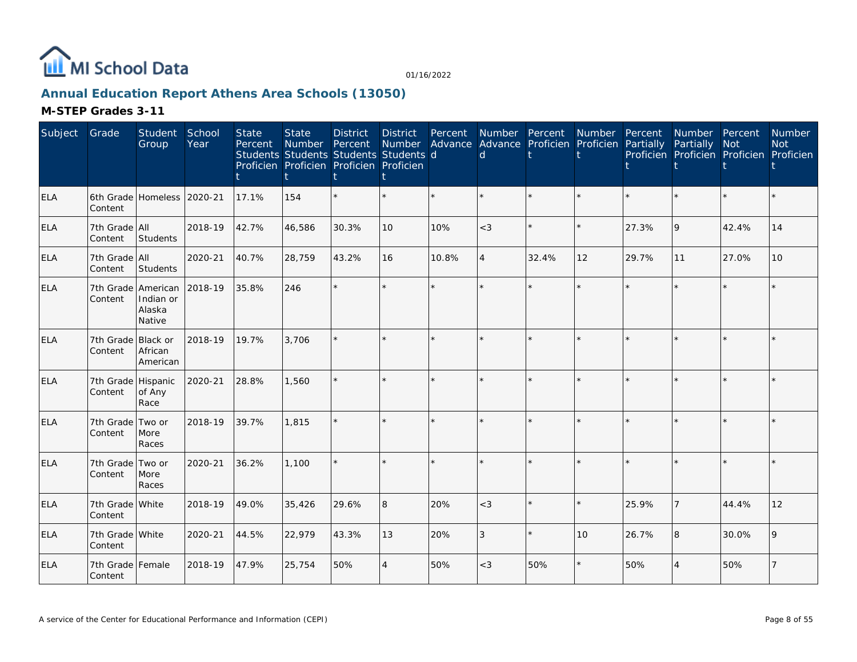

# **Annual Education Report Athens Area Schools (13050)**

| Subject    | Grade                         | Student<br>Group              | School<br>Year | <b>State</b><br>Percent | <b>State</b><br><b>Number</b><br>Students Students Students Students d<br>Proficien Proficien Proficien Proficien | <b>District</b><br>Percent | <b>District</b><br><b>Number</b> | Percent | Number Percent<br>Advance Advance Proficien Proficien<br>d |         | Number  | Percent<br>Partially | Number Percent<br>Partially<br>Proficien Proficien Proficien Proficien | <b>Not</b> | Number<br><b>Not</b> |
|------------|-------------------------------|-------------------------------|----------------|-------------------------|-------------------------------------------------------------------------------------------------------------------|----------------------------|----------------------------------|---------|------------------------------------------------------------|---------|---------|----------------------|------------------------------------------------------------------------|------------|----------------------|
| ELA        | Content                       | 6th Grade Homeless            | 2020-21        | 17.1%                   | 154                                                                                                               |                            |                                  |         |                                                            | ÷.      |         |                      | $\star$                                                                | $\star$    |                      |
| ELA        | 7th Grade All<br>Content      | Students                      | 2018-19        | 42.7%                   | 46,586                                                                                                            | 30.3%                      | 10                               | 10%     | $<$ 3                                                      | $\star$ | $\star$ | 27.3%                | 9                                                                      | 42.4%      | 14                   |
| <b>ELA</b> | 7th Grade All<br>Content      | Students                      | 2020-21        | 40.7%                   | 28,759                                                                                                            | 43.2%                      | 16                               | 10.8%   | $\overline{A}$                                             | 32.4%   | 12      | 29.7%                | 11                                                                     | 27.0%      | 10 <sup>°</sup>      |
| <b>ELA</b> | 7th Grade American<br>Content | Indian or<br>Alaska<br>Native | 2018-19        | 35.8%                   | 246                                                                                                               |                            |                                  |         |                                                            |         | $\star$ |                      | $\star$                                                                | $\star$    |                      |
| <b>ELA</b> | 7th Grade Black or<br>Content | African<br>American           | 2018-19        | 19.7%                   | 3.706                                                                                                             |                            |                                  |         |                                                            |         |         |                      | $\star$                                                                | $\star$    |                      |
| <b>ELA</b> | 7th Grade Hispanic<br>Content | of Any<br>Race                | 2020-21        | 28.8%                   | 1,560                                                                                                             |                            |                                  |         |                                                            |         |         |                      | ÷.                                                                     | $\star$    |                      |
| ELA        | 7th Grade Two or<br>Content   | More<br>Races                 | 2018-19        | 39.7%                   | 1,815                                                                                                             |                            |                                  |         | ÷,                                                         | ÷.      | $\star$ | $\star$              | $\star$                                                                | $\star$    |                      |
| ELA        | 7th Grade Two or<br>Content   | More<br>Races                 | 2020-21        | 36.2%                   | 1,100                                                                                                             |                            |                                  |         |                                                            |         |         |                      |                                                                        | $\star$    |                      |
| <b>ELA</b> | 7th Grade White<br>Content    |                               | 2018-19        | 49.0%                   | 35,426                                                                                                            | 29.6%                      | 8                                | 20%     | $<$ 3                                                      | $\star$ | $\star$ | 25.9%                | $\overline{7}$                                                         | 44.4%      | 12                   |
| ELA        | 7th Grade White<br>Content    |                               | 2020-21        | 44.5%                   | 22,979                                                                                                            | 43.3%                      | 13                               | 20%     | 3                                                          | $\star$ | 10      | 26.7%                | 8                                                                      | 30.0%      |                      |
| <b>ELA</b> | 7th Grade Female<br>Content   |                               | 2018-19        | 47.9%                   | 25,754                                                                                                            | 50%                        | $\overline{4}$                   | 50%     | $<$ 3                                                      | 50%     |         | 50%                  | $\overline{4}$                                                         | 50%        |                      |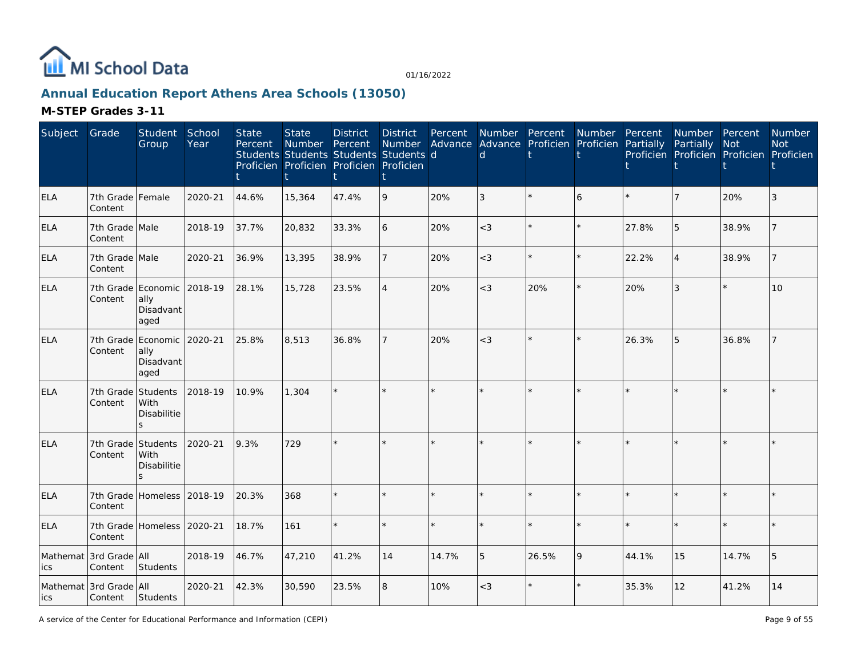

# **Annual Education Report Athens Area Schools (13050)**

| Subject         | Grade                             | Student<br>Group                                        | School<br>Year | <b>State</b><br>Percent | <b>State</b><br>Number<br>Students Students Students Students d<br>Proficien Proficien Proficien Proficien | <b>District</b><br>Percent | <b>District</b><br>Number<br>t | Percent | Number Percent<br>$\mathsf{d}$ | Advance Advance Proficien Proficien | Number Percent | Partially | Number Percent<br>Partially | <b>Not</b><br>Proficien Proficien Proficien Proficien | Number<br><b>Not</b> |
|-----------------|-----------------------------------|---------------------------------------------------------|----------------|-------------------------|------------------------------------------------------------------------------------------------------------|----------------------------|--------------------------------|---------|--------------------------------|-------------------------------------|----------------|-----------|-----------------------------|-------------------------------------------------------|----------------------|
| <b>ELA</b>      | 7th Grade Female<br>Content       |                                                         | 2020-21        | 44.6%                   | 15,364                                                                                                     | 47.4%                      | 9                              | 20%     | 3                              |                                     | 6              |           |                             | 20%                                                   |                      |
| <b>ELA</b>      | 7th Grade Male<br>Content         |                                                         | 2018-19        | 37.7%                   | 20,832                                                                                                     | 33.3%                      | 6                              | 20%     | $<$ 3                          | $\star$                             |                | 27.8%     | 5                           | 38.9%                                                 |                      |
| ELA             | 7th Grade Male<br>Content         |                                                         | 2020-21        | 36.9%                   | 13,395                                                                                                     | 38.9%                      | $\overline{7}$                 | 20%     | $<$ 3                          | $\star$                             | $\star$        | 22.2%     | $\overline{4}$              | 38.9%                                                 |                      |
| <b>ELA</b>      | Content                           | 7th Grade Economic 2018-19<br>ally<br>Disadvant<br>aged |                | 28.1%                   | 15,728                                                                                                     | 23.5%                      | $\overline{4}$                 | 20%     | $<$ 3                          | 20%                                 | $\star$        | 20%       | 3                           | $\star$                                               | 10                   |
| <b>ELA</b>      | 7th Grade<br>Content              | Economic 2020-21<br>ally<br>Disadvant<br>aged           |                | 25.8%                   | 8,513                                                                                                      | 36.8%                      | $\overline{7}$                 | 20%     | $<$ 3                          | $\star$                             |                | 26.3%     | 5                           | 36.8%                                                 |                      |
| ELA             | 7th Grade<br>Content              | Students<br>With<br>Disabilitie                         | 2018-19        | 10.9%                   | 1,304                                                                                                      |                            | $\star$                        |         |                                |                                     |                |           |                             |                                                       |                      |
| <b>ELA</b>      | 7th Grade Students<br>Content     | With<br>Disabilitie                                     | 2020-21        | 9.3%                    | 729                                                                                                        |                            | $\star$                        |         |                                | $\star$                             |                |           |                             |                                                       |                      |
| <b>ELA</b>      | Content                           | 7th Grade Homeless 2018-19                              |                | 20.3%                   | 368                                                                                                        |                            | $\star$                        |         |                                | $\star$                             |                |           |                             |                                                       |                      |
| <b>ELA</b>      | Content                           | 7th Grade Homeless 2020-21                              |                | 18.7%                   | 161                                                                                                        |                            | $\star$                        | ÷.      |                                | $\star$                             | ÷              |           |                             | $\star$                                               |                      |
| Mathemat<br>ics | 3rd Grade All<br>Content          | Students                                                | 2018-19        | 46.7%                   | 47,210                                                                                                     | 41.2%                      | 14                             | 14.7%   | 5                              | 26.5%                               | 9              | 44.1%     | 15                          | 14.7%                                                 | 5                    |
| lics            | Mathemat 3rd Grade All<br>Content | Students                                                | 2020-21        | 42.3%                   | 30,590                                                                                                     | 23.5%                      | 8                              | 10%     | $<$ 3                          | $\star$                             |                | 35.3%     | 12                          | 41.2%                                                 | 14                   |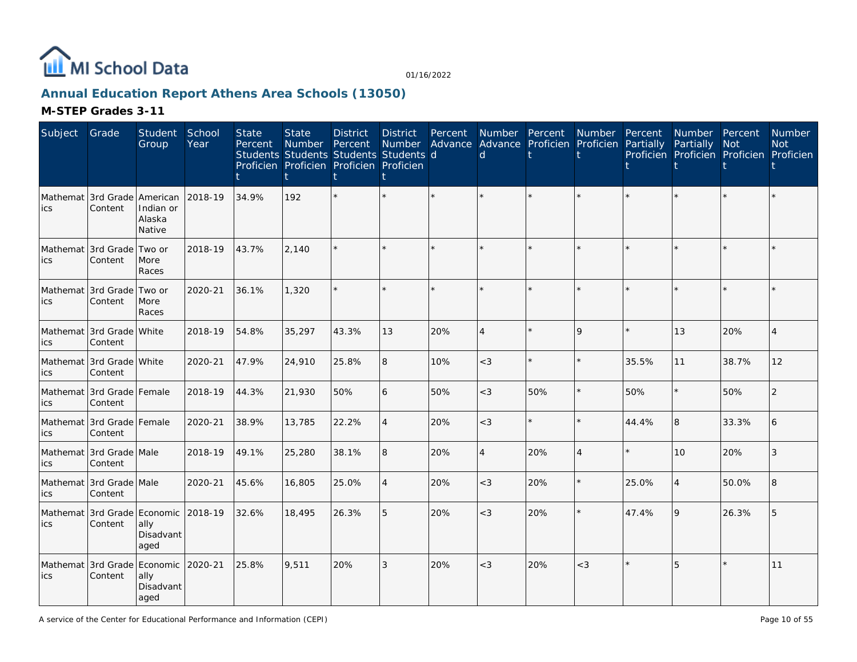

# **Annual Education Report Athens Area Schools (13050)**

| Subject         | Grade                                  | Student<br>Group                      | School<br>Year | <b>State</b><br>Percent | <b>State</b><br>Number<br>Students Students Students Students d<br>Proficien Proficien Proficien Proficien | <b>District</b><br>Percent | <b>District</b><br>Number | Percent | Advance Advance Proficien Proficien Partially<br>d | Number Percent Number Percent |                |       | Number Percent<br>Partially<br>Proficien Proficien Proficien Proficien | <b>Not</b> | Number<br><b>Not</b> |
|-----------------|----------------------------------------|---------------------------------------|----------------|-------------------------|------------------------------------------------------------------------------------------------------------|----------------------------|---------------------------|---------|----------------------------------------------------|-------------------------------|----------------|-------|------------------------------------------------------------------------|------------|----------------------|
| Mathemat<br>ics | 3rd Grade American<br>Content          | Indian or<br>Alaska<br>Native         | 2018-19        | 34.9%                   | 192                                                                                                        |                            |                           |         |                                                    |                               |                |       |                                                                        |            |                      |
| ics             | Mathemat 3rd Grade<br>Content          | Two or<br>More<br>Races               | 2018-19        | 43.7%                   | 2,140                                                                                                      |                            |                           | $\star$ |                                                    |                               |                |       |                                                                        | ÷.         |                      |
| ics             | Mathemat 3rd Grade<br>Content          | Two or<br>More<br>Races               | 2020-21        | 36.1%                   | 1,320                                                                                                      |                            | $\star$                   | $\star$ |                                                    |                               | $\star$        |       |                                                                        | $\star$    |                      |
| ics             | Mathemat 13rd Grade   White<br>Content |                                       | 2018-19        | 54.8%                   | 35,297                                                                                                     | 43.3%                      | 13                        | 20%     | $\overline{\mathcal{A}}$                           |                               | 9              |       | 13                                                                     | 20%        | Δ                    |
| ics             | Mathemat 3rd Grade White<br>Content    |                                       | 2020-21        | 47.9%                   | 24,910                                                                                                     | 25.8%                      | 8                         | 10%     | $<$ 3                                              |                               | $\star$        | 35.5% | 11                                                                     | 38.7%      | 12                   |
| ics             | Mathemat 3rd Grade Female<br>Content   |                                       | 2018-19        | 44.3%                   | 21,930                                                                                                     | 50%                        | 6                         | 50%     | $<$ 3                                              | 50%                           | $\star$        | 50%   |                                                                        | 50%        |                      |
| ics             | Mathemat 3rd Grade Female<br>Content   |                                       | 2020-21        | 38.9%                   | 13,785                                                                                                     | 22.2%                      | $\overline{4}$            | 20%     | $<$ 3                                              |                               | ×.             | 44.4% | 8                                                                      | 33.3%      | 6                    |
| ics             | Mathemat 3rd Grade Male<br>Content     |                                       | 2018-19        | 49.1%                   | 25,280                                                                                                     | 38.1%                      | 8                         | 20%     | $\overline{\mathcal{A}}$                           | 20%                           | $\overline{4}$ |       | 10                                                                     | 20%        | 3                    |
| ics             | Mathemat 3rd Grade Male<br>Content     |                                       | 2020-21        | 45.6%                   | 16,805                                                                                                     | 25.0%                      | $\overline{4}$            | 20%     | $<$ 3                                              | 20%                           | $\star$        | 25.0% | $\overline{4}$                                                         | 50.0%      | 8                    |
| ics             | Mathemat 3rd Grade Economic<br>Content | ally<br>Disadvant<br>aged             | 2018-19        | 32.6%                   | 18,495                                                                                                     | 26.3%                      | 5                         | 20%     | $<$ 3                                              | 20%                           | $\star$        | 47.4% | 9                                                                      | 26.3%      |                      |
| Mathemat<br>ics | 3rd Grade<br>Content                   | Economic<br>ally<br>Disadvant<br>aged | 2020-21        | 25.8%                   | 9,511                                                                                                      | 20%                        | 3                         | 20%     | $<$ 3                                              | 20%                           | $<$ 3          |       | 5                                                                      | $\star$    | 11                   |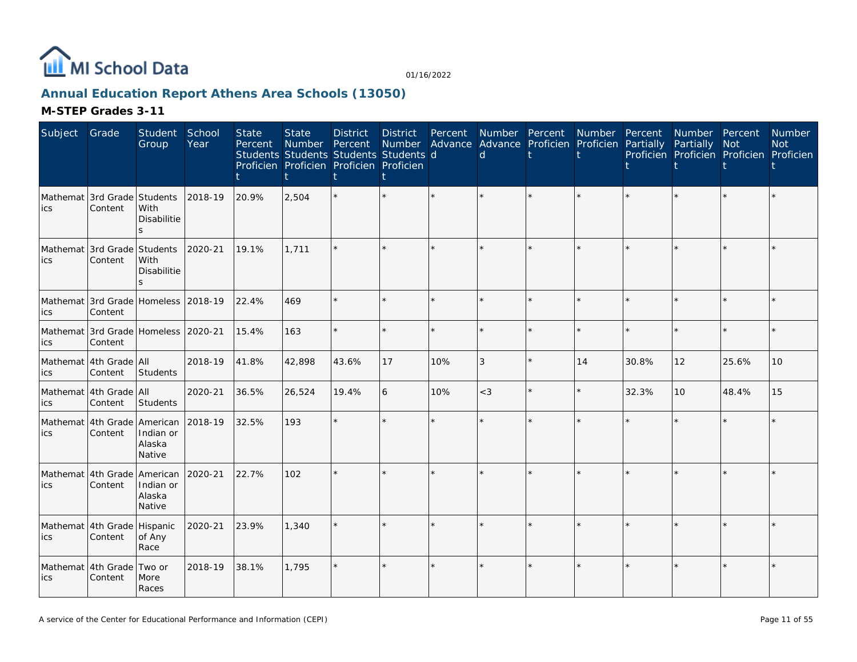

# **Annual Education Report Athens Area Schools (13050)**

| Subject         | Grade                                          | Student<br>Group              | School<br>Year | <b>State</b><br>Percent | <b>State</b><br>Number | <b>District</b><br>Percent<br>Students Students Students Students d<br>Proficien Proficien Proficien Proficien | <b>District</b><br>Number | Percent | $\mathsf{d}$ | Number Percent<br>Advance Advance Proficien Proficien Partially | Number  | Percent | Number Percent<br>Partially<br>Proficien Proficien Proficien Proficien | Not     | <b>Number</b><br><b>Not</b> |
|-----------------|------------------------------------------------|-------------------------------|----------------|-------------------------|------------------------|----------------------------------------------------------------------------------------------------------------|---------------------------|---------|--------------|-----------------------------------------------------------------|---------|---------|------------------------------------------------------------------------|---------|-----------------------------|
| ics             | Mathemat 3rd Grade Students<br>Content         | With<br>Disabilitie           | 2018-19        | 20.9%                   | 2,504                  |                                                                                                                |                           |         |              |                                                                 |         |         |                                                                        |         |                             |
| ics             | Mathemat 3rd Grade Students<br>Content         | With<br>Disabilitie<br>ς      | 2020-21        | 19.1%                   | 1.711                  |                                                                                                                |                           |         |              | $\star$                                                         |         |         | $\star$                                                                |         |                             |
| ics             | Mathemat 3rd Grade Homeless 2018-19<br>Content |                               |                | 22.4%                   | 469                    |                                                                                                                |                           |         |              | $\star$                                                         |         |         | $\star$                                                                |         |                             |
| ics             | Mathemat 3rd Grade Homeless 2020-21<br>Content |                               |                | 15.4%                   | 163                    |                                                                                                                |                           |         |              | $\star$                                                         | $\star$ |         | $\star$                                                                | $\star$ |                             |
| ics             | Mathemat 4th Grade All<br>Content              | Students                      | 2018-19        | 41.8%                   | 42,898                 | 43.6%                                                                                                          | 17                        | 10%     | 3            | $\star$                                                         | 14      | 30.8%   | 12                                                                     | 25.6%   | 10                          |
| ics             | Mathemat 4th Grade All<br>Content              | Students                      | 2020-21        | 36.5%                   | 26,524                 | 19.4%                                                                                                          | 6                         | 10%     | $<$ 3        | ÷.                                                              | $\star$ | 32.3%   | 10                                                                     | 48.4%   | 15                          |
| ics             | Mathemat 4th Grade American<br>Content         | Indian or<br>Alaska<br>Native | 2018-19        | 32.5%                   | 193                    |                                                                                                                |                           |         |              |                                                                 |         |         | ×.                                                                     |         |                             |
| ics             | Mathemat 4th Grade American<br>Content         | Indian or<br>Alaska<br>Native | 2020-21        | 22.7%                   | 102                    |                                                                                                                |                           |         |              |                                                                 |         |         |                                                                        |         |                             |
| ics             | Mathemat 4th Grade Hispanic<br>Content         | of Any<br>Race                | 2020-21        | 23.9%                   | 1,340                  |                                                                                                                |                           |         |              | $\star$                                                         |         |         | $\star$                                                                |         |                             |
| Mathemat<br>ics | 4th Grade<br>Content                           | Two or<br>More<br>Races       | 2018-19        | 38.1%                   | 1.795                  |                                                                                                                |                           |         |              | $\star$                                                         |         |         | $\star$                                                                |         |                             |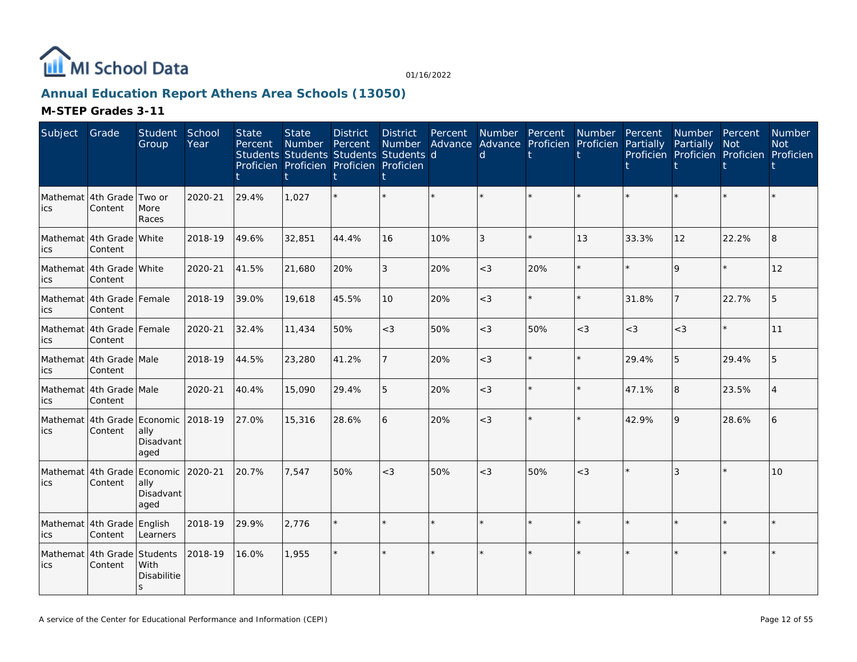

# **Annual Education Report Athens Area Schools (13050)**

| Subject                           | Grade                                  | Student<br>Group                              | School<br>Year | <b>State</b><br>Percent | <b>State</b><br>Number<br>Students Students Students Students d<br>Proficien Proficien Proficien Proficien | <b>District</b><br>Percent | <b>District</b><br>Number<br>ŧ | Percent | d       | Number Percent<br>Advance Advance Proficien Proficien | Number  | Percent<br>Partially | Number Percent<br>Partially<br>Proficien Proficien Proficien Proficien | <b>Not</b> | <b>Number</b><br><b>Not</b> |
|-----------------------------------|----------------------------------------|-----------------------------------------------|----------------|-------------------------|------------------------------------------------------------------------------------------------------------|----------------------------|--------------------------------|---------|---------|-------------------------------------------------------|---------|----------------------|------------------------------------------------------------------------|------------|-----------------------------|
| ics                               | Mathemat 4th Grade Two or<br>Content   | More<br>Races                                 | 2020-21        | 29.4%                   | 1,027                                                                                                      |                            |                                |         |         |                                                       |         |                      |                                                                        |            |                             |
| lics                              | Mathemat 4th Grade White<br>Content    |                                               | 2018-19        | 49.6%                   | 32,851                                                                                                     | 44.4%                      | 16                             | 10%     | 3       |                                                       | 13      | 33.3%                | 12                                                                     | 22.2%      | 8                           |
| ics                               | Mathemat 4th Grade White<br>Content    |                                               | 2020-21        | 41.5%                   | 21,680                                                                                                     | 20%                        | 3                              | 20%     | $<$ 3   | 20%                                                   | $\star$ | à.                   | $\mathsf{Q}$                                                           | $\star$    | 12                          |
| lics                              | Mathemat 4th Grade Female<br>Content   |                                               | 2018-19        | 39.0%                   | 19,618                                                                                                     | 45.5%                      | 10                             | 20%     | $<$ 3   | ÷.                                                    | $\star$ | 31.8%                | $\overline{7}$                                                         | 22.7%      | 5                           |
| lics                              | Mathemat 4th Grade Female<br>Content   |                                               | 2020-21        | 32.4%                   | 11,434                                                                                                     | 50%                        | $<$ 3                          | 50%     | $\lt$ 3 | 50%                                                   | $<$ 3   | $<$ 3                | $<$ 3                                                                  | $\star$    | 11                          |
| ics                               | Mathemat 4th Grade Male<br>Content     |                                               | 2018-19        | 44.5%                   | 23,280                                                                                                     | 41.2%                      | $\overline{7}$                 | 20%     | $\lt$ 3 |                                                       | $\star$ | 29.4%                | 5                                                                      | 29.4%      | 5                           |
| ics                               | Mathemat 4th Grade Male<br>Content     |                                               | 2020-21        | 40.4%                   | 15,090                                                                                                     | 29.4%                      | 5                              | 20%     | $<$ 3   |                                                       | $\star$ | 47.1%                | 8                                                                      | 23.5%      |                             |
| lics                              | Mathemat 4th Grade Economic<br>Content | ally<br>Disadvant<br>aged                     | 2018-19        | 27.0%                   | 15,316                                                                                                     | 28.6%                      | 6                              | 20%     | $<$ 3   |                                                       | $\star$ | 42.9%                | 9                                                                      | 28.6%      |                             |
| ics                               | Mathemat 4th Grade<br>Content          | Economic 2020-21<br>ally<br>Disadvant<br>aged |                | 20.7%                   | 7,547                                                                                                      | 50%                        | $<$ 3                          | 50%     | $<$ 3   | 50%                                                   | $<$ 3   |                      |                                                                        | $\star$    | 10                          |
| Mathemat 4th Grade English<br>ics | Content                                | Learners                                      | 2018-19        | 29.9%                   | 2,776                                                                                                      |                            |                                |         |         |                                                       |         |                      |                                                                        | $\star$    |                             |
| ics                               | Mathemat 4th Grade Students<br>Content | With<br>Disabilitie<br>$\mathsf{s}$           | 2018-19        | 16.0%                   | 1,955                                                                                                      |                            |                                |         |         |                                                       |         |                      |                                                                        |            |                             |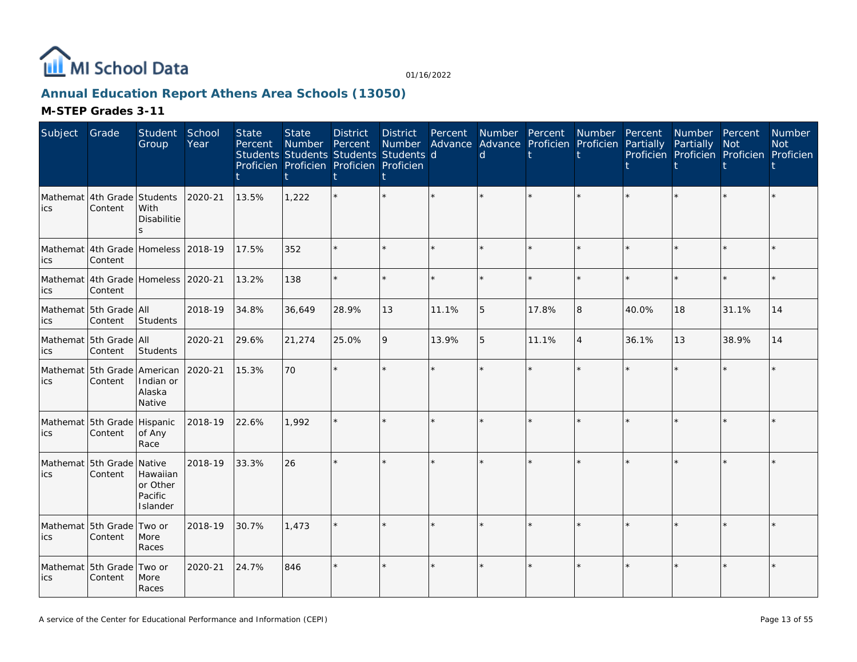

# **Annual Education Report Athens Area Schools (13050)**

| Subject | Grade                                          | Student<br>Group                                      | School<br>Year | <b>State</b><br>Percent | <b>State</b><br>Number | <b>District</b><br>Percent<br>Students Students Students Students d<br>Proficien Proficien Proficien Proficien | <b>District</b><br>Number | Percent | <sub>d</sub> | Number Percent Number<br>Advance Advance Proficien Proficien |                | Percent<br>Partially | Number Percent<br>Partially | Not<br>Proficien Proficien Proficien Proficien | Number<br><b>Not</b> |
|---------|------------------------------------------------|-------------------------------------------------------|----------------|-------------------------|------------------------|----------------------------------------------------------------------------------------------------------------|---------------------------|---------|--------------|--------------------------------------------------------------|----------------|----------------------|-----------------------------|------------------------------------------------|----------------------|
| ics     | Mathemat 4th Grade Students<br>Content         | With<br>Disabilitie                                   | 2020-21        | 13.5%                   | 1,222                  |                                                                                                                |                           |         |              |                                                              |                |                      |                             |                                                |                      |
| ics     | Mathemat 4th Grade Homeless 2018-19<br>Content |                                                       |                | 17.5%                   | 352                    |                                                                                                                |                           |         |              |                                                              |                |                      |                             | $\star$                                        |                      |
| ics     | Mathemat 4th Grade Homeless 2020-21<br>Content |                                                       |                | 13.2%                   | 138                    |                                                                                                                |                           | $\star$ |              |                                                              | $\star$        |                      | $\star$                     | $\star$                                        |                      |
| ics     | Mathemat 5th Grade All<br>Content              | Students                                              | 2018-19        | 34.8%                   | 36,649                 | 28.9%                                                                                                          | 13                        | 11.1%   | 5            | 17.8%                                                        | 8              | 40.0%                | 18                          | 31.1%                                          | 14                   |
| ics     | Mathemat 5th Grade All<br>Content              | Students                                              | 2020-21        | 29.6%                   | 21,274                 | 25.0%                                                                                                          | 9                         | 13.9%   | 5            | 11.1%                                                        | $\overline{4}$ | 36.1%                | 13                          | 38.9%                                          | 14                   |
| ics     | Mathemat 5th Grade American<br>Content         | Indian or<br>Alaska<br>Native                         | 2020-21        | 15.3%                   | 70                     |                                                                                                                |                           |         |              |                                                              | $\star$        |                      | ÷.                          | $\star$                                        |                      |
| lics    | Mathemat 5th Grade<br>Content                  | Hispanic<br>of Any<br>Race                            | 2018-19        | 22.6%                   | 1,992                  |                                                                                                                |                           |         |              |                                                              |                |                      |                             | $\star$                                        |                      |
| lics    | Mathemat 5th Grade<br>Content                  | Native<br>Hawaiian<br>or Other<br>Pacific<br>Islander | 2018-19        | 33.3%                   | 26                     |                                                                                                                |                           |         |              |                                                              | $\star$        |                      |                             | $\star$                                        |                      |
| ics     | Mathemat 5th Grade<br>Content                  | Two or<br>More<br>Races                               | 2018-19        | 30.7%                   | 1.473                  |                                                                                                                |                           |         |              |                                                              | $\star$        |                      |                             | $\star$                                        |                      |
| ics     | Mathemat 5th Grade<br>Content                  | Two or<br>More<br>Races                               | 2020-21        | 24.7%                   | 846                    |                                                                                                                |                           |         |              | $\star$                                                      | $\star$        |                      | $\star$                     | $\star$                                        |                      |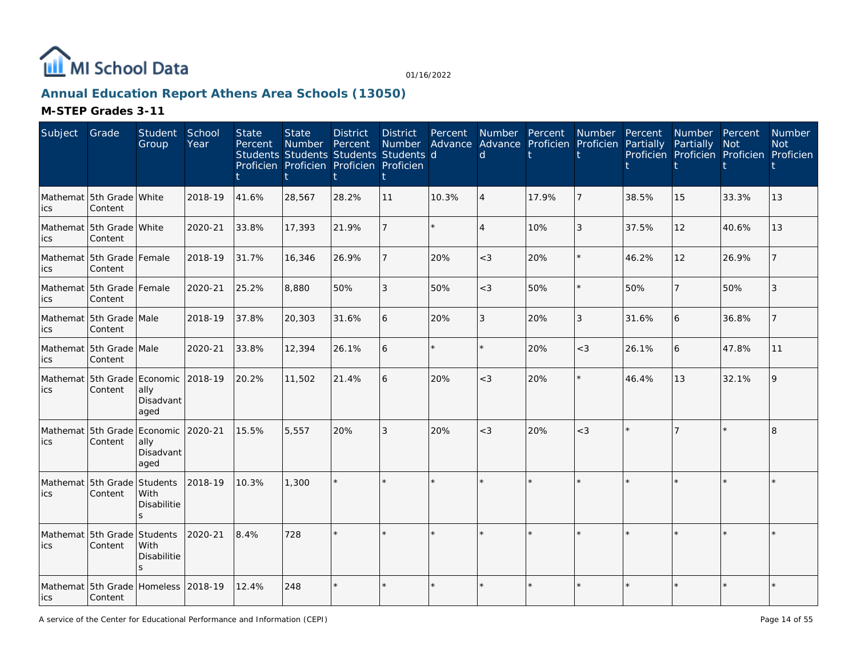

# **Annual Education Report Athens Area Schools (13050)**

| Subject | Grade                                          | Student<br>Group                                       | School<br>Year | <b>State</b><br>Percent | <b>State</b><br>Number | <b>District</b><br>Percent<br>Students Students Students Students d<br>Proficien Proficien Proficien Proficien | <b>District</b><br><b>Number</b> | Percent<br>Advance | Number Percent<br>d. |         | Number Percent<br>Advance Proficien Proficien | Partially | Number Percent<br>Partially<br>Proficien Proficien Proficien Proficien | <b>Not</b> | Number<br><b>Not</b> |
|---------|------------------------------------------------|--------------------------------------------------------|----------------|-------------------------|------------------------|----------------------------------------------------------------------------------------------------------------|----------------------------------|--------------------|----------------------|---------|-----------------------------------------------|-----------|------------------------------------------------------------------------|------------|----------------------|
| ics     | Mathemat 5th Grade White<br>Content            |                                                        | 2018-19        | 41.6%                   | 28,567                 | 28.2%                                                                                                          | 11                               | 10.3%              | $\overline{4}$       | 17.9%   | 7                                             | 38.5%     | 15                                                                     | 33.3%      | 13                   |
| ics     | Mathemat 5th Grade White<br>Content            |                                                        | 2020-21        | 33.8%                   | 17,393                 | 21.9%                                                                                                          |                                  |                    |                      | 10%     | 3                                             | 37.5%     | 12                                                                     | 40.6%      | 13                   |
| lics    | Mathemat 5th Grade Female<br>Content           |                                                        | 2018-19        | 31.7%                   | 16,346                 | 26.9%                                                                                                          |                                  | 20%                | $<$ 3                | 20%     | $\star$                                       | 46.2%     | 12                                                                     | 26.9%      |                      |
| ics     | Mathemat 5th Grade Female<br>Content           |                                                        | 2020-21        | 25.2%                   | 8,880                  | 50%                                                                                                            | 3                                | 50%                | $<$ 3                | 50%     | $\star$                                       | 50%       | 7                                                                      | 50%        | 3                    |
| lics    | Mathemat 5th Grade Male<br>Content             |                                                        | 2018-19        | 37.8%                   | 20,303                 | 31.6%                                                                                                          | 6                                | 20%                | 3                    | 20%     | 3                                             | 31.6%     | 6                                                                      | 36.8%      |                      |
| lics    | Mathemat 5th Grade Male<br>Content             |                                                        | 2020-21        | 33.8%                   | 12,394                 | 26.1%                                                                                                          | 6                                |                    |                      | 20%     | $<$ 3                                         | 26.1%     | 6                                                                      | 47.8%      | 11                   |
| ics     | Mathemat 5th Grade Economic<br>Content         | ally<br>Disadvant<br>aged                              | 2018-19        | 20.2%                   | 11,502                 | 21.4%                                                                                                          | 6                                | 20%                | $<$ 3                | 20%     | $\star$                                       | 46.4%     | 13                                                                     | 32.1%      |                      |
| ics     | Mathemat 5th Grade Economic 2020-21<br>Content | ally<br>Disadvant<br>aged                              |                | 15.5%                   | 5,557                  | 20%                                                                                                            | 3                                | 20%                | $<$ 3                | 20%     | $<$ 3                                         |           |                                                                        |            | 8                    |
| ics     | Mathemat 5th Grade<br>Content                  | Students<br>With<br><b>Disabilitie</b><br>$\mathbf{S}$ | 2018-19        | 10.3%                   | 1,300                  |                                                                                                                |                                  |                    |                      | k.      |                                               |           |                                                                        |            |                      |
| lics    | Mathemat 5th Grade<br>Content                  | Students<br><b>With</b><br><b>Disabilitie</b><br>S.    | 2020-21        | 8.4%                    | 728                    |                                                                                                                |                                  |                    |                      | $\star$ |                                               |           | $\star$                                                                |            |                      |
| lics    | Mathemat 5th Grade Homeless 2018-19<br>Content |                                                        |                | 12.4%                   | 248                    |                                                                                                                |                                  |                    |                      | $\star$ |                                               |           | $\star$                                                                |            |                      |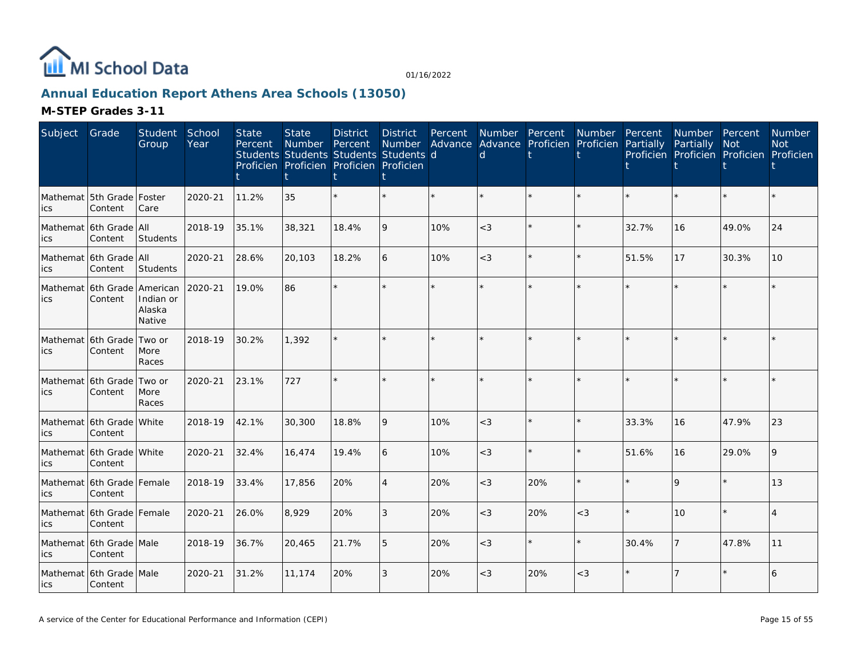

# **Annual Education Report Athens Area Schools (13050)**

| Subject | Grade                                | Student<br>Group                          | School<br>Year | <b>State</b><br>Percent | <b>State</b><br><b>Number</b><br>Students Students Students Students d<br>Proficien Proficien Proficien Proficien | <b>District</b><br>Percent | <b>District</b><br><b>Number</b> | Percent<br>Advance | <b>Number</b><br>Advance Proficien<br><sub>d</sub> | Percent | Number<br>Proficien | Percent<br>Partially | Number Percent<br>Partially | <b>Not</b><br>Proficien Proficien Proficien Proficien | Number<br><b>Not</b> |
|---------|--------------------------------------|-------------------------------------------|----------------|-------------------------|-------------------------------------------------------------------------------------------------------------------|----------------------------|----------------------------------|--------------------|----------------------------------------------------|---------|---------------------|----------------------|-----------------------------|-------------------------------------------------------|----------------------|
| ics     | Mathemat 5th Grade Foster<br>Content | Care                                      | 2020-21        | 11.2%                   | 35                                                                                                                |                            | $\star$                          | $\star$            |                                                    | $\star$ | $\star$             |                      | $\star$                     | $\star$                                               |                      |
| ics     | Mathemat 6th Grade All<br>Content    | <b>Students</b>                           | 2018-19        | 35.1%                   | 38,321                                                                                                            | 18.4%                      | 9                                | 10%                | $<$ 3                                              | $\star$ | $\star$             | 32.7%                | 16                          | 49.0%                                                 | 24                   |
| ics     | Mathemat 6th Grade All<br>Content    | Students                                  | 2020-21        | 28.6%                   | 20,103                                                                                                            | 18.2%                      | 6                                | 10%                | $<$ 3                                              | $\star$ | $\star$             | 51.5%                | 17                          | 30.3%                                                 | 10                   |
| lics    | Mathemat 6th Grade<br>Content        | American<br>Indian or<br>Alaska<br>Native | 2020-21        | 19.0%                   | 86                                                                                                                |                            | $\star$                          |                    |                                                    | $\star$ | ÷.                  |                      | $\star$                     |                                                       |                      |
| ics     | Mathemat 6th Grade<br>Content        | Two or<br>More<br>Races                   | 2018-19        | 30.2%                   | 1,392                                                                                                             |                            | $\star$                          | $\star$            | $\star$                                            | $\star$ | $\star$             | $\star$              | $\star$                     | $\star$                                               |                      |
| ics     | Mathemat 6th Grade Two or<br>Content | More<br>Races                             | 2020-21        | 23.1%                   | 727                                                                                                               |                            | $\star$                          | ÷.                 |                                                    | $\star$ | ÷.                  |                      | $\star$                     | ÷.                                                    |                      |
| ics     | Mathemat 6th Grade White<br>Content  |                                           | 2018-19        | 42.1%                   | 30,300                                                                                                            | 18.8%                      | 9                                | 10%                | $<$ 3                                              | $\star$ | $\star$             | 33.3%                | 16                          | 47.9%                                                 | 23                   |
| ics     | Mathemat 6th Grade White<br>Content  |                                           | 2020-21        | 32.4%                   | 16,474                                                                                                            | 19.4%                      | 6                                | 10%                | $<$ 3                                              | $\star$ | $\star$             | 51.6%                | 16                          | 29.0%                                                 | 9                    |
| ics     | Mathemat 6th Grade Female<br>Content |                                           | 2018-19        | 33.4%                   | 17,856                                                                                                            | 20%                        | 4                                | 20%                | $<$ 3                                              | 20%     | $\star$             |                      | 9                           | $\star$                                               | 13                   |
| lics    | Mathemat 6th Grade Female<br>Content |                                           | 2020-21        | 26.0%                   | 8,929                                                                                                             | 20%                        | 3                                | 20%                | $<$ 3                                              | 20%     | $<$ 3               |                      | 10                          | $\star$                                               | $\overline{4}$       |
| lics    | Mathemat 6th Grade Male<br>Content   |                                           | 2018-19        | 36.7%                   | 20,465                                                                                                            | 21.7%                      | 5                                | 20%                | $<$ 3                                              | $\star$ | $\star$             | 30.4%                | $\overline{7}$              | 47.8%                                                 | 11                   |
| lics    | Mathemat 6th Grade Male<br>Content   |                                           | 2020-21        | 31.2%                   | 11,174                                                                                                            | 20%                        | 3                                | 20%                | $<$ 3                                              | 20%     | $<$ 3               |                      | 7                           | $\star$                                               | 6                    |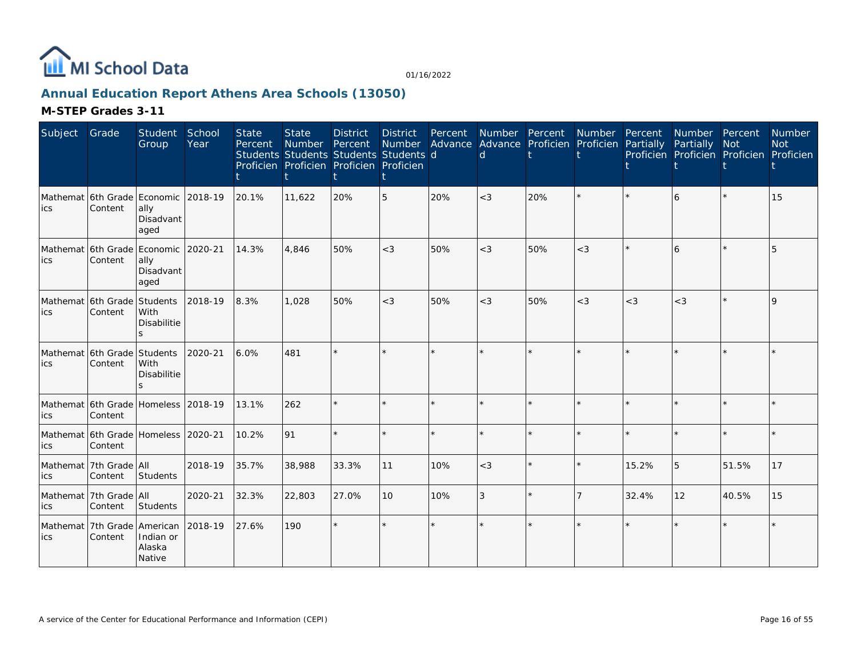

# **Annual Education Report Athens Area Schools (13050)**

| Subject                                     | Grade                                          | Student<br>Group              | School<br>Year | <b>State</b><br>Percent | <b>State</b><br>Number<br>Students Students Students Students d<br>Proficien Proficien Proficien Proficien | <b>District</b><br>Percent | <b>District</b><br>Number | Percent | Number Percent<br>d | Advance Advance Proficien Proficien | Number  | Percent<br>Partially | Number Percent<br>Partially<br>Proficien Proficien Proficien Proficien | <b>Not</b> | Number<br><b>Not</b> |
|---------------------------------------------|------------------------------------------------|-------------------------------|----------------|-------------------------|------------------------------------------------------------------------------------------------------------|----------------------------|---------------------------|---------|---------------------|-------------------------------------|---------|----------------------|------------------------------------------------------------------------|------------|----------------------|
| lics                                        | Mathemat 6th Grade Economic<br>Content         | ally<br>Disadvant<br>aged     | 2018-19        | 20.1%                   | 11,622                                                                                                     | 20%                        | 5                         | 20%     | $<$ 3               | 20%                                 | $\star$ |                      | 6                                                                      |            | 15                   |
| lics                                        | Mathemat 6th Grade Economic<br>Content         | ally<br>Disadvant<br>aged     | 2020-21        | 14.3%                   | 4.846                                                                                                      | 50%                        | $<$ 3                     | 50%     | $<$ 3               | 50%                                 | $<$ 3   |                      | 6                                                                      | $\star$    | 5                    |
| Mathemat 6th Grade Students<br>lics         | Content                                        | With<br>Disabilitie<br>S.     | 2018-19        | 8.3%                    | 1.028                                                                                                      | 50%                        | $<$ 3                     | 50%     | $<$ 3               | 50%                                 | $<$ 3   | $<$ 3                | $<$ 3                                                                  | $\star$    | $\mathsf{Q}$         |
| Mathemat 6th Grade Students<br>lics         | Content                                        | With<br>Disabilitie           | 2020-21        | 6.0%                    | 481                                                                                                        |                            | $\star$                   |         |                     | $\star$                             |         |                      | ÷.                                                                     | ÷.         |                      |
| lics                                        | Mathemat 6th Grade Homeless 2018-19<br>Content |                               |                | 13.1%                   | 262                                                                                                        |                            | ÷.                        | $\star$ |                     | $\star$                             | $\star$ |                      | ÷.                                                                     | $\star$    |                      |
| Mathemat 6th Grade Homeless 2020-21<br>lics | Content                                        |                               |                | 10.2%                   | 91                                                                                                         |                            | $\star$                   | $\star$ |                     | $\star$                             | $\star$ |                      | $\star$                                                                | ÷.         |                      |
| lics                                        | Mathemat 7th Grade All<br>Content              | Students                      | 2018-19        | 35.7%                   | 38,988                                                                                                     | 33.3%                      | 11                        | 10%     | $<$ 3               | $\star$                             | $\star$ | 15.2%                | 5                                                                      | 51.5%      | 17                   |
| lics                                        | Mathemat   7th Grade   All<br>Content          | Students                      | 2020-21        | 32.3%                   | 22,803                                                                                                     | 27.0%                      | 10                        | 10%     | 3                   | $\star$                             | 7       | 32.4%                | 12                                                                     | 40.5%      | 15                   |
| lics                                        | Mathemat 7th Grade American<br>Content         | Indian or<br>Alaska<br>Native | 2018-19        | 27.6%                   | 190                                                                                                        |                            | $\star$                   | $\star$ |                     | $\star$                             | ÷.      |                      | $\star$                                                                | ÷.         |                      |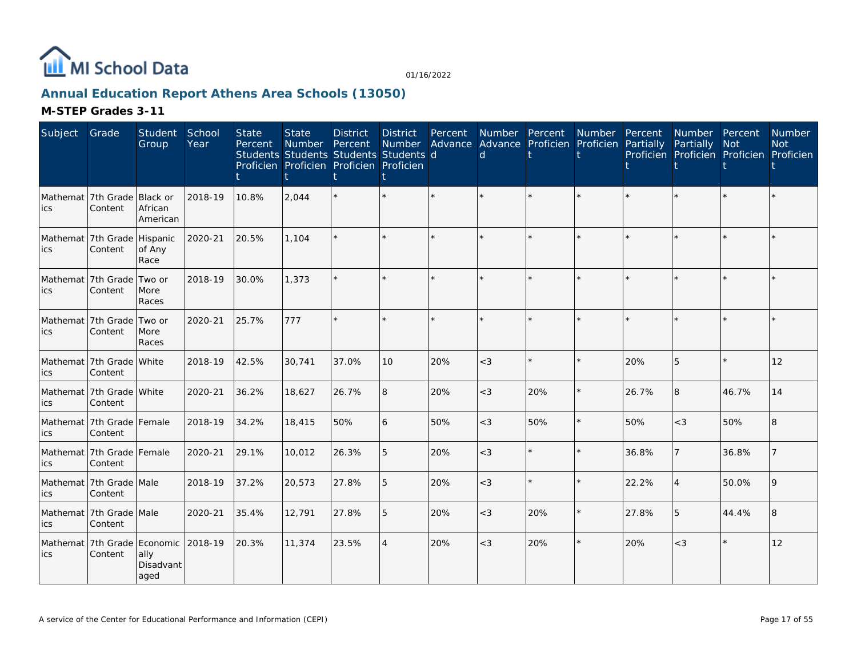

# **Annual Education Report Athens Area Schools (13050)**

| Subject | Grade                                   | Student<br>Group                | School<br>Year | <b>State</b><br>Percent | <b>State</b><br>Number<br>Students Students Students Students d<br>Proficien Proficien Proficien Proficien | <b>District</b><br>Percent | <b>District</b><br>Number | Percent<br>Advance | Number Percent<br><sub>d</sub> | Advance Proficien | Number<br>Proficien | Percent<br>Partially | Number Percent<br>Partially | <b>Not</b><br>Proficien Proficien Proficien Proficien | <b>Number</b><br><b>Not</b> |
|---------|-----------------------------------------|---------------------------------|----------------|-------------------------|------------------------------------------------------------------------------------------------------------|----------------------------|---------------------------|--------------------|--------------------------------|-------------------|---------------------|----------------------|-----------------------------|-------------------------------------------------------|-----------------------------|
| ics     | Mathemat 7th Grade<br>Content           | Black or<br>African<br>American | 2018-19        | 10.8%                   | 2,044                                                                                                      |                            |                           |                    |                                |                   |                     |                      |                             |                                                       |                             |
| ics     | Mathemat 7th Grade Hispanic<br>Content  | of Any<br>Race                  | 2020-21        | 20.5%                   | 1.104                                                                                                      |                            |                           |                    |                                |                   | $\star$             |                      |                             | $\star$                                               |                             |
| lics    | Mathemat 7th Grade<br>Content           | Two or<br>More<br>Races         | 2018-19        | 30.0%                   | 1,373                                                                                                      |                            |                           | $\star$            |                                | ÷.                | $\star$             |                      | $\star$                     | $\star$                                               |                             |
| ics     | Mathemat 7th Grade<br>Content           | Two or<br>More<br>Races         | 2020-21        | 25.7%                   | 777                                                                                                        |                            |                           |                    |                                |                   | $\star$             |                      | $\star$                     | $\star$                                               |                             |
| ics     | Mathemat 7th Grade White<br>Content     |                                 | 2018-19        | 42.5%                   | 30.741                                                                                                     | 37.0%                      | 10                        | 20%                | $<$ 3                          |                   |                     | 20%                  | 5                           | $\star$                                               | 12                          |
| ics     | Mathemat   7th Grade   White<br>Content |                                 | 2020-21        | 36.2%                   | 18,627                                                                                                     | 26.7%                      | 8                         | 20%                | $<$ 3                          | 20%               | $\star$             | 26.7%                | 8                           | 46.7%                                                 | 14                          |
| ics     | Mathemat 7th Grade Female<br>Content    |                                 | 2018-19        | 34.2%                   | 18,415                                                                                                     | 50%                        | 6                         | 50%                | $<$ 3                          | 50%               | $\star$             | 50%                  | $<$ 3                       | 50%                                                   | 8                           |
| ics     | Mathemat 7th Grade Female<br>Content    |                                 | 2020-21        | 29.1%                   | 10,012                                                                                                     | 26.3%                      | 5                         | 20%                | $<$ 3                          | $\star$           | $\star$             | 36.8%                | 7                           | 36.8%                                                 |                             |
| ics     | Mathemat 7th Grade Male<br>Content      |                                 | 2018-19        | 37.2%                   | 20,573                                                                                                     | 27.8%                      | 5                         | 20%                | $<$ 3                          |                   | $\star$             | 22.2%                | $\overline{4}$              | 50.0%                                                 | 9                           |
| ics     | Mathemat   7th Grade   Male<br>Content  |                                 | 2020-21        | 35.4%                   | 12,791                                                                                                     | 27.8%                      | 5                         | 20%                | $<$ 3                          | 20%               | $\star$             | 27.8%                | 5                           | 44.4%                                                 | 8                           |
| ics     | Mathemat 7th Grade Economic<br>Content  | ally<br>Disadvant<br>aged       | 2018-19        | 20.3%                   | 11,374                                                                                                     | 23.5%                      | $\overline{4}$            | 20%                | $<$ 3                          | 20%               | $\star$             | 20%                  | $<\!3$                      | $\star$                                               | 12                          |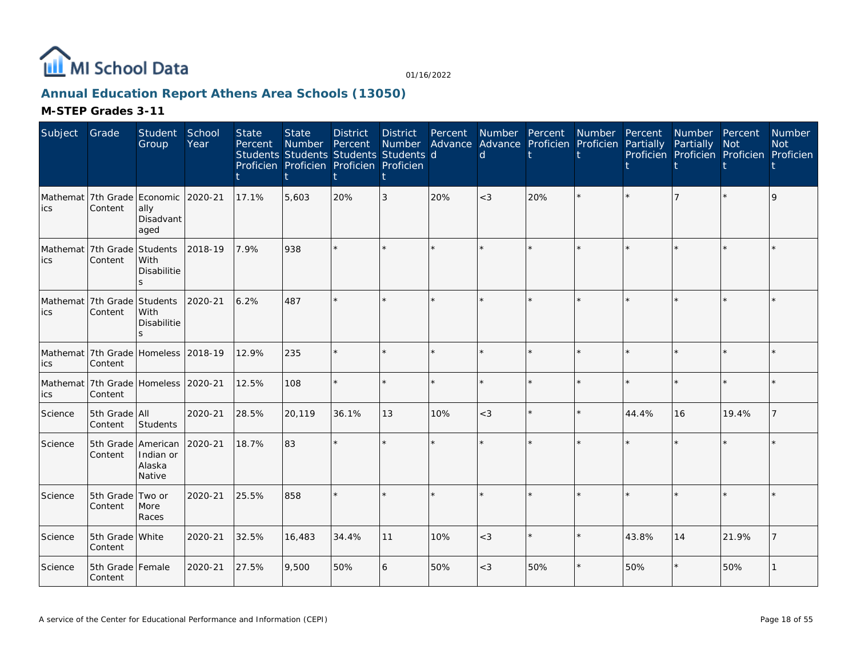

# **Annual Education Report Athens Area Schools (13050)**

| Subject | Grade                                          | Student<br>Group                            | School<br>Year | <b>State</b><br>Percent | <b>State</b><br>Number<br>Students Students Students Students d<br>Proficien Proficien Proficien Proficien | <b>District</b><br>Percent | <b>District</b><br>Number | Percent<br>Advance | Number Percent<br><sub>d</sub> | Advance Proficien | Number<br>Proficien | Percent<br>Partially | Number Percent<br>Partially | <b>Not</b><br>Proficien Proficien Proficien Proficien | Number<br><b>Not</b> |
|---------|------------------------------------------------|---------------------------------------------|----------------|-------------------------|------------------------------------------------------------------------------------------------------------|----------------------------|---------------------------|--------------------|--------------------------------|-------------------|---------------------|----------------------|-----------------------------|-------------------------------------------------------|----------------------|
| lics    | Mathemat 7th Grade Economic<br>Content         | ally<br>Disadvant<br>aged                   | 2020-21        | 17.1%                   | 5,603                                                                                                      | 20%                        | 3                         | 20%                | $<$ 3                          | 20%               |                     |                      |                             |                                                       | q                    |
| lics    | Mathemat 7th Grade<br>Content                  | Students<br>With<br><b>Disabilitie</b>      | 2018-19        | 7.9%                    | 938                                                                                                        |                            |                           |                    |                                |                   |                     |                      |                             |                                                       |                      |
| lics    | Mathemat 7th Grade<br>Content                  | Students<br>With<br><b>Disabilitie</b><br>S | 2020-21        | 6.2%                    | 487                                                                                                        |                            |                           |                    |                                |                   |                     |                      | ×.                          |                                                       |                      |
| ics     | Mathemat 7th Grade Homeless 2018-19<br>Content |                                             |                | 12.9%                   | 235                                                                                                        |                            |                           |                    |                                |                   |                     |                      | $\star$                     | $\star$                                               |                      |
| ics     | Mathemat 7th Grade Homeless 2020-21<br>Content |                                             |                | 12.5%                   | 108                                                                                                        |                            |                           |                    |                                |                   |                     |                      | $\star$                     | $\star$                                               |                      |
| Science | 5th Grade All<br>Content                       | Students                                    | 2020-21        | 28.5%                   | 20,119                                                                                                     | 36.1%                      | 13                        | 10%                | $<$ 3                          |                   | $\Phi$              | 44.4%                | 16                          | 19.4%                                                 |                      |
| Science | 5th Grade American<br>Content                  | Indian or<br>Alaska<br>Native               | 2020-21        | 18.7%                   | 83                                                                                                         |                            |                           |                    |                                |                   |                     |                      |                             |                                                       |                      |
| Science | 5th Grade<br>Content                           | Two or<br>More<br>Races                     | 2020-21        | 25.5%                   | 858                                                                                                        |                            |                           |                    |                                |                   |                     |                      | ÷.                          | $\star$                                               |                      |
| Science | 5th Grade White<br>Content                     |                                             | 2020-21        | 32.5%                   | 16,483                                                                                                     | 34.4%                      | 11                        | 10%                | $<$ 3                          |                   |                     | 43.8%                | 14                          | 21.9%                                                 |                      |
| Science | 5th Grade Female<br>Content                    |                                             | 2020-21        | 27.5%                   | 9,500                                                                                                      | 50%                        | 6                         | 50%                | $<$ 3                          | 50%               |                     | 50%                  | $\star$                     | 50%                                                   |                      |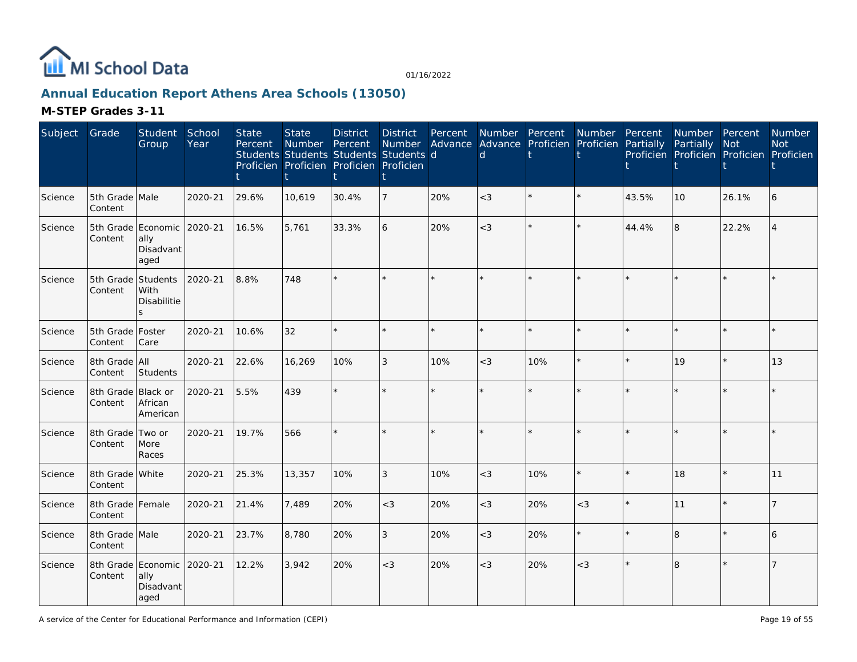

# **Annual Education Report Athens Area Schools (13050)**

| Subject | Grade                         | Student<br>Group                                        | School<br>Year | <b>State</b><br>Percent | <b>State</b><br><b>Number</b><br>Students Students Students Students d<br>Proficien Proficien Proficien Proficien | <b>District</b><br>Percent | <b>District</b><br>Number | Percent | $\mathsf{d}$ | Number Percent<br>Advance Advance Proficien Proficien Partially | Number  | Percent | Number Percent<br>Partially | <b>Not</b><br>Proficien Proficien Proficien Proficien | <b>Number</b><br><b>Not</b> |
|---------|-------------------------------|---------------------------------------------------------|----------------|-------------------------|-------------------------------------------------------------------------------------------------------------------|----------------------------|---------------------------|---------|--------------|-----------------------------------------------------------------|---------|---------|-----------------------------|-------------------------------------------------------|-----------------------------|
| Science | 5th Grade Male<br>Content     |                                                         | 2020-21        | 29.6%                   | 10,619                                                                                                            | 30.4%                      | 7                         | 20%     | $<$ 3        | $\star$                                                         | $\star$ | 43.5%   | 10                          | 26.1%                                                 | 6                           |
| Science | Content                       | 5th Grade Economic 2020-21<br>ally<br>Disadvant<br>aged |                | 16.5%                   | 5,761                                                                                                             | 33.3%                      | 6                         | 20%     | $<$ 3        | $\star$                                                         | $\star$ | 44.4%   | 8                           | 22.2%                                                 |                             |
| Science | 5th Grade<br>Content          | Students<br>With<br>Disabilitie<br>$\mathcal{S}$        | 2020-21        | 8.8%                    | 748                                                                                                               |                            | $\star$                   |         |              | $\star$                                                         |         |         |                             | $\star$                                               |                             |
| Science | 5th Grade<br>Content          | Foster<br>Care                                          | 2020-21        | 10.6%                   | 32                                                                                                                |                            | $\star$                   |         |              | $\star$                                                         | $\star$ |         |                             | $\star$                                               |                             |
| Science | 8th Grade All<br>Content      | Students                                                | 2020-21        | 22.6%                   | 16,269                                                                                                            | 10%                        | 3                         | 10%     | $<$ 3        | 10%                                                             | $\star$ |         | 19                          | $\star$                                               | 13                          |
| Science | 8th Grade Black or<br>Content | African<br>American                                     | 2020-21        | 5.5%                    | 439                                                                                                               |                            | $\star$                   |         |              | $\star$                                                         |         |         |                             |                                                       |                             |
| Science | 8th Grade<br>Content          | Two or<br>More<br>Races                                 | 2020-21        | 19.7%                   | 566                                                                                                               |                            | $\star$                   | $\star$ |              | $\star$                                                         | $\star$ |         |                             |                                                       |                             |
| Science | 8th Grade White<br>Content    |                                                         | 2020-21        | 25.3%                   | 13,357                                                                                                            | 10%                        | 3                         | 10%     | $<$ 3        | 10%                                                             | $\star$ |         | 18                          | $\star$                                               | 11                          |
| Science | 8th Grade Female<br>Content   |                                                         | 2020-21        | 21.4%                   | 7,489                                                                                                             | 20%                        | $<$ 3                     | 20%     | $<$ 3        | 20%                                                             | $<$ 3   |         | 11                          | $\star$                                               |                             |
| Science | 8th Grade Male<br>Content     |                                                         | 2020-21        | 23.7%                   | 8,780                                                                                                             | 20%                        | 3                         | 20%     | $<$ 3        | 20%                                                             | $\star$ |         | 8                           |                                                       | 6                           |
| Science | Content                       | 8th Grade Economic<br>ally<br>Disadvant<br>aged         | 2020-21        | 12.2%                   | 3.942                                                                                                             | 20%                        | $<$ 3                     | 20%     | $<$ 3        | 20%                                                             | $<$ 3   |         | 8                           |                                                       |                             |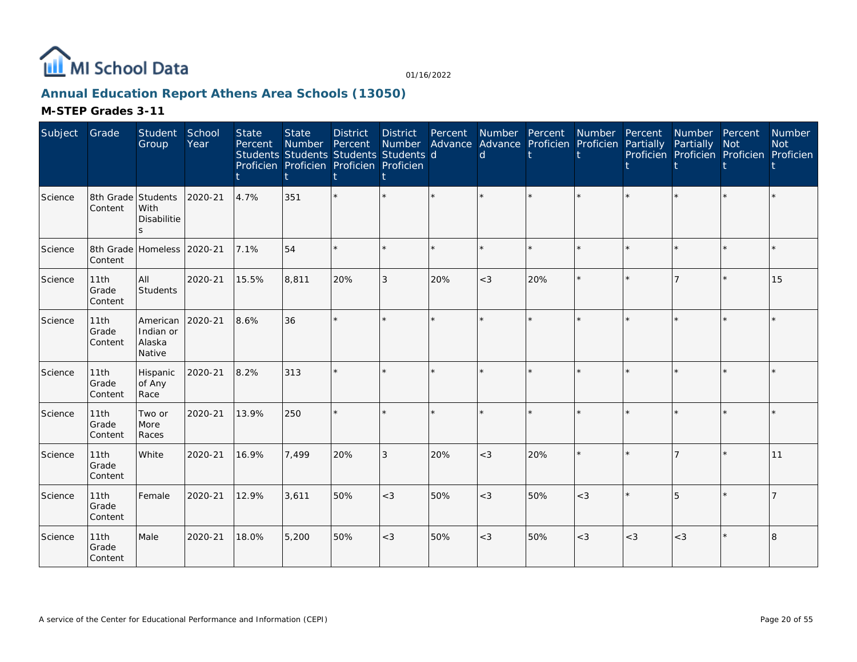

# **Annual Education Report Athens Area Schools (13050)**

| Subject | Grade                                 | Student<br>Group                          | School<br>Year | <b>State</b><br>Percent | <b>State</b><br>Number Percent | <b>District</b><br>Students Students Students Students d<br>Proficien Proficien Proficien Proficien | District | Percent | Number Advance Advance Proficien Proficien Partially<br>d | Number Percent | Number  | Percent | Number Percent<br>Partially<br>Proficien Proficien Proficien Proficien | <b>Not</b> | Number<br><b>Not</b> |
|---------|---------------------------------------|-------------------------------------------|----------------|-------------------------|--------------------------------|-----------------------------------------------------------------------------------------------------|----------|---------|-----------------------------------------------------------|----------------|---------|---------|------------------------------------------------------------------------|------------|----------------------|
| Science | 8th Grade Students<br>Content         | With<br>Disabilitie<br>S                  | 2020-21        | 4.7%                    | 351                            |                                                                                                     |          |         |                                                           | $\star$        |         |         |                                                                        | $\star$    |                      |
| Science | 8th Grade Homeless 2020-21<br>Content |                                           |                | 7.1%                    | 54                             |                                                                                                     |          |         |                                                           | $\star$        | $\star$ |         |                                                                        | $\star$    |                      |
| Science | 11th<br>Grade<br>Content              | All<br>Students                           | 2020-21        | 15.5%                   | 8.811                          | 20%                                                                                                 | 3        | 20%     | $<$ 3                                                     | 20%            | $\star$ |         |                                                                        | $\star$    | 15                   |
| Science | 11th<br>Grade<br>Content              | American<br>Indian or<br>Alaska<br>Native | 2020-21        | 8.6%                    | 36                             |                                                                                                     |          | $\star$ |                                                           | $\star$        |         |         |                                                                        | ÷          |                      |
| Science | 11th<br>Grade<br>Content              | Hispanic<br>of Any<br>Race                | 2020-21        | 8.2%                    | 313                            |                                                                                                     |          |         |                                                           | $\star$        | $\star$ |         |                                                                        | ÷.         |                      |
| Science | 11th<br>Grade<br>Content              | Two or<br>More<br>Races                   | 2020-21        | 13.9%                   | 250                            |                                                                                                     |          |         |                                                           | $\star$        | $\star$ |         |                                                                        | $\star$    |                      |
| Science | 11th<br>Grade<br>Content              | White                                     | 2020-21        | 16.9%                   | 7,499                          | 20%                                                                                                 | 3        | 20%     | $<$ 3                                                     | 20%            |         |         |                                                                        | $\star$    | 11                   |
| Science | 11th<br>Grade<br>Content              | Female                                    | 2020-21        | 12.9%                   | 3,611                          | 50%                                                                                                 | $<$ 3    | 50%     | $<$ 3                                                     | 50%            | $<$ 3   |         | $5\overline{5}$                                                        | $\star$    |                      |
| Science | 11th<br>Grade<br>Content              | Male                                      | 2020-21        | 18.0%                   | 5,200                          | 50%                                                                                                 | $<$ 3    | 50%     | $<$ 3                                                     | 50%            | $<$ 3   | $<$ 3   | $<\!3$                                                                 | ¥.         | 8                    |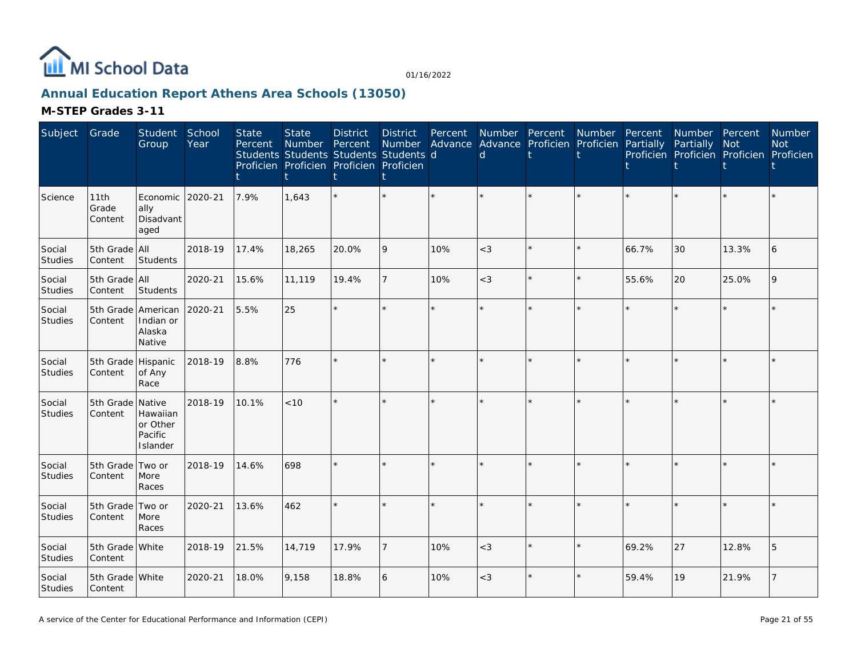

# **Annual Education Report Athens Area Schools (13050)**

| Subject                  | Grade                         | Student<br>Group                                    | School<br>Year | <b>State</b><br>Percent | <b>State</b><br>Number<br>Proficien Proficien Proficien Proficien | <b>District</b><br>Percent | <b>District</b><br>Number<br>Students Students Students Students d | Percent<br>Advance | Number Percent<br>$\mathsf{d}$ | Advance Proficien | Number<br>Proficien | Percent<br>Partially | Number Percent<br>Partially<br>Proficien Proficien Proficien Proficien | <b>Not</b> | Number<br><b>Not</b> |
|--------------------------|-------------------------------|-----------------------------------------------------|----------------|-------------------------|-------------------------------------------------------------------|----------------------------|--------------------------------------------------------------------|--------------------|--------------------------------|-------------------|---------------------|----------------------|------------------------------------------------------------------------|------------|----------------------|
| Science                  | 11th<br>Grade<br>Content      | Economic 2020-21<br>ally<br>Disadvant<br>aged       |                | 7.9%                    | 1,643                                                             |                            | $\star$                                                            |                    |                                | $\star$           |                     |                      | $\star$                                                                | $\star$    |                      |
| Social<br>Studies        | 5th Grade All<br>Content      | Students                                            | 2018-19        | 17.4%                   | 18,265                                                            | 20.0%                      | 9                                                                  | 10%                | $<$ 3                          | $\star$           | $\star$             | 66.7%                | 30                                                                     | 13.3%      | 6                    |
| Social<br><b>Studies</b> | 5th Grade All<br>Content      | Students                                            | 2020-21        | 15.6%                   | 11,119                                                            | 19.4%                      | 7                                                                  | 10%                | $<$ 3                          | $\star$           | $\star$             | 55.6%                | 20                                                                     | 25.0%      | $\overline{Q}$       |
| Social<br>Studies        | Content                       | 5th Grade American<br>Indian or<br>Alaska<br>Native | 2020-21        | 5.5%                    | 25                                                                |                            | $\star$                                                            | ÷.                 |                                | $\star$           | $\star$             |                      | $\star$                                                                | $\star$    |                      |
| Social<br>Studies        | 5th Grade Hispanic<br>Content | of Any<br>Race                                      | 2018-19        | 8.8%                    | 776                                                               |                            | $\star$                                                            |                    |                                | $\star$           |                     |                      | $\star$                                                                |            |                      |
| Social<br>Studies        | 5th Grade Native<br>Content   | Hawaiian<br>or Other<br>Pacific<br>Islander         | 2018-19        | 10.1%                   | < 10                                                              |                            | $\star$                                                            |                    |                                | $\star$           |                     |                      | $\star$                                                                | $\star$    |                      |
| Social<br>Studies        | 5th Grade Two or<br>Content   | More<br>Races                                       | 2018-19        | 14.6%                   | 698                                                               |                            | $\star$                                                            |                    |                                | $\star$           |                     |                      | $\star$                                                                | $\Phi$     |                      |
| Social<br>Studies        | 5th Grade Two or<br>Content   | More<br>Races                                       | 2020-21        | 13.6%                   | 462                                                               |                            | $\star$                                                            |                    |                                | $\star$           |                     |                      | $\star$                                                                | $\star$    |                      |
| Social<br>Studies        | 5th Grade White<br>Content    |                                                     | 2018-19        | 21.5%                   | 14,719                                                            | 17.9%                      | $\overline{7}$                                                     | 10%                | $<$ 3                          | $\star$           | $\star$             | 69.2%                | 27                                                                     | 12.8%      | 5                    |
| Social<br>Studies        | 5th Grade White<br>Content    |                                                     | 2020-21        | 18.0%                   | 9,158                                                             | 18.8%                      | 6                                                                  | 10%                | $<$ 3                          | $\star$           |                     | 59.4%                | 19                                                                     | 21.9%      |                      |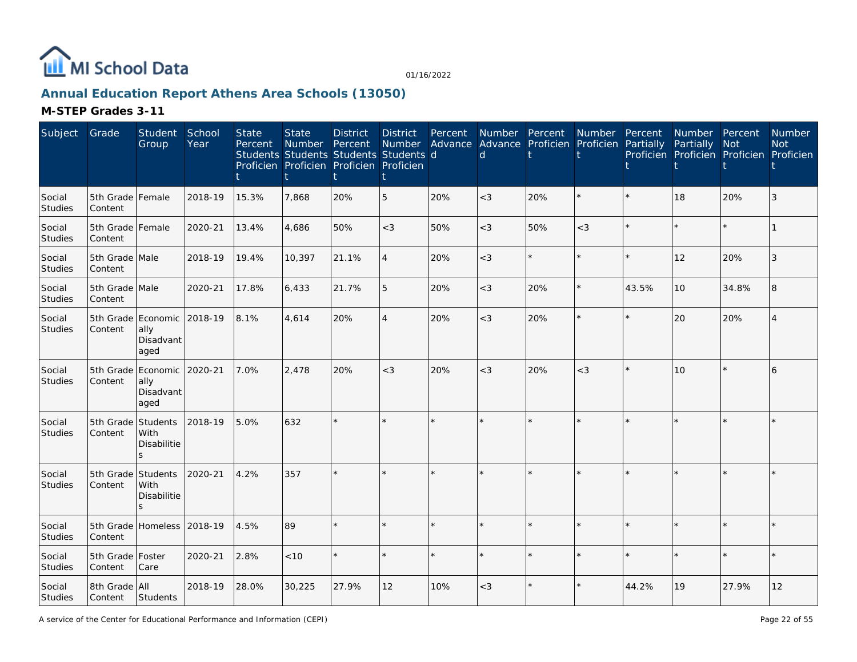

# **Annual Education Report Athens Area Schools (13050)**

| Subject                  | Grade                       | Student<br>Group                                       | School<br>Year | <b>State</b><br>Percent | <b>State</b><br>Number | <b>District</b><br>Percent<br>Students Students Students Students d<br>Proficien Proficien Proficien Proficien | <b>District</b><br>Number | Percent | Advance Advance Proficien<br>$\mathsf{d}$ | Number Percent | Number<br>Proficien | Percent<br>Partially | Number Percent<br>Partially<br>Proficien Proficien Proficien Proficien | Not     | <b>Number</b><br><b>Not</b> |
|--------------------------|-----------------------------|--------------------------------------------------------|----------------|-------------------------|------------------------|----------------------------------------------------------------------------------------------------------------|---------------------------|---------|-------------------------------------------|----------------|---------------------|----------------------|------------------------------------------------------------------------|---------|-----------------------------|
| Social<br><b>Studies</b> | 5th Grade Female<br>Content |                                                        | 2018-19        | 15.3%                   | 7,868                  | 20%                                                                                                            | 5                         | 20%     | $<$ 3                                     | 20%            | $\star$             |                      | 18                                                                     | 20%     | 3                           |
| Social<br><b>Studies</b> | 5th Grade Female<br>Content |                                                        | 2020-21        | 13.4%                   | 4,686                  | 50%                                                                                                            | $<\!3$                    | 50%     | $<$ 3                                     | 50%            | $<\!3$              |                      | $\star$                                                                | $\star$ |                             |
| Social<br>Studies        | 5th Grade Male<br>Content   |                                                        | 2018-19        | 19.4%                   | 10,397                 | 21.1%                                                                                                          | $\overline{4}$            | 20%     | $\lt$ 3                                   | $\star$        | $\star$             |                      | 12                                                                     | 20%     | 3                           |
| Social<br>Studies        | 5th Grade Male<br>Content   |                                                        | 2020-21        | 17.8%                   | 6,433                  | 21.7%                                                                                                          | 5                         | 20%     | $<$ 3                                     | 20%            | $\star$             | 43.5%                | 10                                                                     | 34.8%   | 8                           |
| Social<br><b>Studies</b> | 5th Grade<br>Content        | Economic<br>ally<br>Disadvant<br>aged                  | 2018-19        | 8.1%                    | 4,614                  | 20%                                                                                                            | $\overline{4}$            | 20%     | $<$ 3                                     | 20%            |                     |                      | 20                                                                     | 20%     |                             |
| Social<br>Studies        | 5th Grade<br>Content        | Economic<br>ally<br>Disadvant<br>aged                  | 2020-21        | 7.0%                    | 2,478                  | 20%                                                                                                            | $\lt3$                    | 20%     | $<$ 3                                     | 20%            | $<$ 3               |                      | 10                                                                     |         | 6                           |
| Social<br>Studies        | 5th Grade<br>Content        | Students<br>With<br><b>Disabilitie</b><br>$\mathbf{S}$ | 2018-19        | 5.0%                    | 632                    |                                                                                                                |                           |         |                                           | $\star$        |                     |                      | $\star$                                                                |         |                             |
| Social<br><b>Studies</b> | 5th Grade<br>Content        | Students<br>With<br>Disabilitie<br>$\leq$              | 2020-21        | 4.2%                    | 357                    |                                                                                                                |                           |         |                                           |                |                     |                      | ×.                                                                     |         |                             |
| Social<br><b>Studies</b> | Content                     | 5th Grade Homeless 2018-19                             |                | 4.5%                    | 89                     |                                                                                                                |                           |         |                                           | $\star$        | ÷                   |                      | $\star$                                                                | $\Phi$  |                             |
| Social<br>Studies        | 5th Grade Foster<br>Content | Care                                                   | 2020-21        | 2.8%                    | < 10                   |                                                                                                                |                           |         |                                           | $\star$        |                     |                      | $\star$                                                                |         |                             |
| Social<br>Studies        | 8th Grade All<br>Content    | Students                                               | 2018-19        | 28.0%                   | 30,225                 | 27.9%                                                                                                          | 12                        | 10%     | $<$ 3                                     | $\star$        |                     | 44.2%                | 19                                                                     | 27.9%   | 12                          |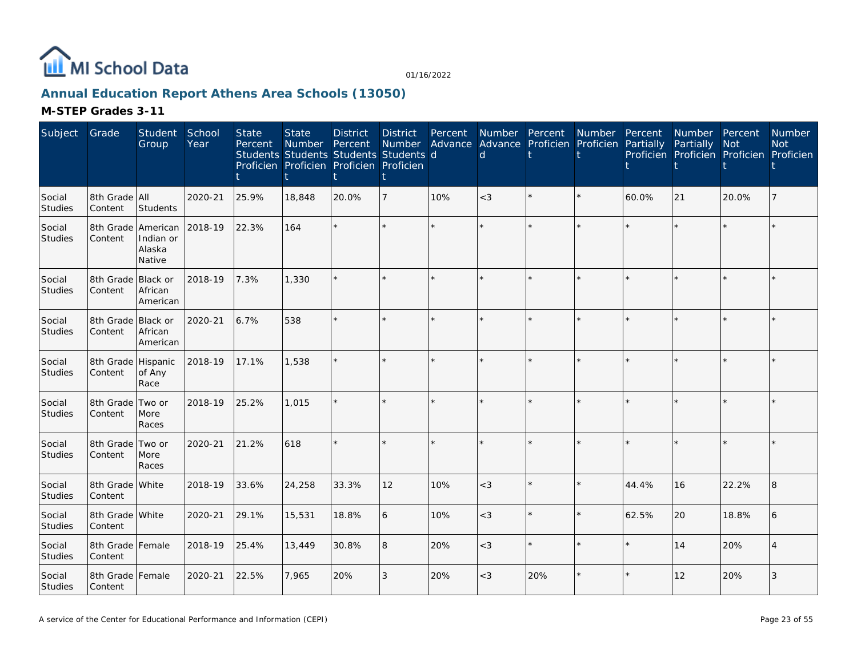

# **Annual Education Report Athens Area Schools (13050)**

| Subject                  | Grade                         | <b>Student</b><br>Group         | School<br>Year | <b>State</b><br>Percent | <b>State</b><br>Number | <b>District</b><br>Percent<br>Students Students Students Students d<br>Proficien Proficien Proficien Proficien | <b>District</b><br>Number | Percent | Number Percent<br>Advance Advance Proficien<br>$\mathsf{d}$ |         | Number<br>Proficien Partially | Percent | Number Percent<br>Partially<br>Proficien Proficien Proficien Proficien | Not     | <b>Number</b><br><b>Not</b> |
|--------------------------|-------------------------------|---------------------------------|----------------|-------------------------|------------------------|----------------------------------------------------------------------------------------------------------------|---------------------------|---------|-------------------------------------------------------------|---------|-------------------------------|---------|------------------------------------------------------------------------|---------|-----------------------------|
| Social<br><b>Studies</b> | 8th Grade All<br>Content      | Students                        | 2020-21        | 25.9%                   | 18,848                 | 20.0%                                                                                                          | $\overline{7}$            | 10%     | $<$ 3                                                       | $\star$ | $\star$                       | 60.0%   | 21                                                                     | 20.0%   |                             |
| Social<br><b>Studies</b> | 8th Grade American<br>Content | Indian or<br>Alaska<br>Native   | 2018-19        | 22.3%                   | 164                    |                                                                                                                |                           |         |                                                             | $\star$ |                               |         | $\star$                                                                |         |                             |
| Social<br><b>Studies</b> | 8th Grade<br>Content          | Black or<br>African<br>American | 2018-19        | 7.3%                    | 1,330                  |                                                                                                                |                           |         |                                                             | $\star$ |                               |         | $\star$                                                                |         |                             |
| Social<br><b>Studies</b> | 8th Grade Black or<br>Content | African<br>American             | 2020-21        | 6.7%                    | 538                    |                                                                                                                |                           |         |                                                             | $\star$ |                               |         | $\star$                                                                |         |                             |
| Social<br>Studies        | 8th Grade Hispanic<br>Content | of Any<br>Race                  | 2018-19        | 17.1%                   | 1,538                  |                                                                                                                |                           |         |                                                             | k.      |                               |         | ×.                                                                     |         |                             |
| Social<br><b>Studies</b> | 8th Grade<br>Content          | Two or<br>More<br>Races         | 2018-19        | 25.2%                   | 1,015                  |                                                                                                                |                           |         |                                                             | $\star$ |                               |         | $\star$                                                                |         |                             |
| Social<br>Studies        | 8th Grade Two or<br>Content   | More<br>Races                   | 2020-21        | 21.2%                   | 618                    |                                                                                                                |                           |         |                                                             | $\star$ |                               |         | $\star$                                                                | $\star$ |                             |
| Social<br><b>Studies</b> | 8th Grade White<br>Content    |                                 | 2018-19        | 33.6%                   | 24,258                 | 33.3%                                                                                                          | 12                        | 10%     | $<$ 3                                                       | $\star$ |                               | 44.4%   | 16                                                                     | 22.2%   |                             |
| Social<br>Studies        | 8th Grade White<br>Content    |                                 | 2020-21        | 29.1%                   | 15,531                 | 18.8%                                                                                                          | 6                         | 10%     | $<$ 3                                                       | $\star$ |                               | 62.5%   | 20                                                                     | 18.8%   | 6                           |
| Social<br>Studies        | 8th Grade Female<br>Content   |                                 | 2018-19        | 25.4%                   | 13,449                 | 30.8%                                                                                                          | 8                         | 20%     | $\lt$ 3                                                     | $\star$ |                               |         | 14                                                                     | 20%     |                             |
| Social<br>Studies        | 8th Grade<br>Content          | Female                          | 2020-21        | 22.5%                   | 7,965                  | 20%                                                                                                            | 3                         | 20%     | $<$ 3                                                       | 20%     |                               |         | 12                                                                     | 20%     | 3                           |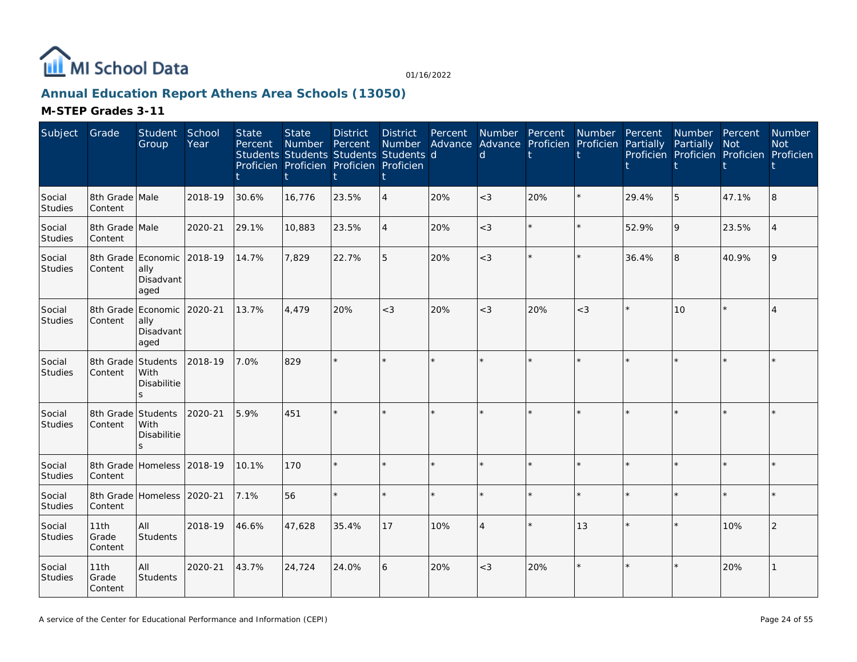

# **Annual Education Report Athens Area Schools (13050)**

| Subject                  | Grade                         | Student<br>Group                                | School<br>Year | <b>State</b><br>Percent | <b>State</b><br>Number Percent<br>Students Students Students Students d<br>Proficien Proficien Proficien Proficien | <b>District</b> | <b>District</b><br><b>Number</b><br>t |     | Percent Number Percent<br>d. | Advance Advance Proficien Proficien | Number Percent | Partially | Number Percent<br>Partially<br>Proficien Proficien Proficien Proficien | <b>Not</b> | Number<br><b>Not</b> |
|--------------------------|-------------------------------|-------------------------------------------------|----------------|-------------------------|--------------------------------------------------------------------------------------------------------------------|-----------------|---------------------------------------|-----|------------------------------|-------------------------------------|----------------|-----------|------------------------------------------------------------------------|------------|----------------------|
| Social<br><b>Studies</b> | 8th Grade Male<br>Content     |                                                 | 2018-19        | 30.6%                   | 16,776                                                                                                             | 23.5%           | $\overline{4}$                        | 20% | $<$ 3                        | 20%                                 | $\star$        | 29.4%     | 5                                                                      | 47.1%      | 8                    |
| Social<br>Studies        | 8th Grade Male<br>Content     |                                                 | 2020-21        | 29.1%                   | 10,883                                                                                                             | 23.5%           | $\overline{4}$                        | 20% | $<$ 3                        |                                     | $\star$        | 52.9%     | 9                                                                      | 23.5%      |                      |
| Social<br>Studies        | Content                       | 8th Grade Economic<br>ally<br>Disadvant<br>aged | 2018-19        | 14.7%                   | 7,829                                                                                                              | 22.7%           | 5                                     | 20% | $<$ 3                        |                                     | $\star$        | 36.4%     | 8                                                                      | 40.9%      |                      |
| Social<br>Studies        | Content                       | 8th Grade Economic<br>ally<br>Disadvant<br>aged | 2020-21        | 13.7%                   | 4.479                                                                                                              | 20%             | $<$ 3                                 | 20% | $<$ 3                        | 20%                                 | $<$ 3          |           | 10                                                                     |            |                      |
| Social<br>Studies        | 8th Grade Students<br>Content | With<br>Disabilitie<br>$\leq$                   | 2018-19        | 7.0%                    | 829                                                                                                                |                 |                                       |     |                              |                                     |                |           |                                                                        |            |                      |
| Social<br>Studies        | 8th Grade Students<br>Content | <b>With</b><br>Disabilitie                      | 2020-21        | 5.9%                    | 451                                                                                                                |                 |                                       |     |                              |                                     |                |           |                                                                        |            |                      |
| Social<br>Studies        | Content                       | 8th Grade Homeless 2018-19                      |                | 10.1%                   | 170                                                                                                                |                 |                                       |     |                              |                                     |                |           |                                                                        |            |                      |
| Social<br>Studies        | Content                       | 8th Grade Homeless 2020-21                      |                | 7.1%                    | 56                                                                                                                 |                 |                                       |     |                              |                                     |                |           |                                                                        |            |                      |
| Social<br>Studies        | 11th<br>Grade<br>Content      | All<br>Students                                 | 2018-19        | 46.6%                   | 47,628                                                                                                             | 35.4%           | 17                                    | 10% | $\overline{4}$               |                                     | 13             |           |                                                                        | 10%        | 2                    |
| Social<br>Studies        | 11th<br>Grade<br>Content      | All<br>Students                                 | 2020-21        | 43.7%                   | 24,724                                                                                                             | 24.0%           | 6                                     | 20% | $<$ 3                        | 20%                                 | $\star$        |           |                                                                        | 20%        |                      |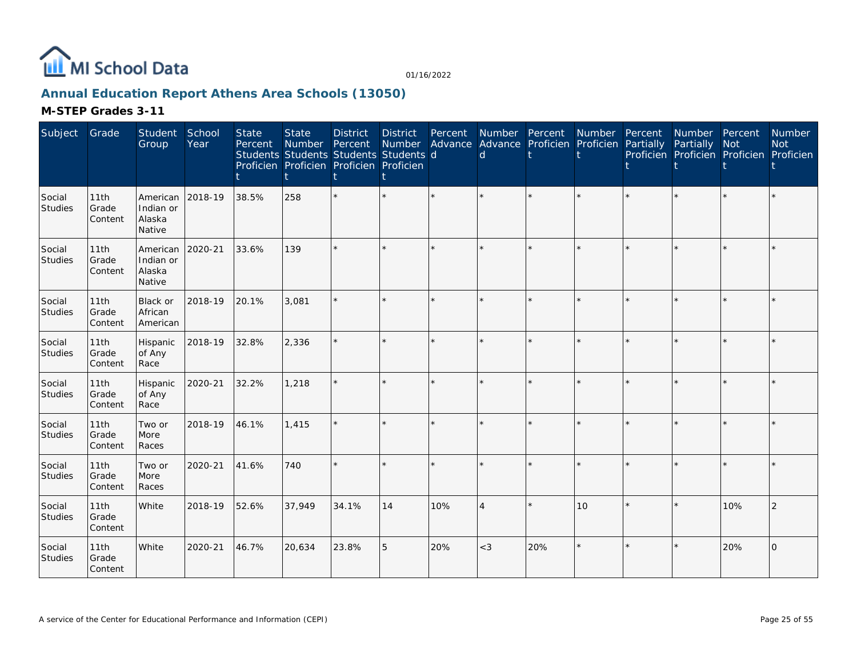

# **Annual Education Report Athens Area Schools (13050)**

| Subject           | Grade                    | Student<br>Group                          | School<br>Year | <b>State</b><br>Percent | <b>State</b><br><b>Number</b> | <b>District</b><br>Percent<br>Students Students Students Students d<br>Proficien Proficien Proficien Proficien | <b>District</b><br>Number | Percent<br>Advance | $\mathsf{d}$ | Number Percent<br>Advance Proficien Proficien | Number  | Percent<br>Partially | Number Percent<br>Partially | <b>Not</b><br>Proficien Proficien Proficien Proficien | <b>Number</b><br><b>Not</b> |
|-------------------|--------------------------|-------------------------------------------|----------------|-------------------------|-------------------------------|----------------------------------------------------------------------------------------------------------------|---------------------------|--------------------|--------------|-----------------------------------------------|---------|----------------------|-----------------------------|-------------------------------------------------------|-----------------------------|
| Social<br>Studies | 11th<br>Grade<br>Content | American<br>Indian or<br>Alaska<br>Native | 2018-19        | 38.5%                   | 258                           |                                                                                                                | $\star$                   |                    |              |                                               |         |                      |                             |                                                       |                             |
| Social<br>Studies | 11th<br>Grade<br>Content | American<br>Indian or<br>Alaska<br>Native | 2020-21        | 33.6%                   | 139                           |                                                                                                                | $\star$                   |                    |              |                                               |         |                      |                             |                                                       |                             |
| Social<br>Studies | 11th<br>Grade<br>Content | <b>Black or</b><br>African<br>American    | 2018-19        | 20.1%                   | 3,081                         |                                                                                                                | k.                        |                    |              |                                               | $\star$ |                      |                             | $\star$                                               |                             |
| Social<br>Studies | 11th<br>Grade<br>Content | Hispanic<br>of Any<br>Race                | 2018-19        | 32.8%                   | 2,336                         |                                                                                                                | $\star$                   |                    |              |                                               |         |                      |                             | $\star$                                               |                             |
| Social<br>Studies | 11th<br>Grade<br>Content | Hispanic<br>of Any<br>Race                | 2020-21        | 32.2%                   | 1,218                         |                                                                                                                | ÷.                        |                    |              |                                               |         |                      |                             | $\star$                                               |                             |
| Social<br>Studies | 11th<br>Grade<br>Content | Two or<br>More<br>Races                   | 2018-19        | 46.1%                   | 1,415                         |                                                                                                                | ÷.                        |                    |              |                                               |         |                      |                             | $\star$                                               |                             |
| Social<br>Studies | 11th<br>Grade<br>Content | Two or<br>More<br>Races                   | 2020-21        | 41.6%                   | 740                           |                                                                                                                | $\star$                   |                    |              |                                               |         |                      |                             | $\star$                                               |                             |
| Social<br>Studies | 11th<br>Grade<br>Content | White                                     | 2018-19        | 52.6%                   | 37,949                        | 34.1%                                                                                                          | 14                        | 10%                | $\Delta$     |                                               | 10      |                      |                             | 10%                                                   | $\overline{2}$              |
| Social<br>Studies | 11th<br>Grade<br>Content | White                                     | 2020-21        | 46.7%                   | 20,634                        | 23.8%                                                                                                          | 5                         | 20%                | $<$ 3        | 20%                                           | $\star$ |                      |                             | 20%                                                   | l0                          |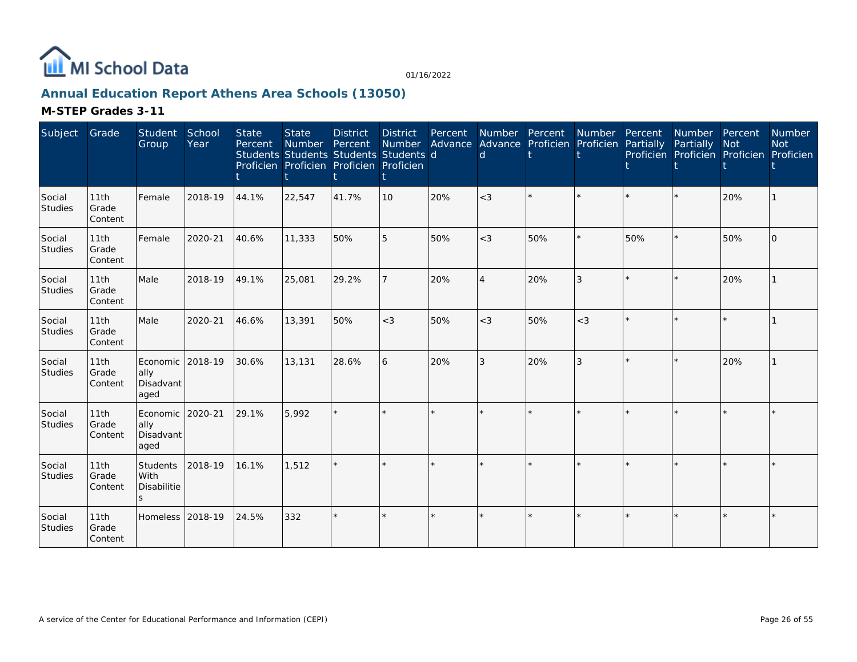

# **Annual Education Report Athens Area Schools (13050)**

| Subject                  | Grade                    | Student<br>Group                      | School<br>Year | <b>State</b><br>Percent | <b>State</b><br>Number Percent<br>Students Students Students Students d<br>Proficien Proficien Proficien Proficien | <b>District</b> | <b>District</b> | Percent | <b>Number</b><br>Number Advance Advance Proficien Proficien<br>d | Percent | Number         | Percent<br>Partially | Number Percent<br>Partially<br>Proficien Proficien Proficien Proficien | <b>Not</b> | Number<br><b>Not</b> |
|--------------------------|--------------------------|---------------------------------------|----------------|-------------------------|--------------------------------------------------------------------------------------------------------------------|-----------------|-----------------|---------|------------------------------------------------------------------|---------|----------------|----------------------|------------------------------------------------------------------------|------------|----------------------|
| Social<br><b>Studies</b> | 11th<br>Grade<br>Content | Female                                | 2018-19        | 44.1%                   | 22,547                                                                                                             | 41.7%           | 10              | 20%     | $<$ 3                                                            |         | ÷.             |                      |                                                                        | 20%        |                      |
| Social<br><b>Studies</b> | 11th<br>Grade<br>Content | Female                                | 2020-21        | 40.6%                   | 11,333                                                                                                             | 50%             | 5               | 50%     | $<$ 3                                                            | 50%     |                | 50%                  |                                                                        | 50%        | $\Omega$             |
| Social<br>Studies        | 11th<br>Grade<br>Content | Male                                  | 2018-19        | 49.1%                   | 25,081                                                                                                             | 29.2%           | $\overline{7}$  | 20%     | $\Delta$                                                         | 20%     | 3              |                      |                                                                        | 20%        |                      |
| Social<br>Studies        | 11th<br>Grade<br>Content | Male                                  | 2020-21        | 46.6%                   | 13,391                                                                                                             | 50%             | $<$ 3           | 50%     | $<$ 3                                                            | 50%     | $<$ 3          | $\star$              |                                                                        | $\star$    |                      |
| Social<br>Studies        | 11th<br>Grade<br>Content | Economic<br>ally<br>Disadvant<br>aged | 2018-19        | 30.6%                   | 13,131                                                                                                             | 28.6%           | 6               | 20%     | 3                                                                | 20%     | $\overline{3}$ |                      |                                                                        | 20%        |                      |
| Social<br>Studies        | 11th<br>Grade<br>Content | Economic<br>ally<br>Disadvant<br>aged | 2020-21        | 29.1%                   | 5,992                                                                                                              |                 |                 |         |                                                                  |         |                |                      |                                                                        | $\star$    |                      |
| Social<br>Studies        | 11th<br>Grade<br>Content | Students<br>With<br>Disabilitie<br>S. | 2018-19        | 16.1%                   | 1,512                                                                                                              |                 |                 |         | ÷                                                                |         |                | ų.                   |                                                                        | $\star$    |                      |
| Social<br>Studies        | 11th<br>Grade<br>Content | Homeless 2018-19                      |                | 24.5%                   | 332                                                                                                                |                 |                 |         |                                                                  |         |                |                      |                                                                        |            |                      |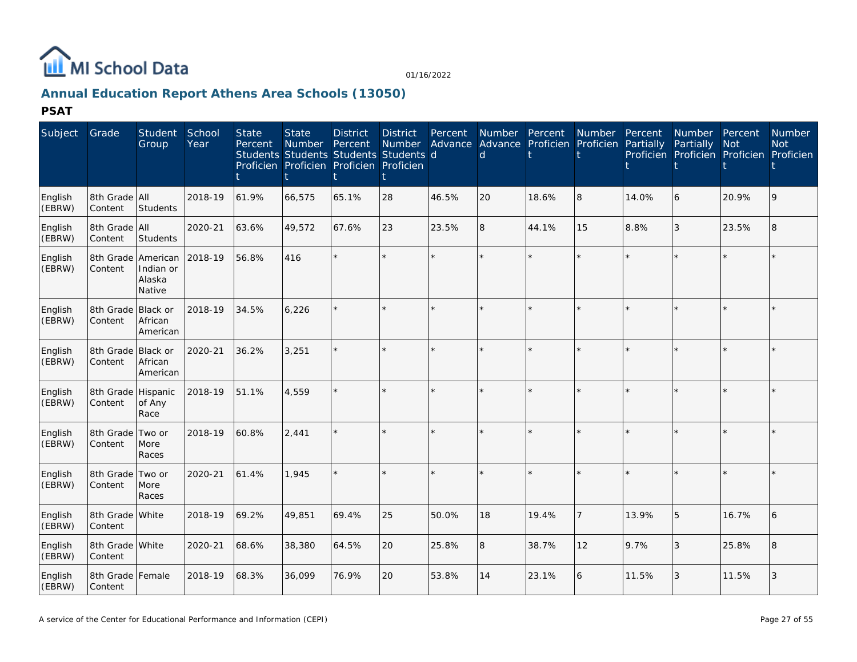

# **Annual Education Report Athens Area Schools (13050)**

| Subject           | Grade                         | <b>Student</b><br>Group         | School<br>Year | <b>State</b><br>Percent | <b>State</b><br><b>Number</b><br>Students Students Students Students d<br>Proficien Proficien Proficien Proficien | <b>District</b><br>Percent | <b>District</b><br><b>Number</b> | Percent | Number Percent<br><sub>d</sub> |         | <b>Number</b><br>Advance Advance Proficien Proficien | Percent<br>Partially | <b>Number</b><br>Partially<br>Proficien Proficien Proficien Proficien | Percent<br><b>Not</b> | <b>Number</b><br><b>Not</b> |
|-------------------|-------------------------------|---------------------------------|----------------|-------------------------|-------------------------------------------------------------------------------------------------------------------|----------------------------|----------------------------------|---------|--------------------------------|---------|------------------------------------------------------|----------------------|-----------------------------------------------------------------------|-----------------------|-----------------------------|
| English<br>(EBRW) | 8th Grade All<br>Content      | <b>Students</b>                 | 2018-19        | 61.9%                   | 66,575                                                                                                            | 65.1%                      | 28                               | 46.5%   | 20                             | 18.6%   | 8                                                    | 14.0%                | 6                                                                     | 20.9%                 | 9                           |
| English<br>(EBRW) | 8th Grade All<br>Content      | <b>Students</b>                 | 2020-21        | 63.6%                   | 49,572                                                                                                            | 67.6%                      | 23                               | 23.5%   | 8                              | 44.1%   | 15                                                   | 8.8%                 | 3                                                                     | 23.5%                 | $\overline{8}$              |
| English<br>(EBRW) | 8th Grade American<br>Content | Indian or<br>Alaska<br>Native   | 2018-19        | 56.8%                   | 416                                                                                                               |                            |                                  | $\star$ |                                |         |                                                      |                      | ÷                                                                     | $\star$               |                             |
| English<br>(EBRW) | 8th Grade Black or<br>Content | African<br>American             | 2018-19        | 34.5%                   | 6,226                                                                                                             |                            |                                  |         |                                | ×.      |                                                      |                      | ×.                                                                    |                       |                             |
| English<br>(EBRW) | 8th Grade<br>Content          | Black or<br>African<br>American | 2020-21        | 36.2%                   | 3,251                                                                                                             |                            |                                  |         |                                | $\star$ |                                                      |                      | $\star$                                                               |                       |                             |
| English<br>(EBRW) | 8th Grade Hispanic<br>Content | of Any<br>Race                  | 2018-19        | 51.1%                   | 4.559                                                                                                             |                            |                                  | $\star$ |                                | $\star$ |                                                      |                      | $\star$                                                               | $\star$               |                             |
| English<br>(EBRW) | 8th Grade<br>Content          | Two or<br>More<br>Races         | 2018-19        | 60.8%                   | 2.441                                                                                                             |                            |                                  |         |                                |         |                                                      |                      | ×.                                                                    |                       |                             |
| English<br>(EBRW) | 8th Grade<br>Content          | Two or<br>More<br>Races         | 2020-21        | 61.4%                   | 1.945                                                                                                             |                            |                                  | $\star$ |                                | $\star$ |                                                      |                      | $\star$                                                               | $\star$               |                             |
| English<br>(EBRW) | 8th Grade White<br>Content    |                                 | 2018-19        | 69.2%                   | 49,851                                                                                                            | 69.4%                      | 25                               | 50.0%   | 18                             | 19.4%   | $\overline{7}$                                       | 13.9%                | 5                                                                     | 16.7%                 | 6                           |
| English<br>(EBRW) | 8th Grade White<br>Content    |                                 | 2020-21        | 68.6%                   | 38,380                                                                                                            | 64.5%                      | 20                               | 25.8%   | 8                              | 38.7%   | 12                                                   | 9.7%                 | 3                                                                     | 25.8%                 | 8                           |
| English<br>(EBRW) | 8th Grade<br>Content          | Female                          | 2018-19        | 68.3%                   | 36,099                                                                                                            | 76.9%                      | 20                               | 53.8%   | 14                             | 23.1%   | 6                                                    | 11.5%                | 3                                                                     | 11.5%                 | 3                           |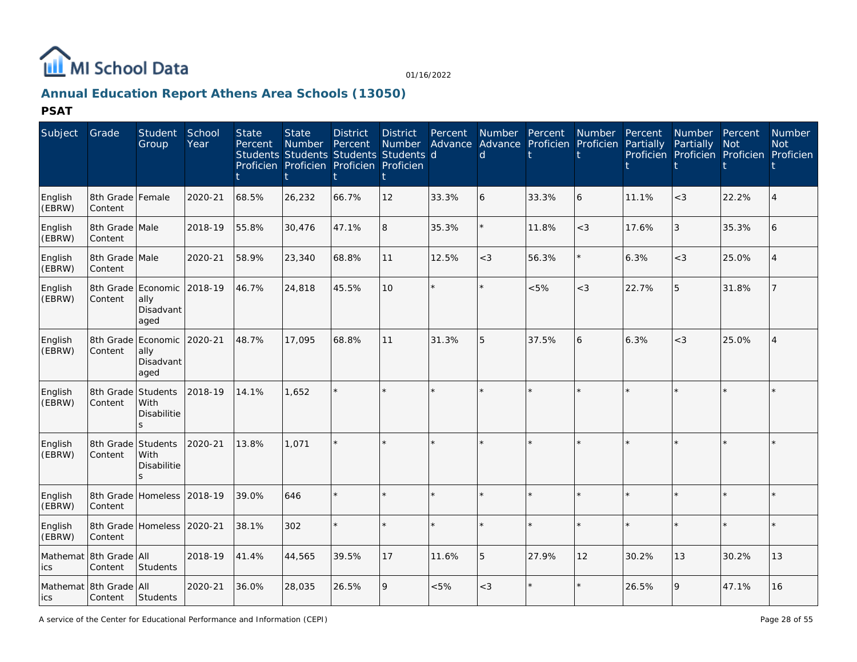

# **Annual Education Report Athens Area Schools (13050)**

| Subject           | Grade                             | <b>Student</b><br>Group                         | School<br>Year | <b>State</b><br>Percent | <b>State</b><br><b>Number</b><br>Students Students Students Students d<br>Proficien Proficien Proficien Proficien | <b>District</b><br>Percent | <b>District</b><br><b>Number</b> | Percent | Number Percent<br>d | Advance Advance Proficien Proficien | <b>Number</b> | Percent<br>Partially | <b>Number</b><br>Partially<br>Proficien Proficien Proficien Proficien | Percent<br><b>Not</b> | <b>Number</b><br><b>Not</b> |
|-------------------|-----------------------------------|-------------------------------------------------|----------------|-------------------------|-------------------------------------------------------------------------------------------------------------------|----------------------------|----------------------------------|---------|---------------------|-------------------------------------|---------------|----------------------|-----------------------------------------------------------------------|-----------------------|-----------------------------|
| English<br>(EBRW) | 8th Grade<br>Content              | Female                                          | 2020-21        | 68.5%                   | 26,232                                                                                                            | 66.7%                      | 12                               | 33.3%   | 6                   | 33.3%                               | 6             | 11.1%                | $\lt$ 3                                                               | 22.2%                 |                             |
| English<br>(EBRW) | 8th Grade Male<br>Content         |                                                 | 2018-19        | 55.8%                   | 30,476                                                                                                            | 47.1%                      | 8                                | 35.3%   |                     | 11.8%                               | $\lt$ 3       | 17.6%                | $\mathfrak{Z}$                                                        | 35.3%                 | 6                           |
| English<br>(EBRW) | 8th Grade Male<br>Content         |                                                 | 2020-21        | 58.9%                   | 23,340                                                                                                            | 68.8%                      | 11                               | 12.5%   | $<$ 3               | 56.3%                               | $\star$       | 6.3%                 | $<$ 3                                                                 | 25.0%                 |                             |
| English<br>(EBRW) | 8th Grade<br>Content              | Economic<br>ally<br>Disadvant<br>aged           | 2018-19        | 46.7%                   | 24,818                                                                                                            | 45.5%                      | 10                               | $\star$ |                     | $<5\%$                              | $<$ 3         | 22.7%                | 5                                                                     | 31.8%                 |                             |
| English<br>(EBRW) | 8th Grade<br>Content              | Economic 2020-21<br>ally<br>Disadvant<br>aged   |                | 48.7%                   | 17,095                                                                                                            | 68.8%                      | 11                               | 31.3%   | 5                   | 37.5%                               | 6             | 6.3%                 | $<$ 3                                                                 | 25.0%                 | $\Delta$                    |
| English<br>(EBRW) | 8th Grade<br>Content              | Students<br>With<br><b>Disabilitie</b><br>S     | 2018-19        | 14.1%                   | 1,652                                                                                                             |                            |                                  |         |                     |                                     |               |                      |                                                                       |                       |                             |
| English<br>(EBRW) | 8th Grade<br>Content              | Students<br>With<br>Disabilitie<br>$\mathbf{S}$ | 2020-21        | 13.8%                   | 1.071                                                                                                             |                            |                                  |         |                     |                                     |               |                      |                                                                       |                       |                             |
| English<br>(EBRW) | 8th Grade<br>Content              | Homeless                                        | 2018-19        | 39.0%                   | 646                                                                                                               |                            |                                  |         |                     |                                     |               |                      |                                                                       |                       |                             |
| English<br>(EBRW) | 8th Grade<br>Content              | Homeless 2020-21                                |                | 38.1%                   | 302                                                                                                               |                            |                                  | $\star$ |                     |                                     | $\star$       |                      |                                                                       | $\star$               |                             |
| ics               | Mathemat 8th Grade All<br>Content | <b>Students</b>                                 | 2018-19        | 41.4%                   | 44,565                                                                                                            | 39.5%                      | 17                               | 11.6%   | 5                   | 27.9%                               | 12            | 30.2%                | 13                                                                    | 30.2%                 | 13                          |
| lics              | Mathemat 8th Grade All<br>Content | Students                                        | 2020-21        | 36.0%                   | 28,035                                                                                                            | 26.5%                      | 9                                | &5%     | $<$ 3               |                                     |               | 26.5%                | 9                                                                     | 47.1%                 | 16                          |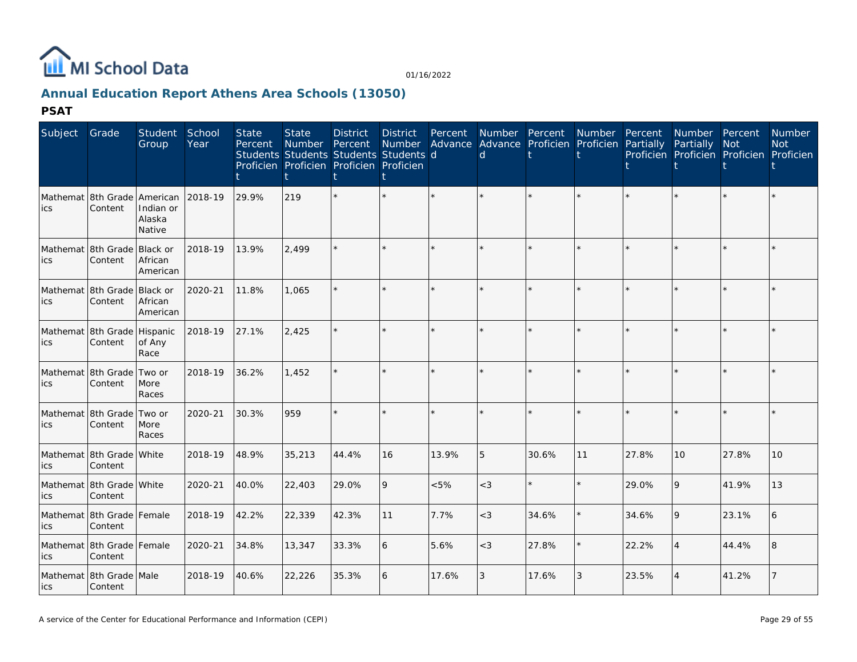

# **Annual Education Report Athens Area Schools (13050)**

| Subject | Grade                                    | Student School<br>Group         | Year    | <b>State</b><br>Percent | <b>State</b><br>Number<br>Students Students Students Students d<br>Proficien Proficien Proficien Proficien | <b>District</b><br>Percent | <b>District</b><br><b>Number</b> | Percent | Number Percent<br><sub>d</sub> |         | Number<br>Advance Advance Proficien Proficien Partially | Percent | <b>Number</b><br>Partially | Percent<br>Not<br>Proficien Proficien Proficien Proficien | <b>Number</b><br><b>Not</b> |
|---------|------------------------------------------|---------------------------------|---------|-------------------------|------------------------------------------------------------------------------------------------------------|----------------------------|----------------------------------|---------|--------------------------------|---------|---------------------------------------------------------|---------|----------------------------|-----------------------------------------------------------|-----------------------------|
| ics     | Mathemat 18th Grade lAmerican<br>Content | Indian or<br>Alaska<br>Native   | 2018-19 | 29.9%                   | 219                                                                                                        |                            |                                  |         |                                | $\star$ |                                                         |         |                            |                                                           |                             |
| ics     | Mathemat 8th Grade<br>Content            | Black or<br>African<br>American | 2018-19 | 13.9%                   | 2.499                                                                                                      |                            | $\star$                          |         |                                | $\star$ |                                                         |         |                            |                                                           |                             |
| ics     | Mathemat 8th Grade Black or<br>Content   | African<br>American             | 2020-21 | 11.8%                   | 1,065                                                                                                      |                            | $\star$                          | $\star$ |                                | $\star$ | $\star$                                                 |         |                            | $\star$                                                   |                             |
| ics     | Mathemat 8th Grade Hispanic<br>Content   | of Any<br>Race                  | 2018-19 | 27.1%                   | 2,425                                                                                                      |                            | $\star$                          |         |                                | $\star$ |                                                         |         |                            |                                                           |                             |
| ics     | Mathemat 8th Grade<br>Content            | Two or<br>More<br>Races         | 2018-19 | 36.2%                   | 1,452                                                                                                      |                            | ×.                               |         |                                | ÷.      |                                                         |         |                            |                                                           |                             |
| ics     | Mathemat 8th Grade<br>Content            | Two or<br>More<br>Races         | 2020-21 | 30.3%                   | 959                                                                                                        |                            | $\star$                          |         |                                | $\star$ | $\star$                                                 |         |                            | $\star$                                                   |                             |
| ics     | Mathemat 8th Grade White<br>Content      |                                 | 2018-19 | 48.9%                   | 35,213                                                                                                     | 44.4%                      | 16                               | 13.9%   | 5                              | 30.6%   | 11                                                      | 27.8%   | 10                         | 27.8%                                                     | 10 <sup>1</sup>             |
| ics     | Mathemat 8th Grade White<br>Content      |                                 | 2020-21 | 40.0%                   | 22,403                                                                                                     | 29.0%                      | 9                                | $< 5\%$ | $<$ 3                          | $\star$ |                                                         | 29.0%   | 9                          | 41.9%                                                     | 13                          |
| ics     | Mathemat 8th Grade Female<br>Content     |                                 | 2018-19 | 42.2%                   | 22,339                                                                                                     | 42.3%                      | 11                               | 7.7%    | $<$ 3                          | 34.6%   |                                                         | 34.6%   | 9                          | 23.1%                                                     |                             |
| ics     | Mathemat 8th Grade Female<br>Content     |                                 | 2020-21 | 34.8%                   | 13,347                                                                                                     | 33.3%                      | 6                                | 5.6%    | $<$ 3                          | 27.8%   |                                                         | 22.2%   | $\overline{4}$             | 44.4%                                                     | 8                           |
| lics    | Mathemat 8th Grade Male<br>Content       |                                 | 2018-19 | 40.6%                   | 22,226                                                                                                     | 35.3%                      | 6                                | 17.6%   | 3                              | 17.6%   | 3                                                       | 23.5%   | $\overline{4}$             | 41.2%                                                     |                             |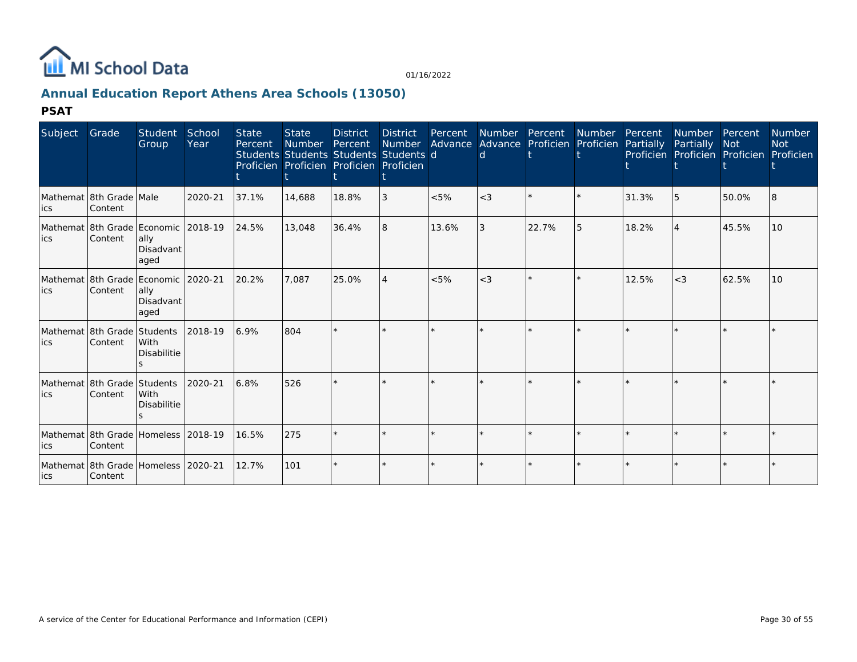

# **Annual Education Report Athens Area Schools (13050)**

| Subject | Grade                                  | Student<br>Group                                                     | School<br>Year | <b>State</b><br>Percent | <b>State</b><br><b>Number</b><br>Students Students Students Students d<br>Proficien Proficien Proficien Proficien | <b>District</b><br>Percent | District<br>Number | Percent<br>Advance | <b>Number</b><br><sub>d</sub> | Percent<br>Advance Proficien | <b>Number</b><br>Proficien | Percent<br>Partially | Number<br>Partially | Percent<br><b>Not</b><br>Proficien Proficien Proficien | <b>Number</b><br><b>Not</b><br>Proficien |
|---------|----------------------------------------|----------------------------------------------------------------------|----------------|-------------------------|-------------------------------------------------------------------------------------------------------------------|----------------------------|--------------------|--------------------|-------------------------------|------------------------------|----------------------------|----------------------|---------------------|--------------------------------------------------------|------------------------------------------|
| ics     | Mathemat 8th Grade Male<br>Content     |                                                                      | 2020-21        | 37.1%                   | 14,688                                                                                                            | 18.8%                      | 3                  | < 5%               | $<$ 3                         |                              | $\star$                    | 31.3%                | 5                   | 50.0%                                                  |                                          |
| lics    | Content                                | Mathemat 8th Grade   Economic   2018-19<br>ally<br>Disadvant<br>aged |                | 24.5%                   | 13,048                                                                                                            | 36.4%                      | 8                  | 13.6%              |                               | 22.7%                        | 5                          | 18.2%                | $\overline{4}$      | 45.5%                                                  | 10 <sup>°</sup>                          |
| lics    | Content                                | Mathemat 8th Grade Economic 2020-21<br>ally<br>Disadvant<br>aged     |                | 20.2%                   | 7.087                                                                                                             | 25.0%                      | 4                  | < 5%               | $<$ 3                         |                              | $\star$                    | 12.5%                | $<$ 3               | 62.5%                                                  | 10 <sup>1</sup>                          |
| ics     | Mathemat 8th Grade Students<br>Content | With<br><b>Disabilitie</b>                                           | 2018-19        | 6.9%                    | 804                                                                                                               |                            |                    |                    |                               |                              | $\star$                    |                      | $\star$             | $\Phi$                                                 |                                          |
| lics    | Mathemat 8th Grade Students<br>Content | <b>With</b><br><b>Disabilitie</b>                                    | 2020-21        | 6.8%                    | 526                                                                                                               |                            |                    |                    |                               |                              |                            |                      |                     |                                                        |                                          |
| lics    | Content                                | Mathemat 8th Grade Homeless 2018-19                                  |                | 16.5%                   | 275                                                                                                               |                            |                    |                    |                               |                              | $\star$                    |                      | $\star$             | $\star$                                                |                                          |
| lics    | Content                                | Mathemat 8th Grade Homeless 2020-21                                  |                | 12.7%                   | 101                                                                                                               |                            |                    |                    |                               |                              |                            |                      | $\star$             |                                                        |                                          |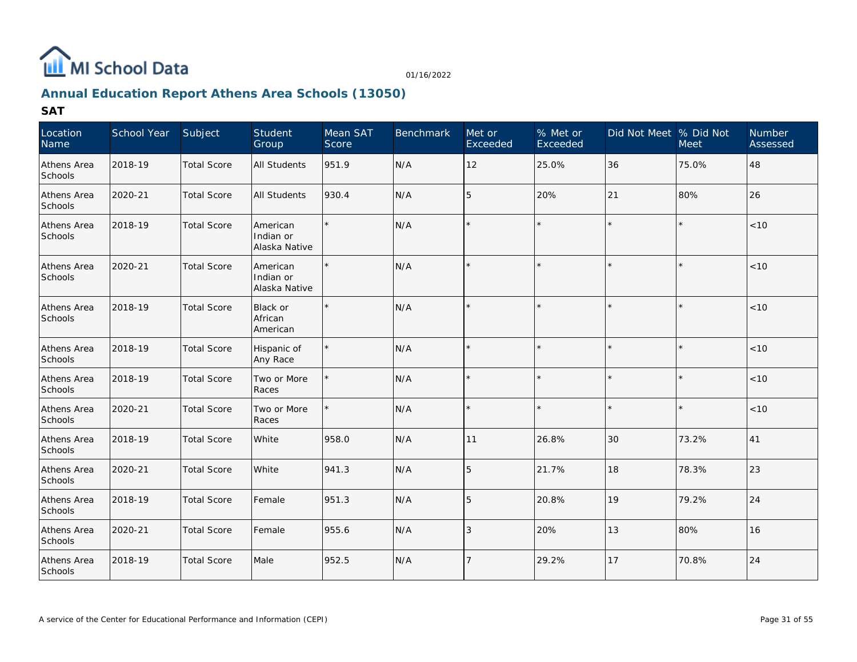

# **Annual Education Report Athens Area Schools (13050)**

| Location<br>Name       | School Year | Subject            | Student<br>Group                       | Mean SAT<br>Score | <b>Benchmark</b> | Met or<br>Exceeded | % Met or<br>Exceeded | Did Not Meet  % Did Not | Meet    | Number<br>Assessed |
|------------------------|-------------|--------------------|----------------------------------------|-------------------|------------------|--------------------|----------------------|-------------------------|---------|--------------------|
| Athens Area<br>Schools | 2018-19     | <b>Total Score</b> | <b>All Students</b>                    | 951.9             | N/A              | 12                 | 25.0%                | 36                      | 75.0%   | 48                 |
| Athens Area<br>Schools | 2020-21     | <b>Total Score</b> | <b>All Students</b>                    | 930.4             | N/A              | 15                 | 20%                  | 21                      | 80%     | 26                 |
| Athens Area<br>Schools | 2018-19     | <b>Total Score</b> | American<br>Indian or<br>Alaska Native |                   | N/A              |                    |                      | $\star$                 | $\star$ | $<10$              |
| Athens Area<br>Schools | 2020-21     | <b>Total Score</b> | American<br>Indian or<br>Alaska Native |                   | N/A              |                    |                      |                         |         | < 10               |
| Athens Area<br>Schools | 2018-19     | <b>Total Score</b> | Black or<br>African<br>American        |                   | N/A              |                    |                      | $\star$                 | $\star$ | < 10               |
| Athens Area<br>Schools | 2018-19     | <b>Total Score</b> | Hispanic of<br>Any Race                |                   | N/A              |                    |                      |                         |         | $<10$              |
| Athens Area<br>Schools | 2018-19     | <b>Total Score</b> | Two or More<br>Races                   |                   | N/A              |                    |                      | $\star$                 | $\star$ | $<10$              |
| Athens Area<br>Schools | 2020-21     | <b>Total Score</b> | Two or More<br>Races                   |                   | N/A              |                    |                      |                         |         | $<10$              |
| Athens Area<br>Schools | 2018-19     | <b>Total Score</b> | White                                  | 958.0             | N/A              | 11                 | 26.8%                | 30                      | 73.2%   | 41                 |
| Athens Area<br>Schools | 2020-21     | <b>Total Score</b> | White                                  | 941.3             | N/A              | 15                 | 21.7%                | 18                      | 78.3%   | 23                 |
| Athens Area<br>Schools | 2018-19     | <b>Total Score</b> | Female                                 | 951.3             | N/A              | 15                 | 20.8%                | 19                      | 79.2%   | 24                 |
| Athens Area<br>Schools | 2020-21     | <b>Total Score</b> | Female                                 | 955.6             | N/A              | l 3                | 20%                  | 13                      | 80%     | 16                 |
| Athens Area<br>Schools | 2018-19     | <b>Total Score</b> | Male                                   | 952.5             | N/A              |                    | 29.2%                | 17                      | 70.8%   | 24                 |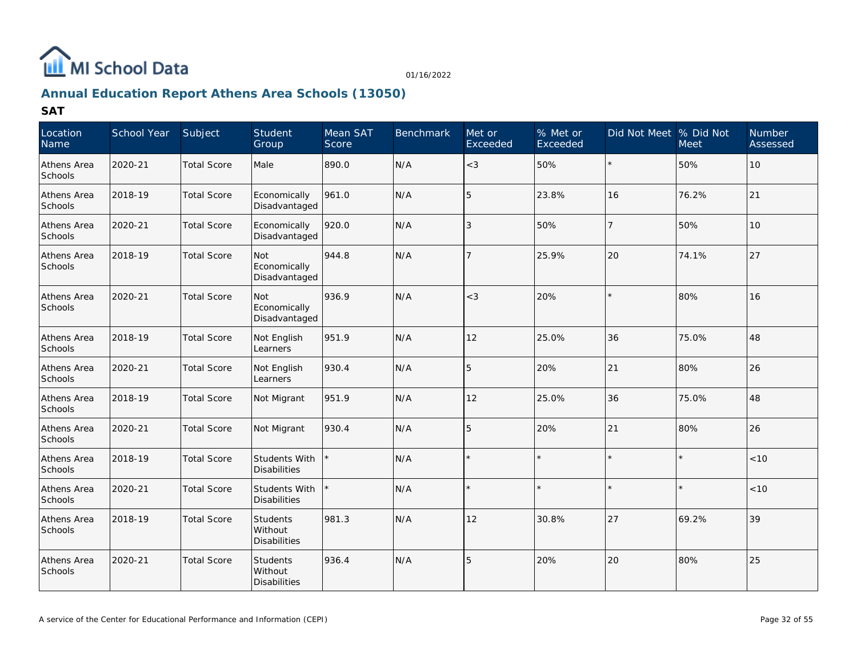

# **Annual Education Report Athens Area Schools (13050)**

| Location<br>Name       | School Year | Subject            | Student<br>Group                            | Mean SAT<br>Score | <b>Benchmark</b> | Met or<br>Exceeded | % Met or<br>Exceeded | Did Not Meet % Did Not | <b>Meet</b> | Number<br>Assessed |
|------------------------|-------------|--------------------|---------------------------------------------|-------------------|------------------|--------------------|----------------------|------------------------|-------------|--------------------|
| Athens Area<br>Schools | 2020-21     | <b>Total Score</b> | Male                                        | 890.0             | N/A              | $<$ 3              | 50%                  | $\star$                | 50%         | 10                 |
| Athens Area<br>Schools | 2018-19     | <b>Total Score</b> | Economically<br>Disadvantaged               | 961.0             | N/A              | 5                  | 23.8%                | 16                     | 76.2%       | 21                 |
| Athens Area<br>Schools | 2020-21     | <b>Total Score</b> | Economically<br>Disadvantaged               | 920.0             | N/A              | 3                  | 50%                  | $\overline{7}$         | 50%         | 10                 |
| Athens Area<br>Schools | 2018-19     | <b>Total Score</b> | Not<br>Economically<br>Disadvantaged        | 944.8             | N/A              | $\overline{7}$     | 25.9%                | 20                     | 74.1%       | 27                 |
| Athens Area<br>Schools | 2020-21     | <b>Total Score</b> | <b>Not</b><br>Economically<br>Disadvantaged | 936.9             | N/A              | $<$ 3              | 20%                  | $\star$                | 80%         | 16                 |
| Athens Area<br>Schools | 2018-19     | <b>Total Score</b> | Not English<br>Learners                     | 951.9             | N/A              | 12                 | 25.0%                | 36                     | 75.0%       | 48                 |
| Athens Area<br>Schools | 2020-21     | <b>Total Score</b> | Not English<br>Learners                     | 930.4             | N/A              | 5                  | 20%                  | 21                     | 80%         | 26                 |
| Athens Area<br>Schools | 2018-19     | <b>Total Score</b> | Not Migrant                                 | 951.9             | N/A              | 12                 | 25.0%                | 36                     | 75.0%       | 48                 |
| Athens Area<br>Schools | 2020-21     | <b>Total Score</b> | Not Migrant                                 | 930.4             | N/A              | 5                  | 20%                  | 21                     | 80%         | 26                 |
| Athens Area<br>Schools | 2018-19     | <b>Total Score</b> | Students With<br>Disabilities               |                   | N/A              | $\star$            |                      | $\star$                | $\star$     | < 10               |
| Athens Area<br>Schools | 2020-21     | <b>Total Score</b> | Students With<br>Disabilities               |                   | N/A              | $\star$            |                      | ×.                     | ÷           | $<10$              |
| Athens Area<br>Schools | 2018-19     | <b>Total Score</b> | Students<br>Without<br>Disabilities         | 981.3             | N/A              | 12                 | 30.8%                | 27                     | 69.2%       | 39                 |
| Athens Area<br>Schools | 2020-21     | <b>Total Score</b> | Students<br>Without<br>Disabilities         | 936.4             | N/A              | 5                  | 20%                  | 20                     | 80%         | 25                 |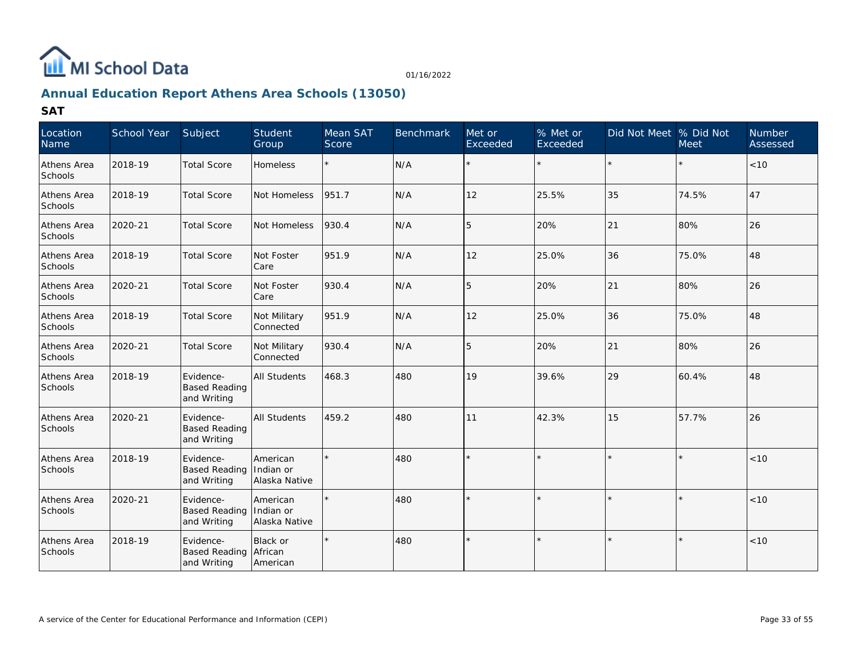

# **Annual Education Report Athens Area Schools (13050)**

| Location<br>Name       | School Year | Subject                                          | Student<br>Group                       | Mean SAT<br>Score | <b>Benchmark</b> | Met or<br>Exceeded | $%$ Met or<br>Exceeded | Did Not Meet  % Did Not | <b>Meet</b> | Number<br>Assessed |
|------------------------|-------------|--------------------------------------------------|----------------------------------------|-------------------|------------------|--------------------|------------------------|-------------------------|-------------|--------------------|
| Athens Area<br>Schools | 2018-19     | <b>Total Score</b>                               | <b>Homeless</b>                        | $\star$           | N/A              |                    | $\star$                |                         |             | <10                |
| Athens Area<br>Schools | 2018-19     | <b>Total Score</b>                               | Not Homeless                           | 951.7             | N/A              | 12                 | 25.5%                  | 35                      | 74.5%       | 47                 |
| Athens Area<br>Schools | 2020-21     | <b>Total Score</b>                               | Not Homeless                           | 930.4             | N/A              | 5                  | 20%                    | 21                      | 80%         | 26                 |
| Athens Area<br>Schools | 2018-19     | <b>Total Score</b>                               | Not Foster<br>Care                     | 951.9             | N/A              | 12                 | 25.0%                  | 36                      | 75.0%       | 48                 |
| Athens Area<br>Schools | 2020-21     | <b>Total Score</b>                               | Not Foster<br>Care                     | 930.4             | N/A              | 5                  | 20%                    | 21                      | 80%         | 26                 |
| Athens Area<br>Schools | 2018-19     | <b>Total Score</b>                               | Not Military<br>Connected              | 951.9             | N/A              | 12                 | 25.0%                  | 36                      | 75.0%       | 48                 |
| Athens Area<br>Schools | 2020-21     | <b>Total Score</b>                               | Not Military<br>Connected              | 930.4             | N/A              | 5                  | 20%                    | 21                      | 80%         | 26                 |
| Athens Area<br>Schools | 2018-19     | Evidence-<br><b>Based Reading</b><br>and Writing | <b>All Students</b>                    | 468.3             | 480              | 19                 | 39.6%                  | 29                      | 60.4%       | 48                 |
| Athens Area<br>Schools | 2020-21     | Evidence-<br><b>Based Reading</b><br>and Writing | All Students                           | 459.2             | 480              | 11                 | 42.3%                  | 15                      | 57.7%       | 26                 |
| Athens Area<br>Schools | 2018-19     | Evidence-<br><b>Based Reading</b><br>and Writing | American<br>Indian or<br>Alaska Native |                   | 480              | $\star$            |                        |                         | $\star$     | < 10               |
| Athens Area<br>Schools | 2020-21     | Evidence-<br><b>Based Reading</b><br>and Writing | American<br>Indian or<br>Alaska Native |                   | 480              |                    |                        |                         |             | < 10               |
| Athens Area<br>Schools | 2018-19     | Evidence-<br><b>Based Reading</b><br>and Writing | Black or<br>African<br>American        |                   | 480              | $\star$            |                        |                         |             | < 10               |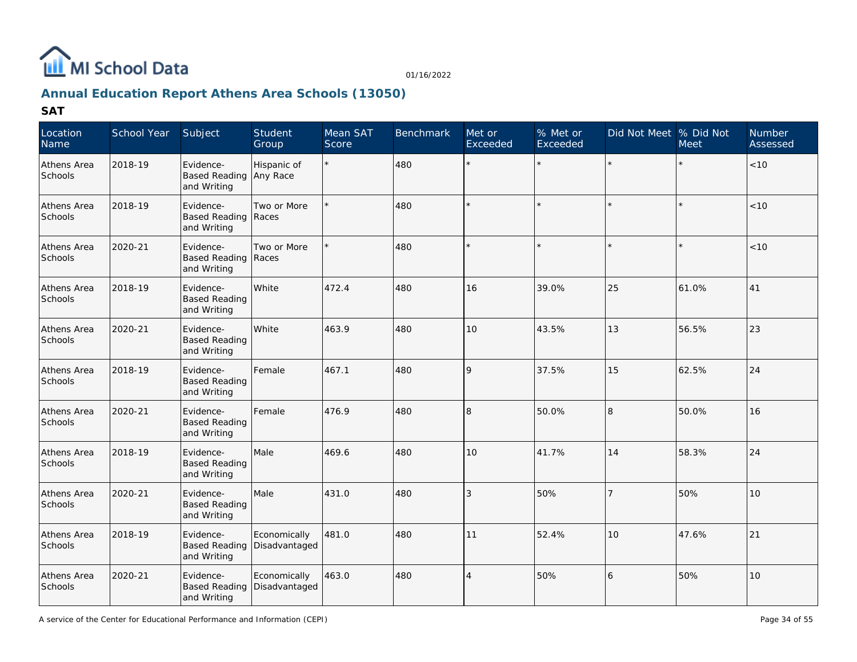

# **Annual Education Report Athens Area Schools (13050)**

| Location<br>Name       | School Year | Subject                                           | Student<br>Group              | Mean SAT<br>Score | <b>Benchmark</b> | Met or<br>Exceeded | % Met or<br>Exceeded | Did Not Meet % Did Not | <b>Meet</b> | Number<br>Assessed |
|------------------------|-------------|---------------------------------------------------|-------------------------------|-------------------|------------------|--------------------|----------------------|------------------------|-------------|--------------------|
| Athens Area<br>Schools | 2018-19     | Evidence-<br><b>Based Reading</b><br>and Writing  | Hispanic of<br>Any Race       |                   | 480              | $\star$            |                      |                        |             | < 10               |
| Athens Area<br>Schools | 2018-19     | Evidence-<br><b>Based Reading</b><br>and Writing  | Two or More<br>Races          |                   | 480              |                    |                      |                        |             | < 10               |
| Athens Area<br>Schools | 2020-21     | Evidence-<br>Based Reading   Races<br>and Writing | Two or More                   |                   | 480              |                    |                      |                        |             | < 10               |
| Athens Area<br>Schools | 2018-19     | Evidence-<br><b>Based Reading</b><br>and Writing  | White                         | 472.4             | 480              | 16                 | 39.0%                | 25                     | 61.0%       | 41                 |
| Athens Area<br>Schools | 2020-21     | Evidence-<br><b>Based Reading</b><br>and Writing  | White                         | 463.9             | 480              | 10                 | 43.5%                | 13                     | 56.5%       | 23                 |
| Athens Area<br>Schools | 2018-19     | Evidence-<br><b>Based Reading</b><br>and Writing  | Female                        | 467.1             | 480              | 9                  | 37.5%                | 15                     | 62.5%       | 24                 |
| Athens Area<br>Schools | 2020-21     | Evidence-<br><b>Based Reading</b><br>and Writing  | Female                        | 476.9             | 480              | 8                  | 50.0%                | 8                      | 50.0%       | 16                 |
| Athens Area<br>Schools | 2018-19     | Evidence-<br><b>Based Reading</b><br>and Writing  | Male                          | 469.6             | 480              | 10                 | 41.7%                | 14                     | 58.3%       | 24                 |
| Athens Area<br>Schools | 2020-21     | Evidence-<br><b>Based Reading</b><br>and Writing  | Male                          | 431.0             | 480              | 3                  | 50%                  | $\overline{7}$         | 50%         | 10                 |
| Athens Area<br>Schools | 2018-19     | Evidence-<br><b>Based Reading</b><br>and Writing  | Economically<br>Disadvantaged | 481.0             | 480              | 11                 | 52.4%                | 10                     | 47.6%       | 21                 |
| Athens Area<br>Schools | 2020-21     | Evidence-<br><b>Based Reading</b><br>and Writing  | Economically<br>Disadvantaged | 463.0             | 480              | $\overline{4}$     | 50%                  | 16                     | 50%         | 10                 |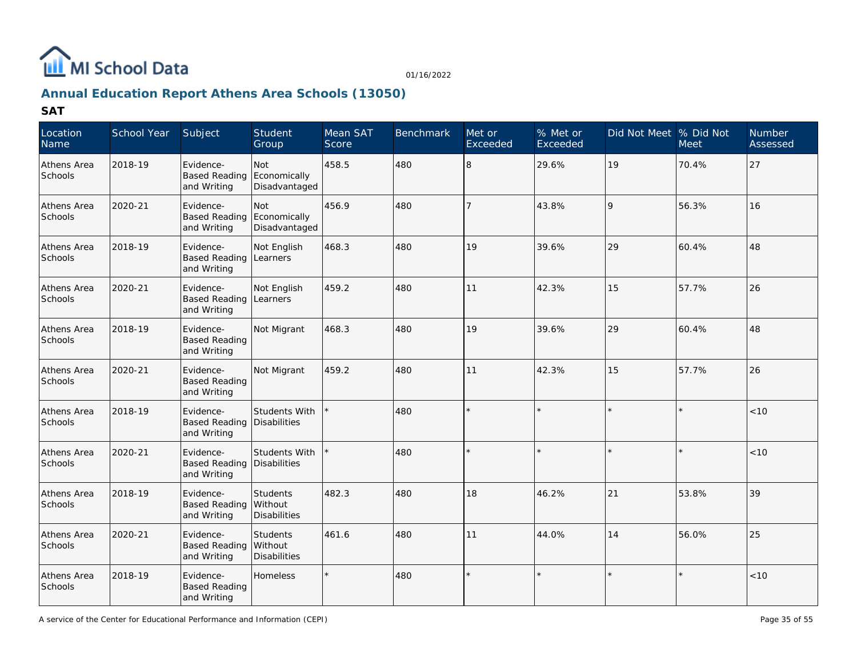

# **Annual Education Report Athens Area Schools (13050)**

| Location<br>Name       | School Year | Subject                                          | Student<br>Group                           | Mean SAT<br>Score | <b>Benchmark</b> | Met or<br>Exceeded | % Met or<br>Exceeded | Did Not Meet % Did Not | <b>Meet</b> | Number<br>Assessed |
|------------------------|-------------|--------------------------------------------------|--------------------------------------------|-------------------|------------------|--------------------|----------------------|------------------------|-------------|--------------------|
| Athens Area<br>Schools | 2018-19     | Evidence-<br><b>Based Reading</b><br>and Writing | Not<br>Economically<br>Disadvantaged       | 458.5             | 480              | 8                  | 29.6%                | 19                     | 70.4%       | 27                 |
| Athens Area<br>Schools | 2020-21     | Evidence-<br><b>Based Reading</b><br>and Writing | Not<br>Economically<br>Disadvantaged       | 456.9             | 480              | 7                  | 43.8%                | 9                      | 56.3%       | 16                 |
| Athens Area<br>Schools | 2018-19     | Evidence-<br><b>Based Reading</b><br>and Writing | Not English<br>Learners                    | 468.3             | 480              | 19                 | 39.6%                | 29                     | 60.4%       | 48                 |
| Athens Area<br>Schools | 2020-21     | Evidence-<br><b>Based Reading</b><br>and Writing | Not English<br>Learners                    | 459.2             | 480              | 11                 | 42.3%                | 15                     | 57.7%       | 26                 |
| Athens Area<br>Schools | 2018-19     | Evidence-<br><b>Based Reading</b><br>and Writing | Not Migrant                                | 468.3             | 480              | 19                 | 39.6%                | 29                     | 60.4%       | 48                 |
| Athens Area<br>Schools | 2020-21     | Evidence-<br><b>Based Reading</b><br>and Writing | Not Migrant                                | 459.2             | 480              | 11                 | 42.3%                | 15                     | 57.7%       | 26                 |
| Athens Area<br>Schools | 2018-19     | Evidence-<br><b>Based Reading</b><br>and Writing | Students With<br>Disabilities              |                   | 480              |                    |                      |                        |             | < 10               |
| Athens Area<br>Schools | 2020-21     | Evidence-<br><b>Based Reading</b><br>and Writing | Students With<br>Disabilities              |                   | 480              |                    |                      |                        |             | < 10               |
| Athens Area<br>Schools | 2018-19     | Evidence-<br><b>Based Reading</b><br>and Writing | Students<br>Without<br>Disabilities        | 482.3             | 480              | 18                 | 46.2%                | 21                     | 53.8%       | 39                 |
| Athens Area<br>Schools | 2020-21     | Evidence-<br><b>Based Reading</b><br>and Writing | <b>Students</b><br>Without<br>Disabilities | 461.6             | 480              | 11                 | 44.0%                | 14                     | 56.0%       | 25                 |
| Athens Area<br>Schools | 2018-19     | Evidence-<br><b>Based Reading</b><br>and Writing | Homeless                                   |                   | 480              |                    |                      |                        |             | < 10               |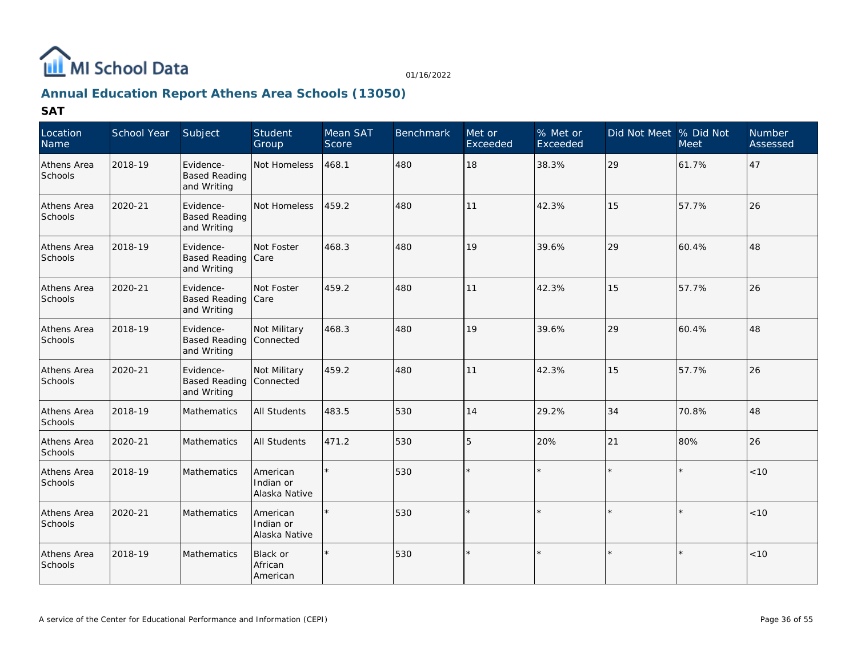

# **Annual Education Report Athens Area Schools (13050)**

| Location<br>Name              | <b>School Year</b> | Subject                                          | Student<br>Group                       | Mean SAT<br>Score | <b>Benchmark</b> | Met or<br>Exceeded | % Met or<br>Exceeded | Did Not Meet % Did Not | <b>Meet</b> | <b>Number</b><br>Assessed |
|-------------------------------|--------------------|--------------------------------------------------|----------------------------------------|-------------------|------------------|--------------------|----------------------|------------------------|-------------|---------------------------|
| Athens Area<br><b>Schools</b> | 2018-19            | Evidence-<br><b>Based Reading</b><br>and Writing | Not Homeless                           | 468.1             | 480              | 18                 | 38.3%                | 29                     | 61.7%       | 47                        |
| Athens Area<br>Schools        | 2020-21            | Evidence-<br><b>Based Reading</b><br>and Writing | Not Homeless                           | 459.2             | 480              | 11                 | 42.3%                | 15                     | 57.7%       | 26                        |
| Athens Area<br>Schools        | 2018-19            | Evidence-<br>Based Reading Care<br>and Writing   | Not Foster                             | 468.3             | 480              | 19                 | 39.6%                | 29                     | 60.4%       | 48                        |
| Athens Area<br><b>Schools</b> | 2020-21            | Evidence-<br>Based Reading Care<br>and Writing   | Not Foster                             | 459.2             | 480              | 11                 | 42.3%                | 15                     | 57.7%       | 26                        |
| Athens Area<br>Schools        | 2018-19            | Evidence-<br><b>Based Reading</b><br>and Writing | Not Military<br>Connected              | 468.3             | 480              | 19                 | 39.6%                | 29                     | 60.4%       | 48                        |
| Athens Area<br><b>Schools</b> | 2020-21            | Evidence-<br><b>Based Reading</b><br>and Writing | Not Military<br><b>Connected</b>       | 459.2             | 480              | 11                 | 42.3%                | 15                     | 57.7%       | 26                        |
| Athens Area<br>Schools        | 2018-19            | Mathematics                                      | <b>All Students</b>                    | 483.5             | 530              | 14                 | 29.2%                | 34                     | 70.8%       | 48                        |
| Athens Area<br>Schools        | 2020-21            | Mathematics                                      | <b>All Students</b>                    | 471.2             | 530              | 15                 | 20%                  | 21                     | 80%         | 26                        |
| Athens Area<br>Schools        | 2018-19            | Mathematics                                      | American<br>Indian or<br>Alaska Native |                   | 530              |                    |                      |                        | $\star$     | < 10                      |
| Athens Area<br>Schools        | 2020-21            | Mathematics                                      | American<br>Indian or<br>Alaska Native |                   | 530              |                    |                      |                        |             | < 10                      |
| Athens Area<br>Schools        | 2018-19            | <b>Mathematics</b>                               | Black or<br>African<br>American        |                   | 530              |                    |                      | $\star$                | $\star$     | < 10                      |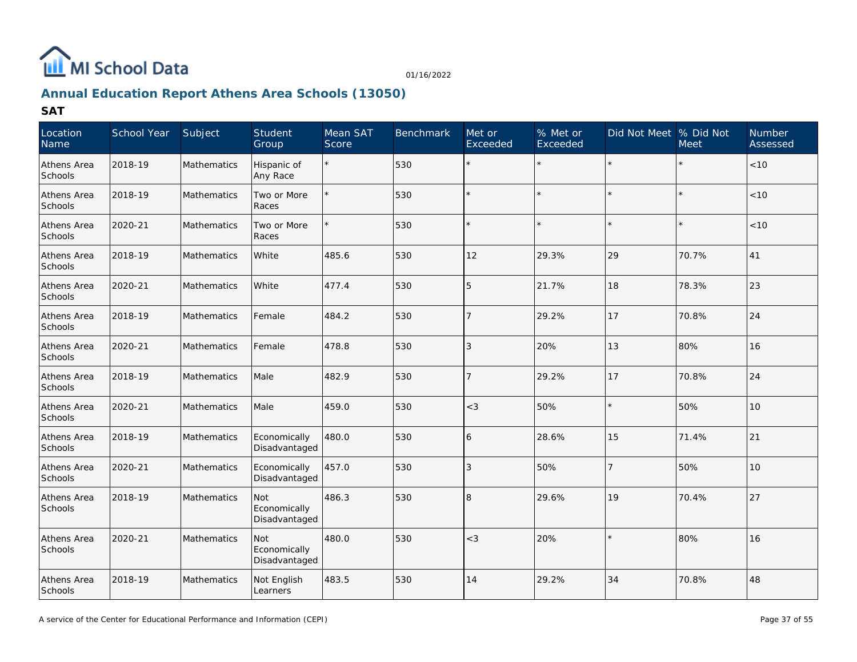

# **Annual Education Report Athens Area Schools (13050)**

| Location<br>Name       | School Year | Subject            | Student<br>Group                     | Mean SAT<br>Score | <b>Benchmark</b> | Met or<br>Exceeded | % Met or<br>Exceeded | Did Not Meet % Did Not | <b>Meet</b> | Number<br>Assessed |
|------------------------|-------------|--------------------|--------------------------------------|-------------------|------------------|--------------------|----------------------|------------------------|-------------|--------------------|
| Athens Area<br>Schools | 2018-19     | Mathematics        | Hispanic of<br>Any Race              | $\star$           | 530              | $\star$            | $\star$              |                        |             | $<10$              |
| Athens Area<br>Schools | 2018-19     | Mathematics        | Two or More<br>Races                 |                   | 530              |                    |                      |                        |             | $<10$              |
| Athens Area<br>Schools | 2020-21     | Mathematics        | Two or More<br>Races                 |                   | 530              |                    |                      |                        |             | < 10               |
| Athens Area<br>Schools | 2018-19     | Mathematics        | White                                | 485.6             | 530              | 12                 | 29.3%                | 29                     | 70.7%       | 41                 |
| Athens Area<br>Schools | 2020-21     | <b>Mathematics</b> | White                                | 477.4             | 530              | 5                  | 21.7%                | 18                     | 78.3%       | 23                 |
| Athens Area<br>Schools | 2018-19     | Mathematics        | Female                               | 484.2             | 530              | $\overline{7}$     | 29.2%                | 17                     | 70.8%       | 24                 |
| Athens Area<br>Schools | 2020-21     | Mathematics        | Female                               | 478.8             | 530              | 3                  | 20%                  | 13                     | 80%         | 16                 |
| Athens Area<br>Schools | 2018-19     | <b>Mathematics</b> | Male                                 | 482.9             | 530              | $\overline{7}$     | 29.2%                | 17                     | 70.8%       | 24                 |
| Athens Area<br>Schools | 2020-21     | Mathematics        | Male                                 | 459.0             | 530              | $<$ 3              | 50%                  |                        | 50%         | 10                 |
| Athens Area<br>Schools | 2018-19     | Mathematics        | Economically<br>Disadvantaged        | 480.0             | 530              | 16                 | 28.6%                | 15                     | 71.4%       | 21                 |
| Athens Area<br>Schools | 2020-21     | Mathematics        | Economically<br>Disadvantaged        | 457.0             | 530              | 3                  | 50%                  | 7                      | 50%         | 10                 |
| Athens Area<br>Schools | 2018-19     | Mathematics        | Not<br>Economically<br>Disadvantaged | 486.3             | 530              | 8                  | 29.6%                | 19                     | 70.4%       | 27                 |
| Athens Area<br>Schools | 2020-21     | Mathematics        | Not<br>Economically<br>Disadvantaged | 480.0             | 530              | $<$ 3              | 20%                  |                        | 80%         | 16                 |
| Athens Area<br>Schools | 2018-19     | <b>Mathematics</b> | Not English<br>Learners              | 483.5             | 530              | 14                 | 29.2%                | 34                     | 70.8%       | 48                 |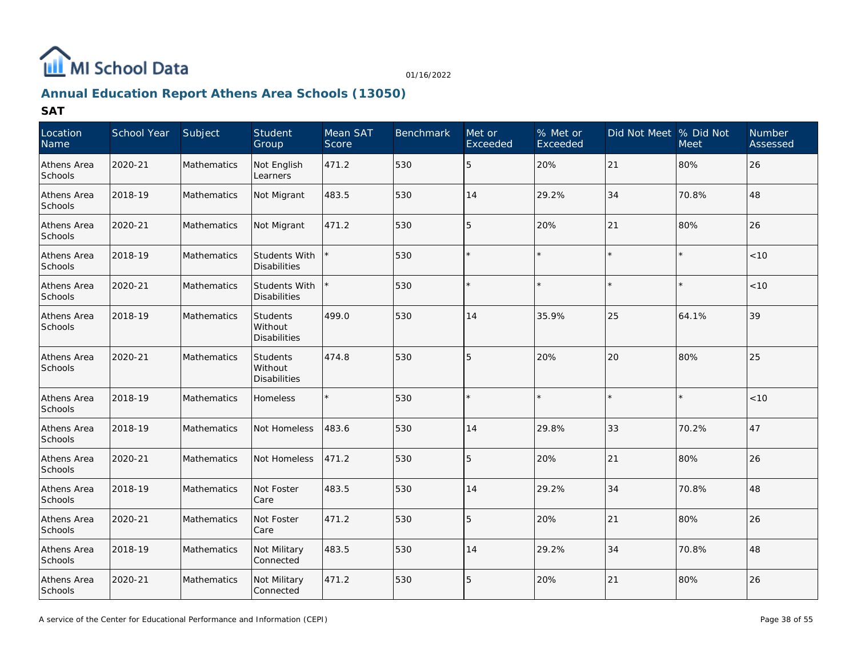

# **Annual Education Report Athens Area Schools (13050)**

| Location<br>Name       | School Year | Subject            | Student<br>Group                                  | Mean SAT<br>Score | Benchmark | Met or<br>Exceeded | % Met or<br>Exceeded | Did Not Meet % Did Not | <b>Meet</b> | Number<br>Assessed |
|------------------------|-------------|--------------------|---------------------------------------------------|-------------------|-----------|--------------------|----------------------|------------------------|-------------|--------------------|
| Athens Area<br>Schools | 2020-21     | <b>Mathematics</b> | Not English<br>Learners                           | 471.2             | 530       | 15                 | 20%                  | 21                     | 80%         | 26                 |
| Athens Area<br>Schools | 2018-19     | Mathematics        | Not Migrant                                       | 483.5             | 530       | 14                 | 29.2%                | 34                     | 70.8%       | 48                 |
| Athens Area<br>Schools | 2020-21     | <b>Mathematics</b> | Not Migrant                                       | 471.2             | 530       | 15                 | 20%                  | 21                     | 80%         | 26                 |
| Athens Area<br>Schools | 2018-19     | Mathematics        | Students With<br><b>Disabilities</b>              |                   | 530       |                    |                      |                        |             | < 10               |
| Athens Area<br>Schools | 2020-21     | Mathematics        | <b>Students With</b><br><b>Disabilities</b>       |                   | 530       |                    |                      |                        |             | < 10               |
| Athens Area<br>Schools | 2018-19     | Mathematics        | <b>Students</b><br>Without<br><b>Disabilities</b> | 499.0             | 530       | 14                 | 35.9%                | 25                     | 64.1%       | 39                 |
| Athens Area<br>Schools | 2020-21     | Mathematics        | <b>Students</b><br>Without<br><b>Disabilities</b> | 474.8             | 530       | 15                 | 20%                  | 20                     | 80%         | 25                 |
| Athens Area<br>Schools | 2018-19     | Mathematics        | Homeless                                          |                   | 530       |                    |                      |                        |             | $<10$              |
| Athens Area<br>Schools | 2018-19     | Mathematics        | Not Homeless                                      | 483.6             | 530       | 14                 | 29.8%                | 33                     | 70.2%       | 47                 |
| Athens Area<br>Schools | 2020-21     | Mathematics        | Not Homeless                                      | 471.2             | 530       | 15                 | 20%                  | 21                     | 80%         | 26                 |
| Athens Area<br>Schools | 2018-19     | Mathematics        | Not Foster<br>Care                                | 483.5             | 530       | 14                 | 29.2%                | 34                     | 70.8%       | 48                 |
| Athens Area<br>Schools | 2020-21     | Mathematics        | Not Foster<br>Care                                | 471.2             | 530       | 5                  | 20%                  | 21                     | 80%         | 26                 |
| Athens Area<br>Schools | 2018-19     | Mathematics        | Not Military<br>Connected                         | 483.5             | 530       | 14                 | 29.2%                | 34                     | 70.8%       | 48                 |
| Athens Area<br>Schools | 2020-21     | <b>Mathematics</b> | Not Military<br>Connected                         | 471.2             | 530       | 15                 | 20%                  | 21                     | 80%         | 26                 |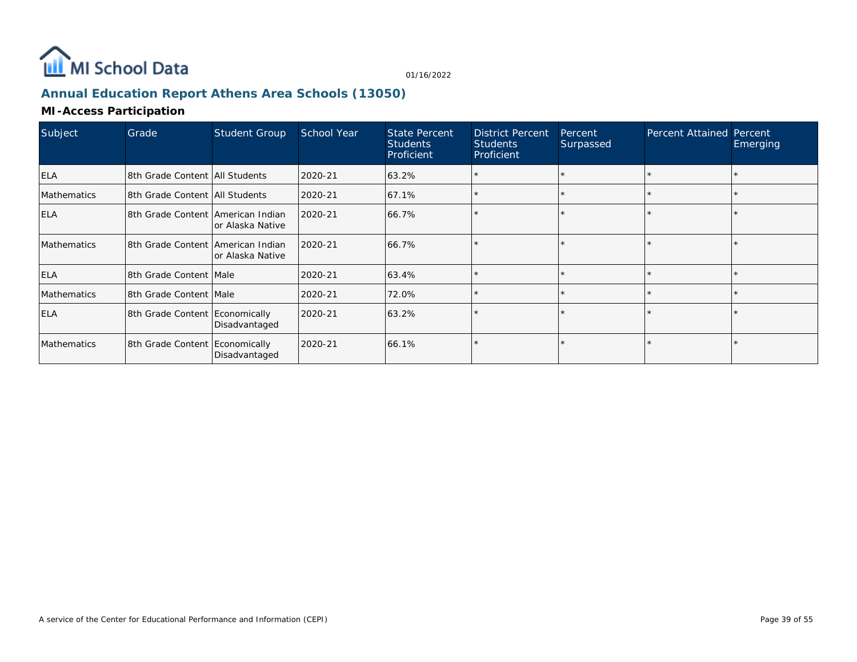

# **Annual Education Report Athens Area Schools (13050)**

### **MI-Access Participation**

| Subject            | Grade                               | <b>Student Group</b> | School Year | State Percent<br><b>Students</b><br>Proficient | <b>District Percent</b><br><b>Students</b><br>Proficient | Percent<br>Surpassed | Percent Attained Percent | Emerging |
|--------------------|-------------------------------------|----------------------|-------------|------------------------------------------------|----------------------------------------------------------|----------------------|--------------------------|----------|
| <b>ELA</b>         | 18th Grade Content   All Students   |                      | 2020-21     | 63.2%                                          |                                                          |                      |                          |          |
| <b>Mathematics</b> | 18th Grade Content   All Students   |                      | 2020-21     | 67.1%                                          |                                                          |                      |                          |          |
| <b>ELA</b>         | 18th Grade Content lAmerican Indian | or Alaska Native     | 2020-21     | 66.7%                                          |                                                          |                      |                          |          |
| <b>Mathematics</b> | 18th Grade Content lAmerican Indian | or Alaska Native     | 2020-21     | 66.7%                                          |                                                          |                      |                          |          |
| <b>ELA</b>         | 8th Grade Content Male              |                      | 2020-21     | 63.4%                                          |                                                          |                      |                          |          |
| <b>Mathematics</b> | 8th Grade Content Male              |                      | 2020-21     | 72.0%                                          |                                                          |                      |                          |          |
| <b>ELA</b>         | 8th Grade Content Economically      | Disadvantaged        | 2020-21     | 63.2%                                          |                                                          |                      |                          |          |
| <b>Mathematics</b> | 8th Grade Content Economically      | Disadvantaged        | 2020-21     | 66.1%                                          |                                                          |                      |                          |          |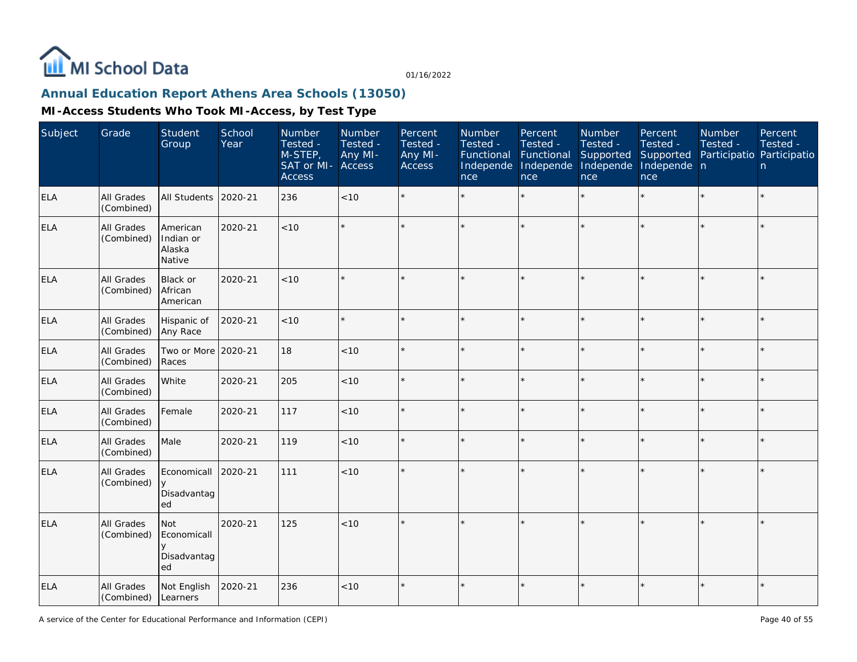

# **Annual Education Report Athens Area Schools (13050)**

| Subject    | Grade                           | Student<br>Group                             | School<br>Year | Number<br>Tested -<br>M-STEP,<br>SAT or MI-<br><b>Access</b> | Number<br>Tested -<br>Any MI-<br>Access | Percent<br>Tested -<br>Any MI-<br><b>Access</b> | Number<br>Tested -<br>Functional<br>Independe<br>nce | Percent<br>Tested -<br>Functional<br>Independe<br>nce | Number<br>Tested -<br>Supported<br>Independe<br>nce | Percent<br>Tested -<br>Supported<br>Independe n<br>nce | Number<br>Tested -<br>Participatio Participatio | Percent<br>Tested -<br>n |
|------------|---------------------------------|----------------------------------------------|----------------|--------------------------------------------------------------|-----------------------------------------|-------------------------------------------------|------------------------------------------------------|-------------------------------------------------------|-----------------------------------------------------|--------------------------------------------------------|-------------------------------------------------|--------------------------|
| <b>ELA</b> | All Grades<br>(Combined)        | <b>All Students</b>                          | 2020-21        | 236                                                          | <10                                     |                                                 |                                                      |                                                       | ÷                                                   | $\star$                                                |                                                 | $\star$                  |
| <b>ELA</b> | All Grades<br>(Combined)        | American<br>Indian or<br>Alaska<br>Native    | 2020-21        | < 10                                                         |                                         |                                                 |                                                      |                                                       |                                                     |                                                        |                                                 | $\star$                  |
| <b>ELA</b> | All Grades<br>(Combined)        | <b>Black or</b><br>African<br>American       | 2020-21        | < 10                                                         |                                         |                                                 |                                                      |                                                       |                                                     |                                                        |                                                 | $\star$                  |
| <b>ELA</b> | All Grades<br>(Combined)        | Hispanic of<br>Any Race                      | 2020-21        | < 10                                                         |                                         |                                                 |                                                      |                                                       | ÷                                                   | ×.                                                     | $\star$                                         | $\star$                  |
| ELA        | All Grades<br>(Combined)        | Two or More<br>Races                         | 2020-21        | 18                                                           | <10                                     |                                                 |                                                      | ÷                                                     | à.                                                  |                                                        |                                                 | $\star$                  |
| <b>ELA</b> | All Grades<br>(Combined)        | White                                        | 2020-21        | 205                                                          | < 10                                    |                                                 |                                                      |                                                       |                                                     |                                                        |                                                 | $\star$                  |
| <b>ELA</b> | <b>All Grades</b><br>(Combined) | Female                                       | 2020-21        | 117                                                          | < 10                                    |                                                 |                                                      | $\star$                                               | ÷                                                   | $\star$                                                | $\star$                                         | $\star$                  |
| <b>ELA</b> | All Grades<br>(Combined)        | Male                                         | 2020-21        | 119                                                          | < 10                                    |                                                 |                                                      |                                                       |                                                     |                                                        |                                                 | $\star$                  |
| <b>ELA</b> | All Grades<br>(Combined)        | Economicall<br>У<br>Disadvantag<br>ed        | 2020-21        | 111                                                          | <10                                     |                                                 |                                                      |                                                       |                                                     |                                                        |                                                 | $\star$                  |
| <b>ELA</b> | All Grades<br>(Combined)        | Not<br>Economicall<br>y<br>Disadvantag<br>ed | 2020-21        | 125                                                          | < 10                                    | $\star$                                         |                                                      |                                                       |                                                     |                                                        |                                                 | $\star$                  |
| <b>ELA</b> | All Grades<br>(Combined)        | Not English<br>Learners                      | 2020-21        | 236                                                          | < 10                                    | $\star$                                         |                                                      |                                                       |                                                     |                                                        |                                                 | $\star$                  |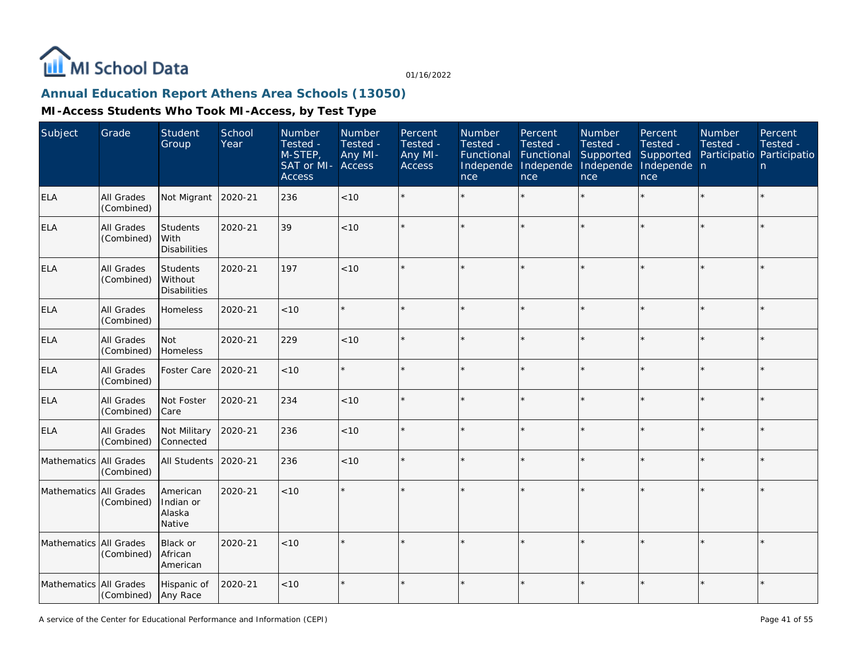

# **Annual Education Report Athens Area Schools (13050)**

| Subject                | Grade                    | <b>Student</b><br>Group                        | School<br>Year | Number<br>Tested -<br>M-STEP,<br>SAT or MI-<br><b>Access</b> | Number<br>Tested -<br>Any MI-<br>Access | Percent<br>Tested -<br>Any MI-<br>Access | Number<br>Tested -<br>Functional<br>Independe<br>nce | Percent<br>Tested -<br>Functional<br>Independe<br>nce | Number<br>Tested -<br>Supported<br>Independe<br>nce | Percent<br>Tested -<br>Supported<br>Independe n<br>nce | Number<br>Tested -<br>Participatio Participatio | Percent<br>Tested -<br>n |
|------------------------|--------------------------|------------------------------------------------|----------------|--------------------------------------------------------------|-----------------------------------------|------------------------------------------|------------------------------------------------------|-------------------------------------------------------|-----------------------------------------------------|--------------------------------------------------------|-------------------------------------------------|--------------------------|
| <b>ELA</b>             | All Grades<br>(Combined) | Not Migrant                                    | 2020-21        | 236                                                          | <10                                     |                                          |                                                      |                                                       | ÷                                                   | $\star$                                                |                                                 | $\star$                  |
| <b>ELA</b>             | All Grades<br>(Combined) | <b>Students</b><br>With<br><b>Disabilities</b> | 2020-21        | 39                                                           | < 10                                    |                                          |                                                      |                                                       |                                                     |                                                        |                                                 | $\star$                  |
| <b>ELA</b>             | All Grades<br>(Combined) | Students<br>Without<br><b>Disabilities</b>     | 2020-21        | 197                                                          | < 10                                    |                                          |                                                      |                                                       |                                                     |                                                        |                                                 | $\star$                  |
| <b>ELA</b>             | All Grades<br>(Combined) | Homeless                                       | 2020-21        | $<10$                                                        |                                         |                                          |                                                      |                                                       |                                                     |                                                        |                                                 | $\star$                  |
| <b>ELA</b>             | All Grades<br>(Combined) | Not<br>Homeless                                | 2020-21        | 229                                                          | < 10                                    |                                          |                                                      |                                                       |                                                     |                                                        |                                                 | $\star$                  |
| <b>ELA</b>             | All Grades<br>(Combined) | Foster Care                                    | 2020-21        | < 10                                                         |                                         |                                          |                                                      |                                                       |                                                     |                                                        | $\star$                                         | $\star$                  |
| <b>ELA</b>             | All Grades<br>(Combined) | Not Foster<br>Care                             | 2020-21        | 234                                                          | < 10                                    |                                          |                                                      |                                                       |                                                     |                                                        |                                                 | $\star$                  |
| <b>ELA</b>             | All Grades<br>(Combined) | Not Military<br>Connected                      | 2020-21        | 236                                                          | < 10                                    |                                          |                                                      |                                                       |                                                     |                                                        |                                                 | $\star$                  |
| Mathematics All Grades | (Combined)               | All Students                                   | 2020-21        | 236                                                          | $<10$                                   |                                          |                                                      |                                                       |                                                     |                                                        |                                                 | $\star$                  |
| Mathematics All Grades | (Combined)               | American<br>Indian or<br>Alaska<br>Native      | 2020-21        | $<10$                                                        |                                         |                                          |                                                      |                                                       |                                                     |                                                        |                                                 | $\star$                  |
| Mathematics All Grades | (Combined)               | Black or<br>African<br>American                | 2020-21        | < 10                                                         |                                         |                                          |                                                      |                                                       |                                                     |                                                        |                                                 | $\star$                  |
| Mathematics All Grades | (Combined)               | Hispanic of<br>Any Race                        | 2020-21        | < 10                                                         |                                         |                                          |                                                      |                                                       | ÷                                                   | $\star$                                                | $\star$                                         | $\star$                  |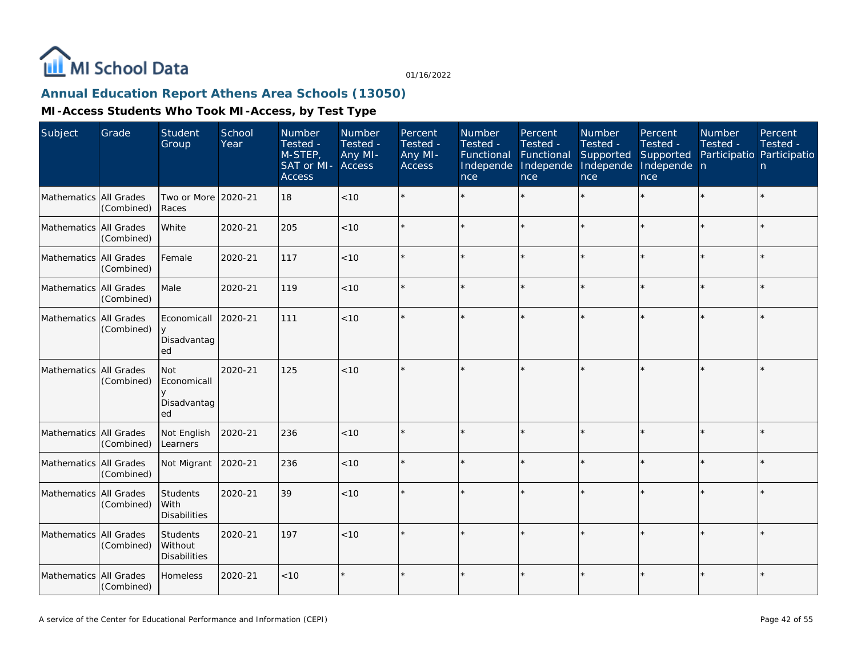

# **Annual Education Report Athens Area Schools (13050)**

| Subject                | Grade                    | Student<br>Group                           | School<br>Year | Number<br>Tested -<br>M-STEP,<br>SAT or MI-<br><b>Access</b> | Number<br>Tested -<br>Any MI-<br><b>Access</b> | Percent<br>Tested -<br>Any MI-<br>Access | Number<br>Tested -<br>Functional<br>Independe<br>nce | Percent<br>Tested -<br>Functional<br>Independe<br>nce | Number<br>Tested -<br>Supported<br>Independe<br>nce | Percent<br>Tested -<br>Supported<br>Independe n<br>nce | <b>Number</b><br>Tested -<br>Participatio Participatio | Percent<br>Tested -<br>n. |
|------------------------|--------------------------|--------------------------------------------|----------------|--------------------------------------------------------------|------------------------------------------------|------------------------------------------|------------------------------------------------------|-------------------------------------------------------|-----------------------------------------------------|--------------------------------------------------------|--------------------------------------------------------|---------------------------|
| Mathematics            | All Grades<br>(Combined) | Two or More 2020-21<br>Races               |                | 18                                                           | <10                                            |                                          |                                                      |                                                       |                                                     |                                                        |                                                        | $\star$                   |
| Mathematics All Grades | (Combined)               | White                                      | 2020-21        | 205                                                          | < 10                                           |                                          |                                                      |                                                       |                                                     | ×.                                                     |                                                        | $\star$                   |
| Mathematics All Grades | (Combined)               | Female                                     | 2020-21        | 117                                                          | $<10$                                          |                                          |                                                      |                                                       | ÷                                                   |                                                        |                                                        | $\star$                   |
| Mathematics All Grades | (Combined)               | Male                                       | 2020-21        | 119                                                          | $<10$                                          |                                          |                                                      |                                                       |                                                     |                                                        |                                                        | $\star$                   |
| Mathematics All Grades | (Combined)               | Economicall<br>Disadvantag<br>ed           | 2020-21        | 111                                                          | < 10                                           |                                          |                                                      |                                                       |                                                     |                                                        |                                                        | $\star$                   |
| Mathematics All Grades | (Combined)               | Not<br>Economicall<br>Disadvantag<br>ed    | 2020-21        | 125                                                          | < 10                                           |                                          |                                                      |                                                       |                                                     |                                                        |                                                        | $\star$                   |
| Mathematics All Grades | (Combined)               | Not English<br>Learners                    | 2020-21        | 236                                                          | < 10                                           |                                          |                                                      |                                                       |                                                     |                                                        |                                                        | $\star$                   |
| Mathematics All Grades | (Combined)               | Not Migrant                                | 2020-21        | 236                                                          | < 10                                           |                                          |                                                      |                                                       |                                                     |                                                        |                                                        | $\star$                   |
| Mathematics All Grades | (Combined)               | Students<br>l With<br><b>Disabilities</b>  | 2020-21        | 39                                                           | $<10$                                          |                                          |                                                      |                                                       |                                                     | $\star$                                                |                                                        | $\star$                   |
| Mathematics All Grades | (Combined)               | Students<br>Without<br><b>Disabilities</b> | 2020-21        | 197                                                          | < 10                                           |                                          |                                                      |                                                       |                                                     |                                                        |                                                        | ÷.                        |
| Mathematics All Grades | (Combined)               | Homeless                                   | 2020-21        | < 10                                                         |                                                |                                          |                                                      |                                                       |                                                     |                                                        |                                                        | $\star$                   |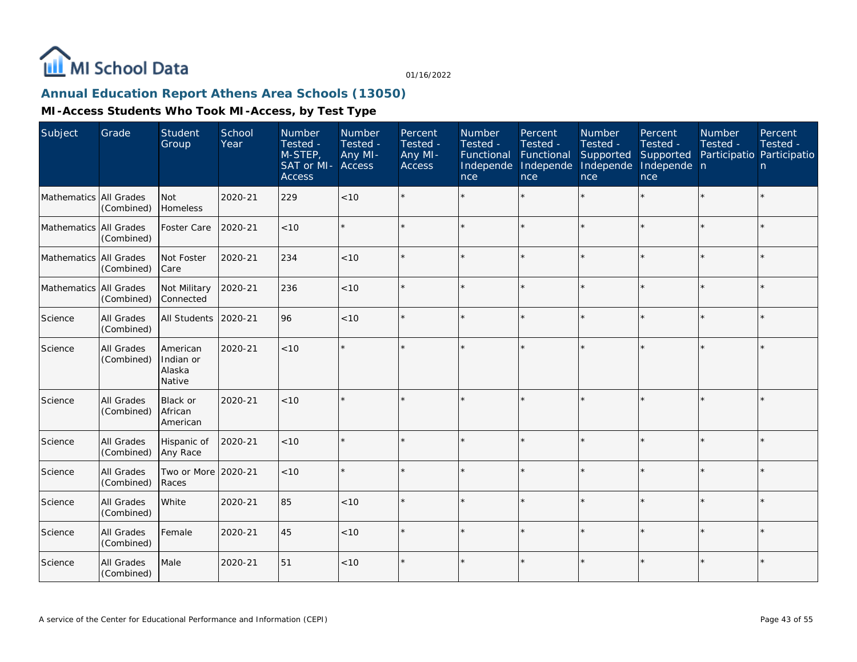

# **Annual Education Report Athens Area Schools (13050)**

| Subject                | Grade                    | <b>Student</b><br>Group                   | School<br>Year | Number<br>Tested -<br>M-STEP,<br>SAT or MI-<br><b>Access</b> | Number<br>Tested -<br>Any MI-<br>Access | Percent<br>Tested -<br>Any MI-<br><b>Access</b> | Number<br>Tested -<br>Functional<br>Independe<br>nce | Percent<br>Tested -<br>Functional<br>Independe<br>nce | Number<br>Tested -<br>Supported<br>Independe<br>nce | Percent<br>Tested -<br>Supported<br>Independe n<br>nce | Number<br>Tested -<br>Participatio Participatio | Percent<br>Tested -<br>n. |
|------------------------|--------------------------|-------------------------------------------|----------------|--------------------------------------------------------------|-----------------------------------------|-------------------------------------------------|------------------------------------------------------|-------------------------------------------------------|-----------------------------------------------------|--------------------------------------------------------|-------------------------------------------------|---------------------------|
| Mathematics All Grades | (Combined)               | Not<br>Homeless                           | 2020-21        | 229                                                          | $<10$                                   |                                                 |                                                      |                                                       |                                                     |                                                        |                                                 | $\star$                   |
| Mathematics All Grades | (Combined)               | Foster Care                               | 2020-21        | < 10                                                         |                                         |                                                 |                                                      |                                                       |                                                     |                                                        |                                                 | $\star$                   |
| Mathematics All Grades | (Combined)               | Not Foster<br>Care                        | 2020-21        | 234                                                          | < 10                                    |                                                 |                                                      |                                                       |                                                     |                                                        |                                                 | $\star$                   |
| Mathematics All Grades | (Combined)               | Not Military<br>Connected                 | 2020-21        | 236                                                          | < 10                                    |                                                 |                                                      |                                                       |                                                     |                                                        |                                                 | $\star$                   |
| Science                | All Grades<br>(Combined) | All Students                              | 2020-21        | 96                                                           | < 10                                    |                                                 |                                                      |                                                       |                                                     |                                                        |                                                 | $\star$                   |
| Science                | All Grades<br>(Combined) | American<br>Indian or<br>Alaska<br>Native | 2020-21        | < 10                                                         |                                         |                                                 |                                                      |                                                       |                                                     |                                                        |                                                 | $\star$                   |
| Science                | All Grades<br>(Combined) | Black or<br>African<br>American           | 2020-21        | < 10                                                         |                                         |                                                 |                                                      |                                                       |                                                     |                                                        |                                                 | $\star$                   |
| Science                | All Grades<br>(Combined) | Hispanic of<br>Any Race                   | 2020-21        | < 10                                                         |                                         |                                                 |                                                      |                                                       |                                                     |                                                        |                                                 | $\star$                   |
| Science                | All Grades<br>(Combined) | Two or More 2020-21<br>Races              |                | < 10                                                         |                                         |                                                 |                                                      |                                                       |                                                     |                                                        |                                                 | $\star$                   |
| Science                | All Grades<br>(Combined) | White                                     | 2020-21        | 85                                                           | $<10$                                   |                                                 |                                                      | $\star$                                               |                                                     |                                                        |                                                 | $\star$                   |
| Science                | All Grades<br>(Combined) | Female                                    | 2020-21        | 45                                                           | < 10                                    |                                                 |                                                      |                                                       |                                                     |                                                        |                                                 | $\star$                   |
| Science                | All Grades<br>(Combined) | Male                                      | 2020-21        | 51                                                           | $<10$                                   |                                                 |                                                      |                                                       |                                                     |                                                        |                                                 | $\star$                   |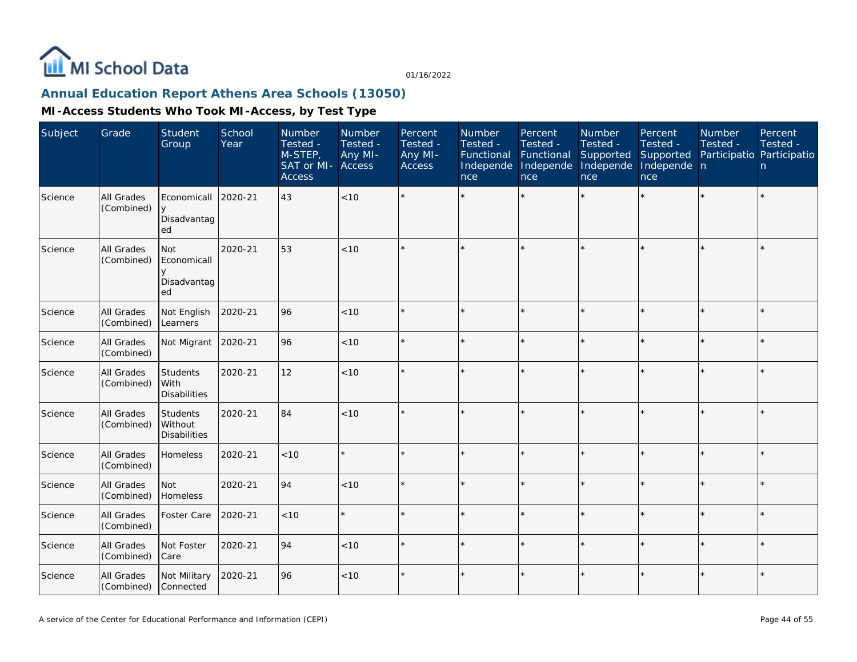

# **Annual Education Report Athens Area Schools (13050)**

| Subject | Grade                    | Student<br>Group                           | School<br>Year | Number<br>Tested -<br>M-STEP,<br>SAT or MI-<br><b>Access</b> | Number<br>Tested -<br>Any MI-<br>Access | Percent<br>Tested -<br>Any MI-<br><b>Access</b> | Number<br>Tested -<br>Functional<br>Independe<br>nce | Percent<br>Tested -<br>Functional<br>Independe<br>nce | Number<br>Tested -<br>Supported<br>Independe<br>nce | Percent<br>Tested -<br>Supported<br>Independe n<br>nce | Number<br>Tested -<br>Participatio Participatio | Percent<br>Tested -<br>n |
|---------|--------------------------|--------------------------------------------|----------------|--------------------------------------------------------------|-----------------------------------------|-------------------------------------------------|------------------------------------------------------|-------------------------------------------------------|-----------------------------------------------------|--------------------------------------------------------|-------------------------------------------------|--------------------------|
| Science | All Grades<br>(Combined) | Economicall<br>$\vee$<br>Disadvantag<br>ed | 2020-21        | 43                                                           | <10                                     |                                                 |                                                      |                                                       |                                                     |                                                        |                                                 | $\star$                  |
| Science | All Grades<br>(Combined) | Not<br>Economicall<br>Disadvantag<br>ed    | 2020-21        | 53                                                           | < 10                                    |                                                 |                                                      |                                                       |                                                     |                                                        |                                                 | $\star$                  |
| Science | All Grades<br>(Combined) | Not English<br>Learners                    | 2020-21        | 96                                                           | < 10                                    |                                                 |                                                      |                                                       |                                                     | $\star$                                                | $\star$                                         | $\star$                  |
| Science | All Grades<br>(Combined) | Not Migrant                                | 2020-21        | 96                                                           | < 10                                    |                                                 |                                                      |                                                       |                                                     |                                                        | ×                                               | $\star$                  |
| Science | All Grades<br>(Combined) | Students<br>With<br><b>Disabilities</b>    | 2020-21        | 12                                                           | <10                                     |                                                 |                                                      |                                                       |                                                     |                                                        |                                                 | $\star$                  |
| Science | All Grades<br>(Combined) | Students<br>Without<br><b>Disabilities</b> | 2020-21        | 84                                                           | < 10                                    |                                                 |                                                      |                                                       |                                                     | $\star$                                                | $\star$                                         | $\star$                  |
| Science | All Grades<br>(Combined) | Homeless                                   | 2020-21        | <10                                                          |                                         |                                                 |                                                      | $\star$                                               |                                                     | ×.                                                     | $\star$                                         | $\star$                  |
| Science | All Grades<br>(Combined) | Not<br>Homeless                            | 2020-21        | 94                                                           | < 10                                    |                                                 |                                                      |                                                       |                                                     |                                                        |                                                 | $\star$                  |
| Science | All Grades<br>(Combined) | Foster Care                                | 2020-21        | < 10                                                         |                                         |                                                 |                                                      |                                                       |                                                     |                                                        | ×                                               | $\star$                  |
| Science | All Grades<br>(Combined) | Not Foster<br>Care                         | 2020-21        | 94                                                           | < 10                                    |                                                 |                                                      |                                                       |                                                     | $\star$                                                | $\star$                                         | k.                       |
| Science | All Grades<br>(Combined) | Not Military<br>Connected                  | 2020-21        | 96                                                           | < 10                                    | $\star$                                         |                                                      |                                                       |                                                     | $\star$                                                | $\star$                                         | $\star$                  |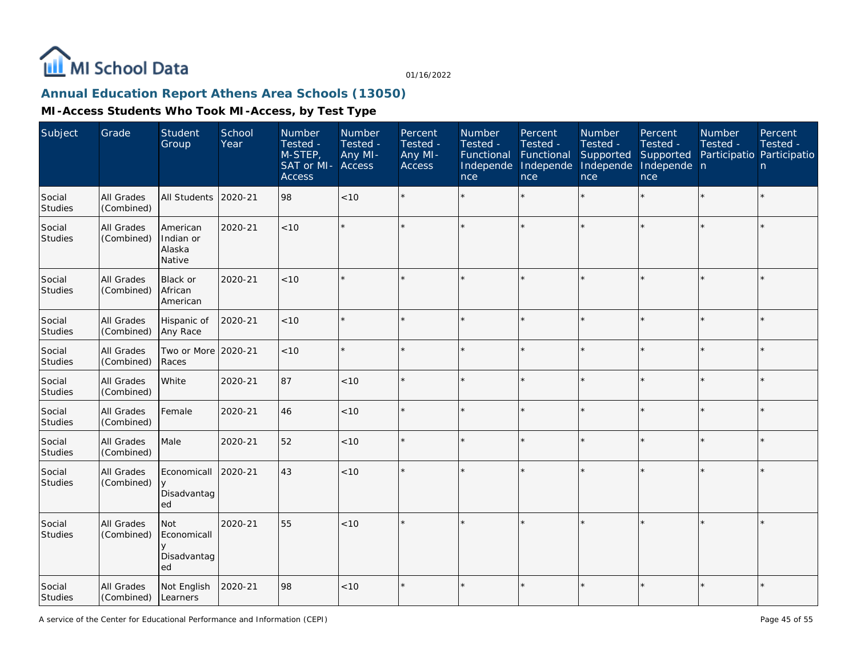

# **Annual Education Report Athens Area Schools (13050)**

| Subject                  | Grade                           | <b>Student</b><br>Group                      | School<br>Year | Number<br>Tested -<br>M-STEP,<br>SAT or MI-<br><b>Access</b> | Number<br>Tested -<br>Any MI-<br>Access | Percent<br>Tested -<br>Any MI-<br><b>Access</b> | Number<br>Tested -<br>Functional<br>Independe<br>nce | Percent<br>Tested -<br>Functional<br>Independe<br>nce | Number<br>Tested -<br>Supported<br>Independe<br>nce | Percent<br>Tested -<br>Supported<br>Independe n<br>nce | Number<br>Tested -<br>Participatio Participatio | Percent<br>Tested -<br>n |
|--------------------------|---------------------------------|----------------------------------------------|----------------|--------------------------------------------------------------|-----------------------------------------|-------------------------------------------------|------------------------------------------------------|-------------------------------------------------------|-----------------------------------------------------|--------------------------------------------------------|-------------------------------------------------|--------------------------|
| Social<br><b>Studies</b> | <b>All Grades</b><br>(Combined) | All Students                                 | 2020-21        | 98                                                           | <10                                     |                                                 |                                                      |                                                       | ÷                                                   | $\star$                                                |                                                 | $\star$                  |
| Social<br>Studies        | All Grades<br>(Combined)        | American<br>Indian or<br>Alaska<br>Native    | 2020-21        | < 10                                                         |                                         |                                                 |                                                      |                                                       |                                                     |                                                        |                                                 | ×                        |
| Social<br><b>Studies</b> | All Grades<br>(Combined)        | Black or<br>African<br>American              | 2020-21        | < 10                                                         |                                         |                                                 |                                                      |                                                       |                                                     |                                                        |                                                 | $\star$                  |
| Social<br><b>Studies</b> | All Grades<br>(Combined)        | Hispanic of<br>Any Race                      | 2020-21        | < 10                                                         |                                         |                                                 |                                                      |                                                       |                                                     |                                                        | $\star$                                         | $\star$                  |
| Social<br><b>Studies</b> | <b>All Grades</b><br>(Combined) | Two or More<br>Races                         | 2020-21        | < 10                                                         |                                         |                                                 |                                                      |                                                       |                                                     |                                                        |                                                 | ÷.                       |
| Social<br>Studies        | All Grades<br>(Combined)        | White                                        | 2020-21        | 87                                                           | < 10                                    |                                                 |                                                      |                                                       |                                                     |                                                        |                                                 | $\star$                  |
| Social<br>Studies        | All Grades<br>(Combined)        | Female                                       | 2020-21        | 46                                                           | < 10                                    |                                                 |                                                      |                                                       |                                                     | ×.                                                     |                                                 | $\star$                  |
| Social<br><b>Studies</b> | All Grades<br>(Combined)        | Male                                         | 2020-21        | 52                                                           | < 10                                    |                                                 |                                                      |                                                       |                                                     |                                                        |                                                 | $\star$                  |
| Social<br>Studies        | All Grades<br>(Combined)        | Economicall<br>У<br>Disadvantag<br>ed        | 2020-21        | 43                                                           | $<10$                                   |                                                 |                                                      |                                                       |                                                     |                                                        |                                                 | $\star$                  |
| Social<br><b>Studies</b> | All Grades<br>(Combined)        | Not<br>Economicall<br>y<br>Disadvantag<br>ed | 2020-21        | 55                                                           | < 10                                    | $\star$                                         |                                                      |                                                       |                                                     |                                                        |                                                 | $\star$                  |
| Social<br>Studies        | All Grades<br>(Combined)        | Not English<br>Learners                      | 2020-21        | 98                                                           | < 10                                    |                                                 |                                                      |                                                       |                                                     |                                                        |                                                 | $\star$                  |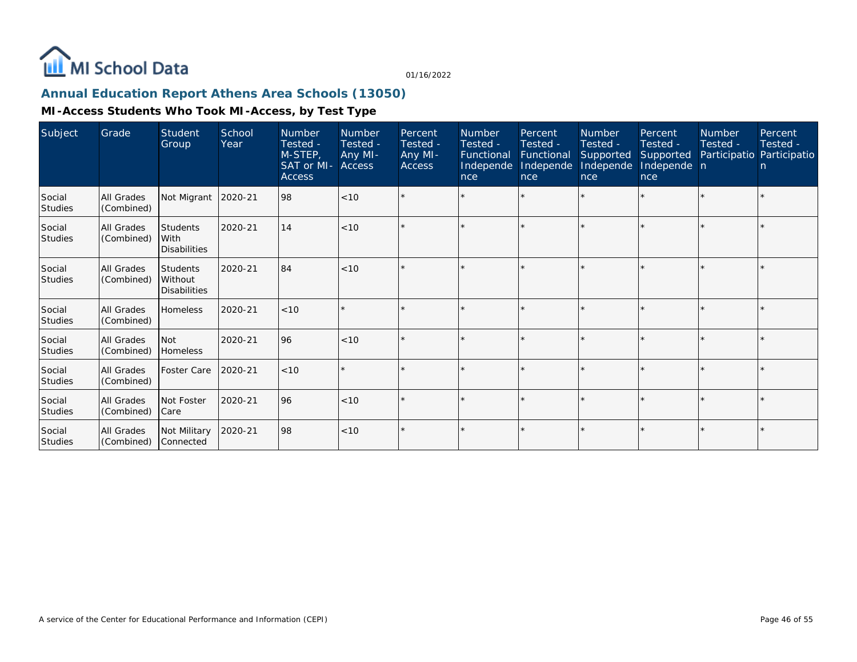

# **Annual Education Report Athens Area Schools (13050)**

| Subject                  | Grade                           | Student<br>Group                                  | <b>School</b><br>Year | <b>Number</b><br>Tested -<br>M-STEP,<br>SAT or MI-<br><b>Access</b> | Number<br>Tested -<br>Any MI-<br><b>Access</b> | Percent<br>Tested -<br>Any MI-<br><b>Access</b> | <b>Number</b><br>Tested -<br>Functional<br>Independe<br>nce | Percent<br>Tested -<br>Functional<br>Independe<br>nce | <b>Number</b><br>Tested -<br>Supported<br>Independe<br>nce | Percent<br>Tested -<br>Supported<br>Independe n<br>nce | <b>Number</b><br>Tested - | Percent<br>Tested -<br>Participatio Participatio<br>n. |
|--------------------------|---------------------------------|---------------------------------------------------|-----------------------|---------------------------------------------------------------------|------------------------------------------------|-------------------------------------------------|-------------------------------------------------------------|-------------------------------------------------------|------------------------------------------------------------|--------------------------------------------------------|---------------------------|--------------------------------------------------------|
| Social<br><b>Studies</b> | All Grades<br>(Combined)        | Not Migrant                                       | 2020-21               | 98                                                                  | < 10                                           |                                                 |                                                             |                                                       |                                                            | $\star$                                                |                           |                                                        |
| Social<br><b>Studies</b> | All Grades<br>(Combined)        | <b>Students</b><br>With<br><b>Disabilities</b>    | 2020-21               | 14                                                                  | < 10                                           |                                                 |                                                             |                                                       |                                                            |                                                        |                           |                                                        |
| Social<br><b>Studies</b> | <b>All Grades</b><br>(Combined) | <b>Students</b><br>Without<br><b>Disabilities</b> | 2020-21               | 84                                                                  | < 10                                           |                                                 |                                                             |                                                       |                                                            |                                                        |                           |                                                        |
| Social<br><b>Studies</b> | All Grades<br>(Combined)        | <b>Homeless</b>                                   | 2020-21               | < 10                                                                |                                                | $\star$                                         |                                                             |                                                       |                                                            | $\star$                                                |                           |                                                        |
| Social<br><b>Studies</b> | All Grades<br>(Combined)        | <b>Not</b><br>Homeless                            | 2020-21               | 96                                                                  | < 10                                           |                                                 |                                                             |                                                       |                                                            |                                                        |                           |                                                        |
| Social<br><b>Studies</b> | <b>All Grades</b><br>(Combined) | <b>Foster Care</b>                                | 2020-21               | < 10                                                                | $\star$                                        | $\star$                                         |                                                             |                                                       |                                                            |                                                        |                           |                                                        |
| Social<br><b>Studies</b> | <b>All Grades</b><br>(Combined) | Not Foster<br> Care                               | 2020-21               | 96                                                                  | < 10                                           | $\star$                                         |                                                             |                                                       |                                                            |                                                        |                           |                                                        |
| Social<br>Studies        | All Grades<br>(Combined)        | Not Military<br>Connected                         | 2020-21               | 98                                                                  | < 10                                           | $\star$                                         |                                                             |                                                       |                                                            |                                                        |                           |                                                        |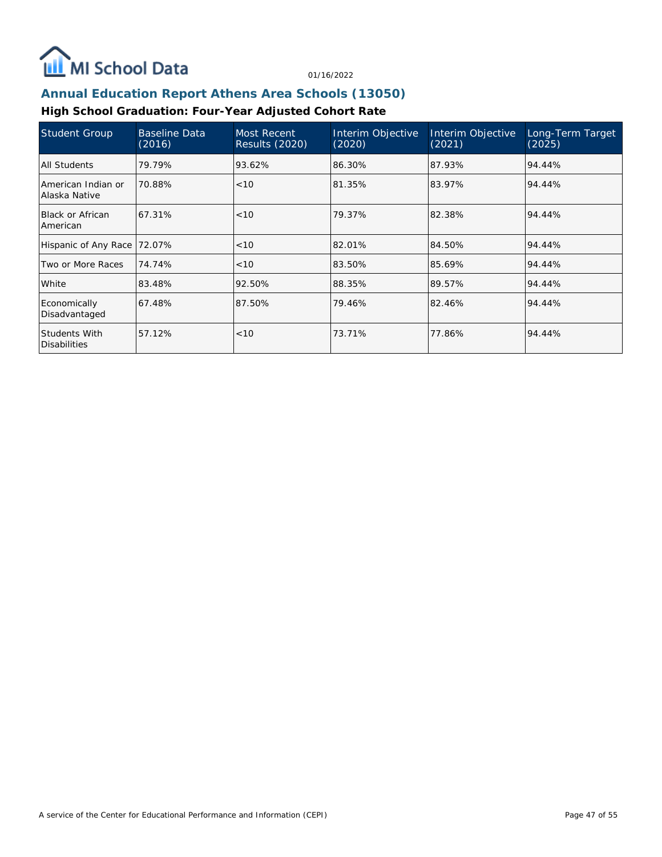

## **Annual Education Report Athens Area Schools (13050)**

# **High School Graduation: Four-Year Adjusted Cohort Rate**

| Student Group                        | <b>Baseline Data</b><br>(2016) | Most Recent<br><b>Results (2020)</b> | Interim Objective<br>(2020) | Interim Objective<br>(2021) | Long-Term Target<br>(2025) |
|--------------------------------------|--------------------------------|--------------------------------------|-----------------------------|-----------------------------|----------------------------|
| All Students                         | 79.79%                         | 93.62%                               | 86.30%                      | 87.93%                      | 94.44%                     |
| American Indian or<br>Alaska Native  | 70.88%                         | < 10                                 | 81.35%                      | 83.97%                      | 94.44%                     |
| <b>Black or African</b><br>American  | 67.31%                         | < 10                                 | 79.37%                      | 82.38%                      | 94.44%                     |
| Hispanic of Any Race                 | 72.07%                         | < 10                                 | 82.01%                      | 84.50%                      | 94.44%                     |
| Two or More Races                    | 74.74%                         | < 10                                 | 83.50%                      | 85.69%                      | 94.44%                     |
| White                                | 83.48%                         | 92.50%                               | 88.35%                      | 89.57%                      | 94.44%                     |
| Economically<br>Disadvantaged        | 67.48%                         | 87.50%                               | 79.46%                      | 82.46%                      | 94.44%                     |
| Students With<br><b>Disabilities</b> | 57.12%                         | < 10                                 | 73.71%                      | 77.86%                      | 94.44%                     |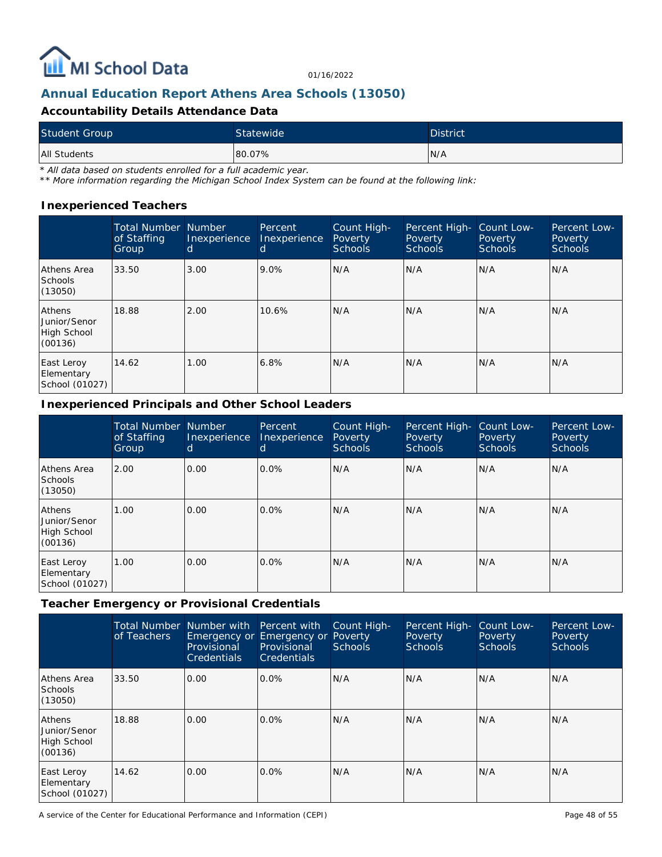

# **Annual Education Report Athens Area Schools (13050)**

### **Accountability Details Attendance Data**

| <b>Student Group</b> | Statewide | <b>District</b> |
|----------------------|-----------|-----------------|
| All Students         | 80.07%    | IN/A            |

*\* All data based on students enrolled for a full academic year.*

*\*\* More information regarding the Michigan School Index System can be found at the following link:*

#### **Inexperienced Teachers**

|                                                  | <b>Total Number Number</b><br>of Staffing<br>Group | Inexperience<br>d | Percent<br>Inexperience<br>d | Count High-<br>Poverty<br><b>Schools</b> | Percent High-<br>Poverty<br><b>Schools</b> | Count Low-<br>Poverty<br><b>Schools</b> | Percent Low-<br>Poverty<br><b>Schools</b> |
|--------------------------------------------------|----------------------------------------------------|-------------------|------------------------------|------------------------------------------|--------------------------------------------|-----------------------------------------|-------------------------------------------|
| Athens Area<br><b>Schools</b><br>(13050)         | 33.50                                              | 3.00              | 9.0%                         | N/A                                      | N/A                                        | N/A                                     | N/A                                       |
| Athens<br>Junior/Senor<br>High School<br>(00136) | 18.88                                              | 2.00              | 10.6%                        | N/A                                      | N/A                                        | N/A                                     | N/A                                       |
| East Leroy<br>Elementary<br>School (01027)       | 14.62                                              | 1.00              | 6.8%                         | N/A                                      | N/A                                        | N/A                                     | N/A                                       |

#### **Inexperienced Principals and Other School Leaders**

|                                                  | <b>Total Number Number</b><br>of Staffing<br>Group | Inexperience<br>d | Percent<br>Inexperience<br>d | Count High-<br>Poverty<br>Schools | Percent High-<br>Poverty<br><b>Schools</b> | Count Low-<br>Poverty<br><b>Schools</b> | Percent Low-<br>Poverty<br><b>Schools</b> |
|--------------------------------------------------|----------------------------------------------------|-------------------|------------------------------|-----------------------------------|--------------------------------------------|-----------------------------------------|-------------------------------------------|
| Athens Area<br><b>Schools</b><br>(13050)         | 2.00                                               | 0.00              | $0.0\%$                      | N/A                               | N/A                                        | N/A                                     | N/A                                       |
| Athens<br>Junior/Senor<br>High School<br>(00136) | .00.                                               | 0.00              | $0.0\%$                      | N/A                               | N/A                                        | N/A                                     | N/A                                       |
| East Leroy<br>Elementary<br>School (01027)       | 1.00                                               | 0.00              | $0.0\%$                      | N/A                               | N/A                                        | N/A                                     | N/A                                       |

**Teacher Emergency or Provisional Credentials**

|                                                         | <b>Total Number</b><br>of Teachers | Number with Percent with<br>Provisional<br><b>Credentials</b> | Emergency or Emergency or Poverty<br>Provisional<br><b>Credentials</b> | Count High-<br><b>Schools</b> | Percent High-<br>Poverty<br><b>Schools</b> | Count Low-<br>Poverty<br><b>Schools</b> | Percent Low-<br>Poverty<br><b>Schools</b> |
|---------------------------------------------------------|------------------------------------|---------------------------------------------------------------|------------------------------------------------------------------------|-------------------------------|--------------------------------------------|-----------------------------------------|-------------------------------------------|
| Athens Area<br>Schools<br>(13050)                       | 33.50                              | 0.00                                                          | $0.0\%$                                                                | N/A                           | N/A                                        | N/A                                     | N/A                                       |
| <b>Athens</b><br>Junior/Senor<br>High School<br>(00136) | 18.88                              | 0.00                                                          | $0.0\%$                                                                | N/A                           | IN/A                                       | N/A                                     | N/A                                       |
| East Leroy<br>Elementary<br>School (01027)              | 14.62                              | 0.00                                                          | $0.0\%$                                                                | N/A                           | IN/A                                       | N/A                                     | N/A                                       |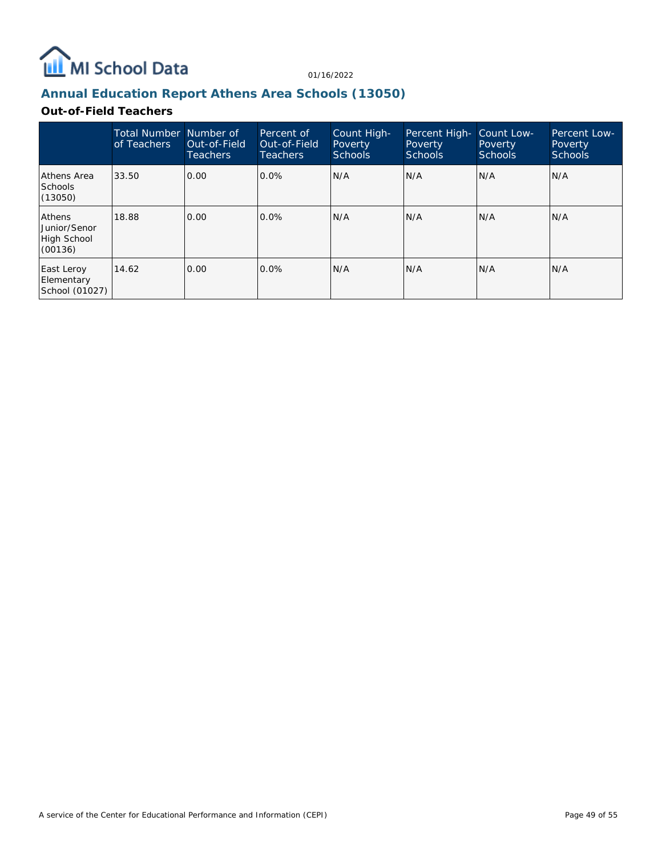

# **Annual Education Report Athens Area Schools (13050)**

### **Out-of-Field Teachers**

|                                                         | Total Number Number of<br>of Teachers | Out-of-Field<br><b>Teachers</b> | Percent of<br>Out-of-Field<br><b>Teachers</b> | Count High-<br>Poverty<br><b>Schools</b> | Percent High-<br>Poverty<br><b>Schools</b> | Count Low-<br>Poverty<br>Schools | Percent Low-<br>Poverty<br><b>Schools</b> |
|---------------------------------------------------------|---------------------------------------|---------------------------------|-----------------------------------------------|------------------------------------------|--------------------------------------------|----------------------------------|-------------------------------------------|
| Athens Area<br><b>Schools</b><br>(13050)                | 33.50                                 | 0.00                            | $0.0\%$                                       | N/A                                      | N/A                                        | N/A                              | N/A                                       |
| <b>Athens</b><br>Junior/Senor<br>High School<br>(00136) | 18.88                                 | 0.00                            | $0.0\%$                                       | N/A                                      | N/A                                        | N/A                              | IN/A                                      |
| East Leroy<br>Elementary<br>School (01027)              | 14.62                                 | 0.00                            | $0.0\%$                                       | N/A                                      | N/A                                        | N/A                              | IN/A                                      |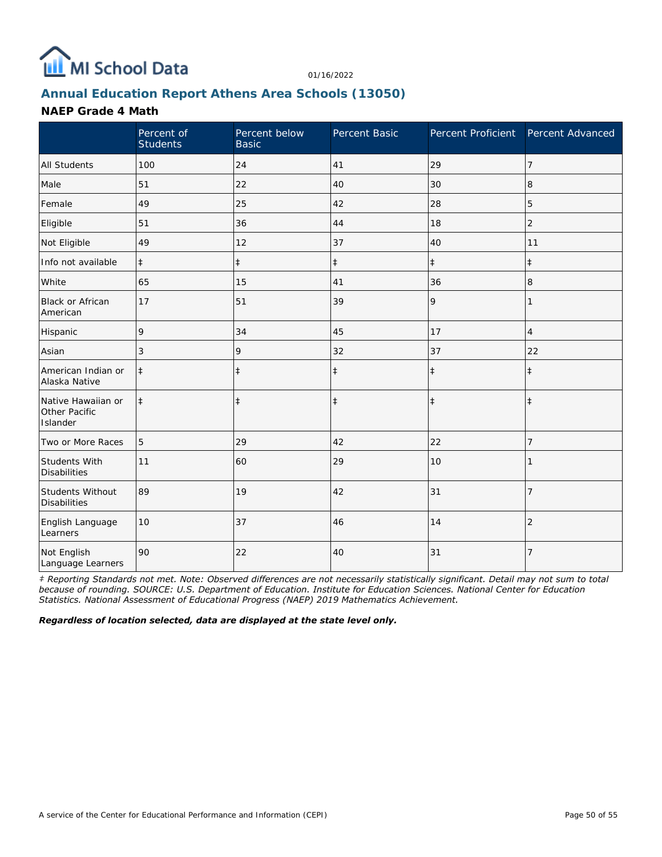

# **Annual Education Report Athens Area Schools (13050)**

### **NAEP Grade 4 Math**

|                                                 | Percent of<br><b>Students</b> | Percent below<br><b>Basic</b> | Percent Basic | Percent Proficient Percent Advanced |                |
|-------------------------------------------------|-------------------------------|-------------------------------|---------------|-------------------------------------|----------------|
| All Students                                    | 100                           | 24                            | 41            | 29                                  | 7              |
| Male                                            | 51                            | 22                            | 40            | 30                                  | 8              |
| Female                                          | 49                            | 25                            | 42            | 28                                  | 5              |
| Eligible                                        | 51                            | 36                            | 44            | 18                                  | $\overline{2}$ |
| Not Eligible                                    | 49                            | 12                            | 37            | 40                                  | 11             |
| Info not available                              | $\ddagger$                    | $\ddagger$                    | $\ddagger$    | $\ddagger$                          | $\ddagger$     |
| White                                           | 65                            | 15                            | 41            | 36                                  | 8              |
| <b>Black or African</b><br>American             | 17                            | 51                            | 39            | 9                                   |                |
| Hispanic                                        | 9                             | 34                            | 45            | 17                                  | $\overline{4}$ |
| Asian                                           | 3                             | 9                             | 32            | 37                                  | 22             |
| American Indian or<br>Alaska Native             | $\ddagger$                    | $\ddagger$                    | $\ddagger$    | $\ddagger$                          | $\ddagger$     |
| Native Hawaiian or<br>Other Pacific<br>Islander | $\ddagger$                    | $\ddagger$                    | $\ddagger$    | $\ddagger$                          | $\ddagger$     |
| Two or More Races                               | 5                             | 29                            | 42            | 22                                  | 7              |
| <b>Students With</b><br><b>Disabilities</b>     | 11                            | 60                            | 29            | 10                                  |                |
| Students Without<br><b>Disabilities</b>         | 89                            | 19                            | 42            | 31                                  | 7              |
| English Language<br>Learners                    | 10                            | 37                            | 46            | 14                                  | $\overline{2}$ |
| Not English<br>Language Learners                | 90                            | 22                            | 40            | 31                                  | 7              |

*‡ Reporting Standards not met. Note: Observed differences are not necessarily statistically significant. Detail may not sum to total because of rounding. SOURCE: U.S. Department of Education. Institute for Education Sciences. National Center for Education Statistics. National Assessment of Educational Progress (NAEP) 2019 Mathematics Achievement.*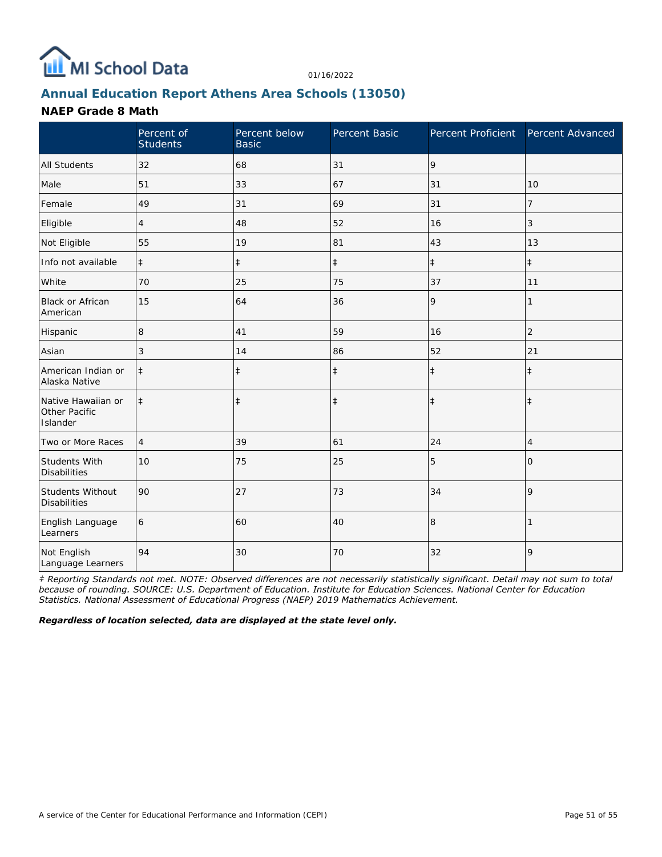

# **Annual Education Report Athens Area Schools (13050)**

### **NAEP Grade 8 Math**

|                                                 | Percent of<br><b>Students</b> | Percent below<br><b>Basic</b> | Percent Basic | Percent Proficient | Percent Advanced |
|-------------------------------------------------|-------------------------------|-------------------------------|---------------|--------------------|------------------|
| <b>All Students</b>                             | 32                            | 68                            | 31            | 9                  |                  |
| Male                                            | 51                            | 33                            | 67            | 31                 | 10               |
| Female                                          | 49                            | 31                            | 69            | 31                 | 7                |
| Eligible                                        | 4                             | 48                            | 52            | 16                 | 3                |
| Not Eligible                                    | 55                            | 19                            | 81            | 43                 | 13               |
| Info not available                              | $\ddagger$                    | $\ddagger$                    | $\ddagger$    | $\ddagger$         | $\ddagger$       |
| White                                           | 70                            | 25                            | 75            | 37                 | 11               |
| <b>Black or African</b><br>American             | 15                            | 64                            | 36            | 9                  | 1                |
| Hispanic                                        | 8                             | 41                            | 59            | 16                 | $\overline{2}$   |
| Asian                                           | 3                             | 14                            | 86            | 52                 | 21               |
| American Indian or<br>Alaska Native             | $\ddagger$                    | $\ddagger$                    | $\ddagger$    | $\ddagger$         | $\ddagger$       |
| Native Hawaiian or<br>Other Pacific<br>Islander | $\ddagger$                    | $\ddagger$                    | $\ddagger$    | $\ddagger$         | $\ddagger$       |
| Two or More Races                               | $\overline{4}$                | 39                            | 61            | 24                 | 4                |
| Students With<br><b>Disabilities</b>            | 10                            | 75                            | 25            | 5                  | $\Omega$         |
| Students Without<br><b>Disabilities</b>         | 90                            | 27                            | 73            | 34                 | 9                |
| English Language<br>Learners                    | 6                             | 60                            | 40            | 8                  |                  |
| Not English<br>Language Learners                | 94                            | 30                            | 70            | 32                 | 9                |

*‡ Reporting Standards not met. NOTE: Observed differences are not necessarily statistically significant. Detail may not sum to total because of rounding. SOURCE: U.S. Department of Education. Institute for Education Sciences. National Center for Education Statistics. National Assessment of Educational Progress (NAEP) 2019 Mathematics Achievement.*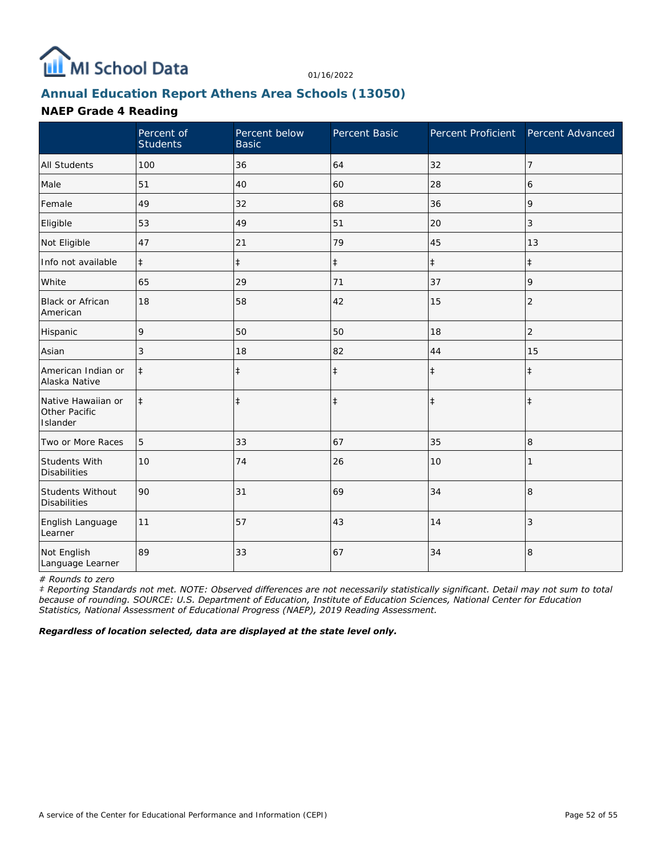

# **Annual Education Report Athens Area Schools (13050)**

### **NAEP Grade 4 Reading**

|                                                 | Percent of<br><b>Students</b> | Percent below<br><b>Basic</b> | Percent Basic | Percent Proficient Percent Advanced |                |
|-------------------------------------------------|-------------------------------|-------------------------------|---------------|-------------------------------------|----------------|
| <b>All Students</b>                             | 100                           | 36                            | 64            | 32                                  | $\overline{7}$ |
| Male                                            | 51                            | 40                            | 60            | 28                                  | 6              |
| Female                                          | 49                            | 32                            | 68            | 36                                  | 9              |
| Eligible                                        | 53                            | 49                            | 51            | 20                                  | 3              |
| Not Eligible                                    | 47                            | 21                            | 79            | 45                                  | 13             |
| Info not available                              | $\ddagger$                    | $\ddagger$                    | $\ddagger$    | $\ddagger$                          | $\ddagger$     |
| White                                           | 65                            | 29                            | 71            | 37                                  | 9              |
| <b>Black or African</b><br>American             | 18                            | 58                            | 42            | 15                                  | $\overline{2}$ |
| Hispanic                                        | 9                             | 50                            | 50            | 18                                  | $\overline{2}$ |
| Asian                                           | 3                             | 18                            | 82            | 44                                  | 15             |
| American Indian or<br>Alaska Native             | $\ddagger$                    | $\ddagger$                    | $\ddagger$    | $\ddagger$                          | $\ddagger$     |
| Native Hawaiian or<br>Other Pacific<br>Islander | $\ddagger$                    | $\ddagger$                    | $\ddagger$    | $\ddagger$                          | $\ddagger$     |
| Two or More Races                               | 5                             | 33                            | 67            | 35                                  | 8              |
| Students With<br><b>Disabilities</b>            | 10                            | 74                            | 26            | 10                                  |                |
| Students Without<br><b>Disabilities</b>         | 90                            | 31                            | 69            | 34                                  | 8              |
| English Language<br>Learner                     | 11                            | 57                            | 43            | 14                                  | 3              |
| Not English<br>Language Learner                 | 89                            | 33                            | 67            | 34                                  | 8              |

*# Rounds to zero*

*‡ Reporting Standards not met. NOTE: Observed differences are not necessarily statistically significant. Detail may not sum to total because of rounding. SOURCE: U.S. Department of Education, Institute of Education Sciences, National Center for Education Statistics, National Assessment of Educational Progress (NAEP), 2019 Reading Assessment.*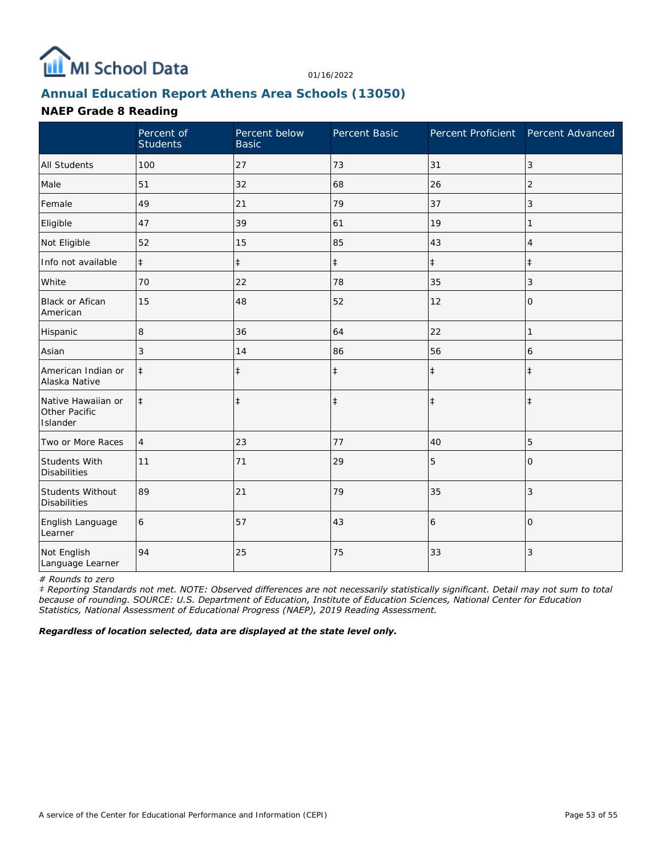

# **Annual Education Report Athens Area Schools (13050)**

### **NAEP Grade 8 Reading**

|                                                 | Percent of<br><b>Students</b> | Percent below<br><b>Basic</b> | Percent Basic | Percent Proficient Percent Advanced |                |
|-------------------------------------------------|-------------------------------|-------------------------------|---------------|-------------------------------------|----------------|
| <b>All Students</b>                             | 100                           | 27                            | 73            | 31                                  | $\mathfrak{Z}$ |
| Male                                            | 51                            | 32                            | 68            | 26                                  | 2              |
| Female                                          | 49                            | 21                            | 79            | 37                                  | 3              |
| Eligible                                        | 47                            | 39                            | 61            | 19                                  | 1              |
| Not Eligible                                    | 52                            | 15                            | 85            | 43                                  | 4              |
| Info not available                              | $\ddagger$                    | $\ddagger$                    | $\ddagger$    | $\ddagger$                          | $\ddagger$     |
| White                                           | 70                            | 22                            | 78            | 35                                  | 3              |
| <b>Black or Afican</b><br>American              | 15                            | 48                            | 52            | 12                                  | 0              |
| Hispanic                                        | 8                             | 36                            | 64            | 22                                  | 1              |
| Asian                                           | 3                             | 14                            | 86            | 56                                  | 6              |
| American Indian or<br>Alaska Native             | $\ddagger$                    | $\ddagger$                    | $\ddagger$    | $\ddagger$                          | $\ddagger$     |
| Native Hawaiian or<br>Other Pacific<br>Islander | $\ddagger$                    | $\ddagger$                    | $\ddagger$    | $\ddagger$                          | $\ddagger$     |
| Two or More Races                               | $\overline{4}$                | 23                            | 77            | 40                                  | 5              |
| <b>Students With</b><br><b>Disabilities</b>     | 11                            | 71                            | 29            | 5                                   | $\Omega$       |
| Students Without<br><b>Disabilities</b>         | 89                            | 21                            | 79            | 35                                  | 3              |
| English Language<br>Learner                     | 6                             | 57                            | 43            | 6                                   | $\Omega$       |
| Not English<br>Language Learner                 | 94                            | 25                            | 75            | 33                                  | 3              |

*# Rounds to zero*

*‡ Reporting Standards not met. NOTE: Observed differences are not necessarily statistically significant. Detail may not sum to total because of rounding. SOURCE: U.S. Department of Education, Institute of Education Sciences, National Center for Education Statistics, National Assessment of Educational Progress (NAEP), 2019 Reading Assessment.*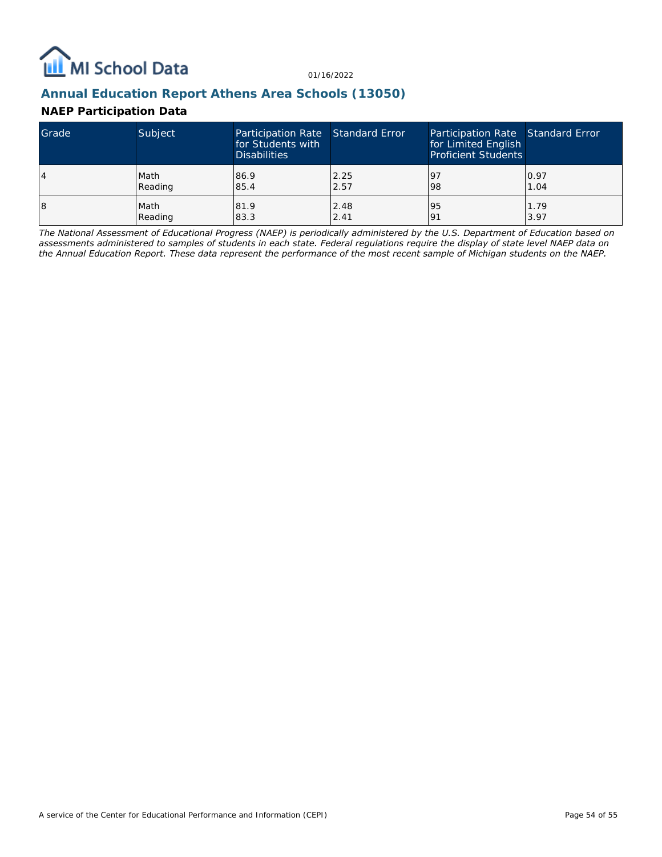

## **Annual Education Report Athens Area Schools (13050)**

## **NAEP Participation Data**

| Grade | Subject | Participation Rate Standard Error<br>for Students with<br><b>Disabilities</b> |      | Participation Rate Standard Error<br>for Limited English<br><b>Proficient Students</b> |      |
|-------|---------|-------------------------------------------------------------------------------|------|----------------------------------------------------------------------------------------|------|
| 4     | Math    | 86.9                                                                          | 2.25 | -97                                                                                    | 0.97 |
|       | Reading | 85.4                                                                          | 2.57 | 98                                                                                     | 1.04 |
| 18    | Math    | 81.9                                                                          | 2.48 | 95                                                                                     | 1.79 |
|       | Reading | 83.3                                                                          | 2.41 | 191                                                                                    | 3.97 |

*The National Assessment of Educational Progress (NAEP) is periodically administered by the U.S. Department of Education based on assessments administered to samples of students in each state. Federal regulations require the display of state level NAEP data on the Annual Education Report. These data represent the performance of the most recent sample of Michigan students on the NAEP.*